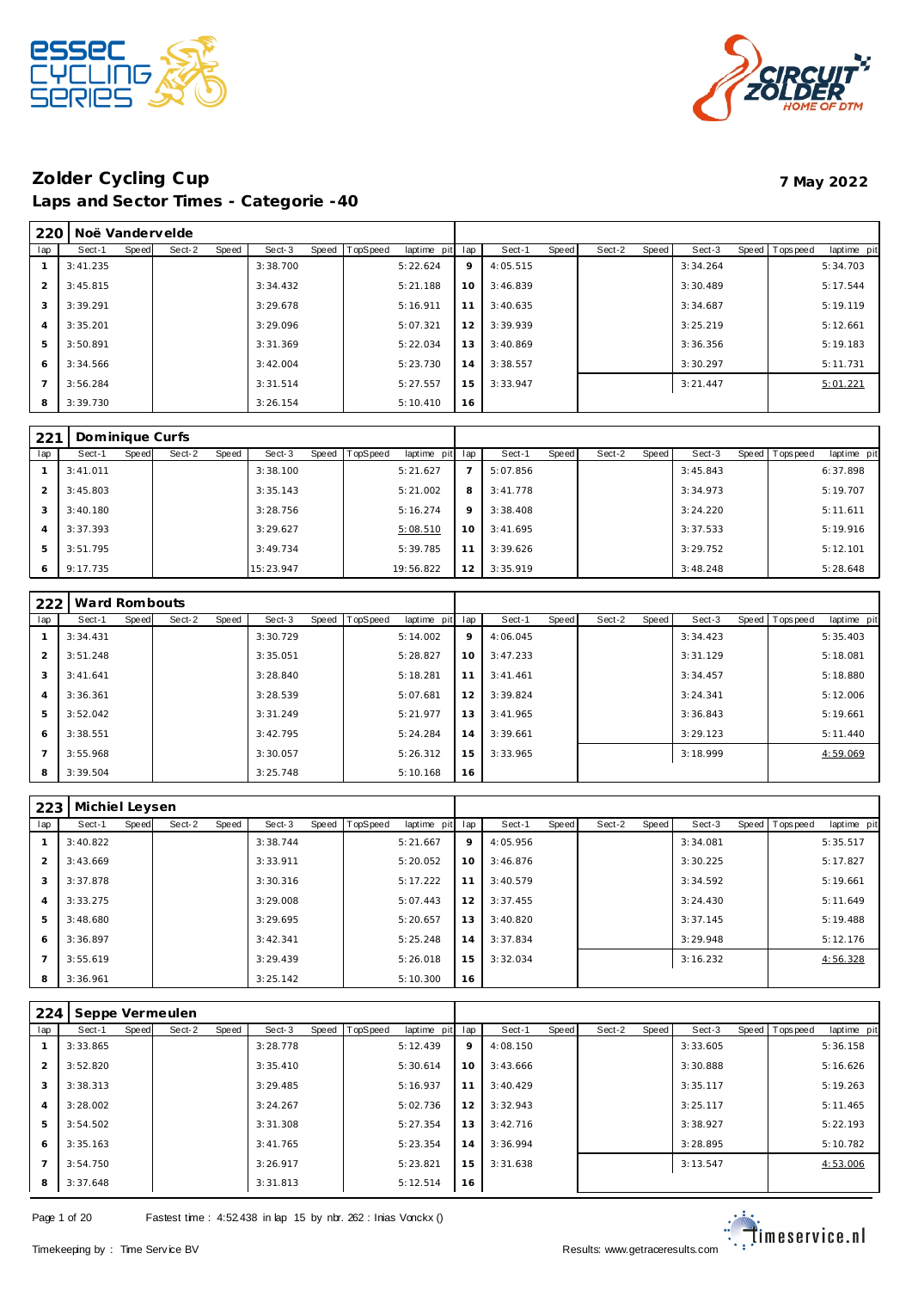



| 220 | Noë Vandervelde |       |        |       |          |       |          |             |     |          |       |        |       |          |                |             |
|-----|-----------------|-------|--------|-------|----------|-------|----------|-------------|-----|----------|-------|--------|-------|----------|----------------|-------------|
| lap | Sect-1          | Speed | Sect-2 | Speed | Sect-3   | Speed | TopSpeed | laptime pit | lap | Sect-1   | Speed | Sect-2 | Speed | Sect-3   | Speed Topspeed | laptime pit |
|     | 3:41.235        |       |        |       | 3:38.700 |       |          | 5:22.624    | 9   | 4:05.515 |       |        |       | 3:34.264 |                | 5:34.703    |
| 2   | 3:45.815        |       |        |       | 3:34.432 |       |          | 5:21.188    | 10  | 3:46.839 |       |        |       | 3:30.489 |                | 5:17.544    |
| 3   | 3:39.291        |       |        |       | 3:29.678 |       |          | 5:16.911    | 11  | 3:40.635 |       |        |       | 3:34.687 |                | 5:19.119    |
| 4   | 3:35.201        |       |        |       | 3:29.096 |       |          | 5:07.321    | 12  | 3:39.939 |       |        |       | 3:25.219 |                | 5:12.661    |
| 5   | 3:50.891        |       |        |       | 3:31.369 |       |          | 5:22.034    | 13  | 3:40.869 |       |        |       | 3:36.356 |                | 5:19.183    |
| 6   | 3:34.566        |       |        |       | 3:42.004 |       |          | 5:23.730    | 14  | 3:38.557 |       |        |       | 3:30.297 |                | 5:11.731    |
|     | 3:56.284        |       |        |       | 3:31.514 |       |          | 5:27.557    | 15  | 3:33.947 |       |        |       | 3:21.447 |                | 5:01.221    |
| 8   | 3:39.730        |       |        |       | 3:26.154 |       |          | 5:10.410    | 16  |          |       |        |       |          |                |             |

| 221 | Dominique Curfs |       |        |       |           |                |             |                |          |       |        |       |          |                |             |
|-----|-----------------|-------|--------|-------|-----------|----------------|-------------|----------------|----------|-------|--------|-------|----------|----------------|-------------|
| lap | Sect-1          | Speed | Sect-2 | Speed | Sect-3    | Speed TopSpeed | laptime pit | lap            | Sect-1   | Speed | Sect-2 | Speed | Sect-3   | Speed Topspeed | laptime pit |
|     | 3:41.011        |       |        |       | 3:38.100  |                | 5:21.627    | $\overline{7}$ | 5:07.856 |       |        |       | 3:45.843 |                | 6:37.898    |
|     | 3:45.803        |       |        |       | 3:35.143  |                | 5:21.002    | 8              | 3:41.778 |       |        |       | 3:34.973 |                | 5:19.707    |
| 3   | 3:40.180        |       |        |       | 3:28.756  |                | 5:16.274    | 9              | 3:38.408 |       |        |       | 3:24.220 |                | 5:11.611    |
|     | 3:37.393        |       |        |       | 3:29.627  |                | 5:08.510    | 10             | 3:41.695 |       |        |       | 3:37.533 |                | 5:19.916    |
| 5   | 3:51.795        |       |        |       | 3:49.734  |                | 5:39.785    | 11             | 3:39.626 |       |        |       | 3:29.752 |                | 5:12.101    |
| 6   | 9:17.735        |       |        |       | 15:23.947 |                | 19:56.822   | 12             | 3:35.919 |       |        |       | 3:48.248 |                | 5:28.648    |

| 222            | Ward Rombouts |       |        |       |          |       |          |             |     |           |       |        |       |          |       |           |             |
|----------------|---------------|-------|--------|-------|----------|-------|----------|-------------|-----|-----------|-------|--------|-------|----------|-------|-----------|-------------|
| lap            | Sect-1        | Speed | Sect-2 | Speed | Sect-3   | Speed | TopSpeed | laptime pit | lap | Sect-1    | Speed | Sect-2 | Speed | Sect-3   | Speed | Tops peed | laptime pit |
|                | 3:34.431      |       |        |       | 3:30.729 |       |          | 5:14.002    | 9   | 4:06.045  |       |        |       | 3:34.423 |       |           | 5:35.403    |
| 2              | 3:51.248      |       |        |       | 3:35.051 |       |          | 5:28.827    | 10  | 3:47.233  |       |        |       | 3:31.129 |       |           | 5:18.081    |
| 3              | 3:41.641      |       |        |       | 3:28.840 |       |          | 5:18.281    | 11  | 3: 41.461 |       |        |       | 3:34.457 |       |           | 5:18.880    |
| $\overline{4}$ | 3:36.361      |       |        |       | 3:28.539 |       |          | 5:07.681    | 12  | 3:39.824  |       |        |       | 3:24.341 |       |           | 5:12.006    |
| 5              | 3:52.042      |       |        |       | 3:31.249 |       |          | 5:21.977    | 13  | 3:41.965  |       |        |       | 3:36.843 |       |           | 5:19.661    |
| 6              | 3:38.551      |       |        |       | 3:42.795 |       |          | 5:24.284    | 14  | 3:39.661  |       |        |       | 3:29.123 |       |           | 5:11.440    |
| $\overline{7}$ | 3:55.968      |       |        |       | 3:30.057 |       |          | 5:26.312    | 15  | 3:33.965  |       |        |       | 3:18.999 |       |           | 4:59.069    |
| 8              | 3:39.504      |       |        |       | 3:25.748 |       |          | 5:10.168    | 16  |           |       |        |       |          |       |           |             |

| 223 | Michiel Leysen |       |        |       |          |                |             |     |          |       |        |       |          |                |             |
|-----|----------------|-------|--------|-------|----------|----------------|-------------|-----|----------|-------|--------|-------|----------|----------------|-------------|
| lap | Sect-1         | Speed | Sect-2 | Speed | Sect-3   | Speed TopSpeed | laptime pit | lap | Sect-1   | Speed | Sect-2 | Speed | Sect-3   | Speed Topspeed | laptime pit |
|     | 3:40.822       |       |        |       | 3:38.744 |                | 5:21.667    | 9   | 4:05.956 |       |        |       | 3:34.081 |                | 5:35.517    |
| 2   | 3:43.669       |       |        |       | 3:33.911 |                | 5:20.052    | 10  | 3:46.876 |       |        |       | 3:30.225 |                | 5:17.827    |
| 3   | 3:37.878       |       |        |       | 3:30.316 |                | 5:17.222    | 11  | 3:40.579 |       |        |       | 3:34.592 |                | 5:19.661    |
| 4   | 3:33.275       |       |        |       | 3:29.008 |                | 5:07.443    | 12  | 3:37.455 |       |        |       | 3:24.430 |                | 5:11.649    |
| 5   | 3:48.680       |       |        |       | 3:29.695 |                | 5:20.657    | 13  | 3:40.820 |       |        |       | 3:37.145 |                | 5:19.488    |
| 6   | 3:36.897       |       |        |       | 3:42.341 |                | 5:25.248    | 14  | 3:37.834 |       |        |       | 3:29.948 |                | 5:12.176    |
|     | 3:55.619       |       |        |       | 3:29.439 |                | 5:26.018    | 15  | 3:32.034 |       |        |       | 3:16.232 |                | 4:56.328    |
| 8   | 3:36.961       |       |        |       | 3:25.142 |                | 5:10.300    | 16  |          |       |        |       |          |                |             |

| 224            | Seppe Vermeulen |       |        |       |          |                |             |     |          |       |        |       |          |                |             |
|----------------|-----------------|-------|--------|-------|----------|----------------|-------------|-----|----------|-------|--------|-------|----------|----------------|-------------|
| lap            | Sect-1          | Speed | Sect-2 | Speed | Sect-3   | Speed TopSpeed | laptime pit | lap | Sect-1   | Speed | Sect-2 | Speed | Sect-3   | Speed Topspeed | laptime pit |
|                | 3:33.865        |       |        |       | 3:28.778 |                | 5:12.439    | 9   | 4:08.150 |       |        |       | 3:33.605 |                | 5:36.158    |
| 2              | 3:52.820        |       |        |       | 3:35.410 |                | 5:30.614    | 10  | 3:43.666 |       |        |       | 3:30.888 |                | 5:16.626    |
| 3              | 3:38.313        |       |        |       | 3:29.485 |                | 5:16.937    | 11  | 3:40.429 |       |        |       | 3:35.117 |                | 5:19.263    |
| $\overline{4}$ | 3:28.002        |       |        |       | 3:24.267 |                | 5:02.736    | 12  | 3:32.943 |       |        |       | 3:25.117 |                | 5:11.465    |
| 5              | 3:54.502        |       |        |       | 3:31.308 |                | 5:27.354    | 13  | 3:42.716 |       |        |       | 3:38.927 |                | 5:22.193    |
| 6              | 3:35.163        |       |        |       | 3:41.765 |                | 5:23.354    | 14  | 3:36.994 |       |        |       | 3:28.895 |                | 5:10.782    |
| $\overline{7}$ | 3:54.750        |       |        |       | 3:26.917 |                | 5:23.821    | 15  | 3:31.638 |       |        |       | 3:13.547 |                | 4:53.006    |
| 8              | 3:37.648        |       |        |       | 3:31.813 |                | 5:12.514    | 16  |          |       |        |       |          |                |             |

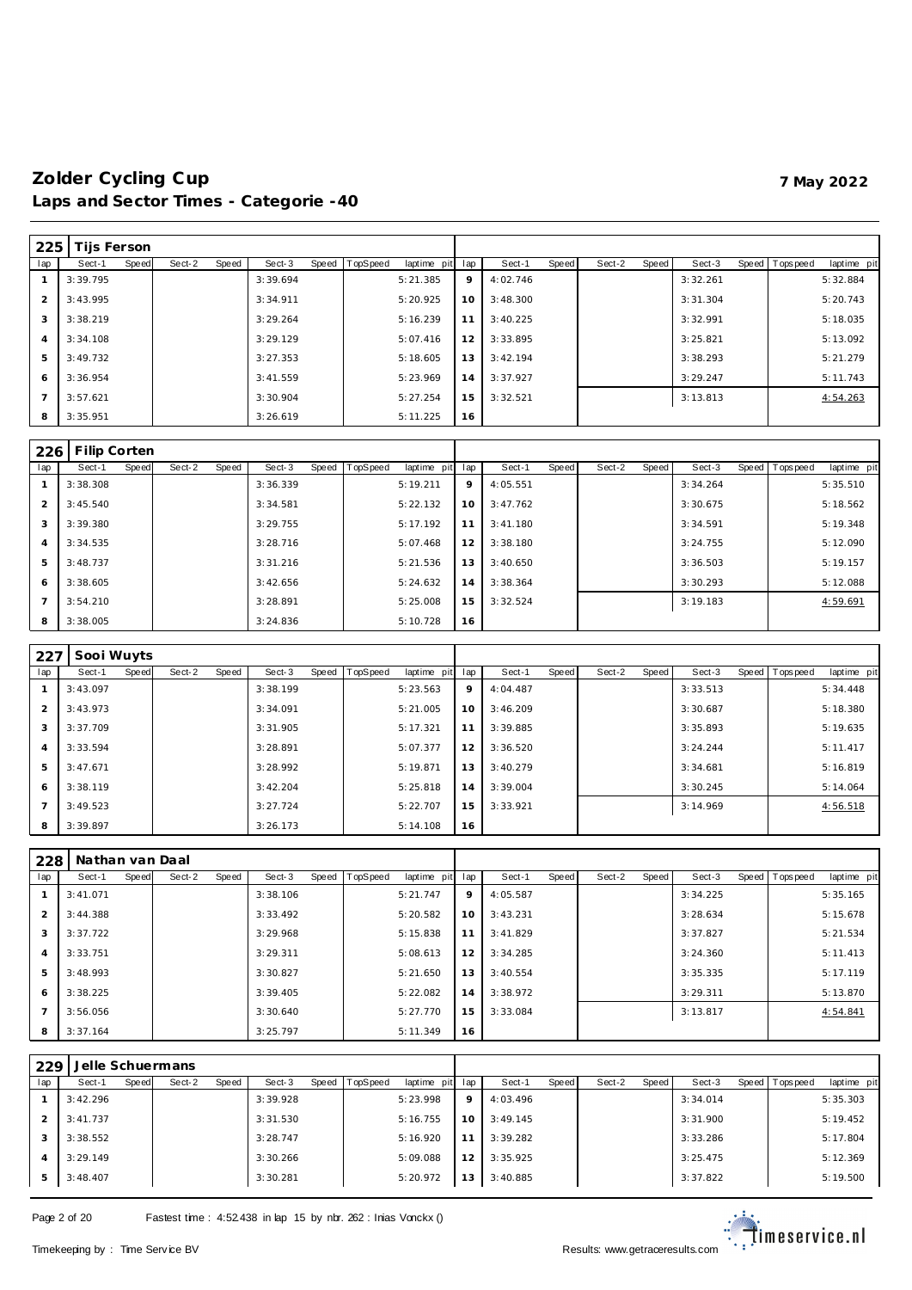| 225            | Tijs Ferson |       |        |       |          |       |          |             |     |          |       |        |       |          |                |             |
|----------------|-------------|-------|--------|-------|----------|-------|----------|-------------|-----|----------|-------|--------|-------|----------|----------------|-------------|
| lap            | Sect-1      | Speed | Sect-2 | Speed | Sect-3   | Speed | TopSpeed | laptime pit | lap | Sect-1   | Speed | Sect-2 | Speed | Sect-3   | Speed Topspeed | laptime pit |
|                | 3:39.795    |       |        |       | 3:39.694 |       |          | 5:21.385    | 9   | 4:02.746 |       |        |       | 3:32.261 |                | 5:32.884    |
| $\overline{2}$ | 3:43.995    |       |        |       | 3:34.911 |       |          | 5:20.925    | 10  | 3:48.300 |       |        |       | 3:31.304 |                | 5:20.743    |
| 3              | 3:38.219    |       |        |       | 3:29.264 |       |          | 5:16.239    | 11  | 3:40.225 |       |        |       | 3:32.991 |                | 5:18.035    |
| $\overline{4}$ | 3:34.108    |       |        |       | 3:29.129 |       |          | 5:07.416    | 12  | 3:33.895 |       |        |       | 3:25.821 |                | 5:13.092    |
| 5              | 3:49.732    |       |        |       | 3:27.353 |       |          | 5:18.605    | 13  | 3:42.194 |       |        |       | 3:38.293 |                | 5:21.279    |
| 6              | 3:36.954    |       |        |       | 3:41.559 |       |          | 5:23.969    | 14  | 3:37.927 |       |        |       | 3:29.247 |                | 5:11.743    |
| $\overline{7}$ | 3:57.621    |       |        |       | 3:30.904 |       |          | 5:27.254    | 15  | 3:32.521 |       |        |       | 3:13.813 |                | 4:54.263    |
| 8              | 3:35.951    |       |        |       | 3:26.619 |       |          | 5:11.225    | 16  |          |       |        |       |          |                |             |

| 226            | Filip Corten |       |        |       |          |       |          |             |     |          |       |        |       |          |                |             |
|----------------|--------------|-------|--------|-------|----------|-------|----------|-------------|-----|----------|-------|--------|-------|----------|----------------|-------------|
| lap            | Sect-1       | Speed | Sect-2 | Speed | Sect-3   | Speed | TopSpeed | laptime pit | lap | Sect-1   | Speed | Sect-2 | Speed | Sect-3   | Speed Topspeed | laptime pit |
|                | 3:38.308     |       |        |       | 3:36.339 |       |          | 5:19.211    | 9   | 4:05.551 |       |        |       | 3:34.264 |                | 5:35.510    |
| $\overline{2}$ | 3:45.540     |       |        |       | 3:34.581 |       |          | 5:22.132    | 10  | 3:47.762 |       |        |       | 3:30.675 |                | 5:18.562    |
| 3              | 3:39.380     |       |        |       | 3:29.755 |       |          | 5:17.192    | 11  | 3:41.180 |       |        |       | 3:34.591 |                | 5:19.348    |
| 4              | 3:34.535     |       |        |       | 3:28.716 |       |          | 5:07.468    | 12  | 3:38.180 |       |        |       | 3:24.755 |                | 5:12.090    |
| 5              | 3:48.737     |       |        |       | 3:31.216 |       |          | 5:21.536    | 13  | 3:40.650 |       |        |       | 3:36.503 |                | 5:19.157    |
| 6              | 3:38.605     |       |        |       | 3:42.656 |       |          | 5:24.632    | 14  | 3:38.364 |       |        |       | 3:30.293 |                | 5:12.088    |
|                | 3:54.210     |       |        |       | 3:28.891 |       |          | 5:25.008    | 15  | 3:32.524 |       |        |       | 3:19.183 |                | 4:59.691    |
| 8              | 3:38.005     |       |        |       | 3:24.836 |       |          | 5:10.728    | 16  |          |       |        |       |          |                |             |

| 227            | Sooi Wuyts |       |        |       |          |       |          |                 |    |          |       |        |       |          |                |             |
|----------------|------------|-------|--------|-------|----------|-------|----------|-----------------|----|----------|-------|--------|-------|----------|----------------|-------------|
| lap            | Sect-1     | Speed | Sect-2 | Speed | Sect-3   | Speed | TopSpeed | laptime pit lap |    | Sect-1   | Speed | Sect-2 | Speed | Sect-3   | Speed Topspeed | laptime pit |
|                | 3:43.097   |       |        |       | 3:38.199 |       |          | 5:23.563        | 9  | 4:04.487 |       |        |       | 3:33.513 |                | 5:34.448    |
| $\overline{2}$ | 3:43.973   |       |        |       | 3:34.091 |       |          | 5:21.005        | 10 | 3:46.209 |       |        |       | 3:30.687 |                | 5:18.380    |
| 3              | 3:37.709   |       |        |       | 3:31.905 |       |          | 5:17.321        | 11 | 3:39.885 |       |        |       | 3:35.893 |                | 5:19.635    |
| 4              | 3:33.594   |       |        |       | 3:28.891 |       |          | 5:07.377        | 12 | 3:36.520 |       |        |       | 3:24.244 |                | 5:11.417    |
| 5              | 3:47.671   |       |        |       | 3:28.992 |       |          | 5:19.871        | 13 | 3:40.279 |       |        |       | 3:34.681 |                | 5:16.819    |
| 6              | 3:38.119   |       |        |       | 3:42.204 |       |          | 5:25.818        | 14 | 3:39.004 |       |        |       | 3:30.245 |                | 5:14.064    |
|                | 3:49.523   |       |        |       | 3:27.724 |       |          | 5:22.707        | 15 | 3:33.921 |       |        |       | 3:14.969 |                | 4:56.518    |
| 8              | 3:39.897   |       |        |       | 3:26.173 |       |          | 5:14.108        | 16 |          |       |        |       |          |                |             |

| 228           | Nathan yan Daal |       |        |       |          |       |          |             |     |          |       |        |       |          |                |             |
|---------------|-----------------|-------|--------|-------|----------|-------|----------|-------------|-----|----------|-------|--------|-------|----------|----------------|-------------|
| lap           | Sect-1          | Speed | Sect-2 | Speed | Sect-3   | Speed | TopSpeed | laptime pit | lap | Sect-1   | Speed | Sect-2 | Speed | Sect-3   | Speed Topspeed | laptime pit |
|               | 3:41.071        |       |        |       | 3:38.106 |       |          | 5:21.747    | 9   | 4:05.587 |       |        |       | 3:34.225 |                | 5:35.165    |
| $\mathcal{P}$ | 3:44.388        |       |        |       | 3:33.492 |       |          | 5:20.582    | 10  | 3:43.231 |       |        |       | 3:28.634 |                | 5:15.678    |
| 3             | 3:37.722        |       |        |       | 3:29.968 |       |          | 5:15.838    | 11  | 3:41.829 |       |        |       | 3:37.827 |                | 5:21.534    |
| 4             | 3:33.751        |       |        |       | 3:29.311 |       |          | 5:08.613    | 12  | 3:34.285 |       |        |       | 3:24.360 |                | 5:11.413    |
| 5             | 3:48.993        |       |        |       | 3:30.827 |       |          | 5:21.650    | 13  | 3:40.554 |       |        |       | 3:35.335 |                | 5:17.119    |
| 6             | 3:38.225        |       |        |       | 3:39.405 |       |          | 5:22.082    | 14  | 3:38.972 |       |        |       | 3:29.311 |                | 5:13.870    |
|               | 3:56.056        |       |        |       | 3:30.640 |       |          | 5:27.770    | 15  | 3:33.084 |       |        |       | 3:13.817 |                | 4:54.841    |
| 8             | 3:37.164        |       |        |       | 3:25.797 |       |          | 5:11.349    | 16  |          |       |        |       |          |                |             |

| 229 |          |       | Jelle Schuermans |       |          |                |             |     |          |       |        |       |          |                |             |
|-----|----------|-------|------------------|-------|----------|----------------|-------------|-----|----------|-------|--------|-------|----------|----------------|-------------|
| lap | Sect-1   | Speed | Sect-2           | Speed | Sect-3   | Speed TopSpeed | laptime pit | lap | Sect-1   | Speed | Sect-2 | Speed | Sect-3   | Speed Topspeed | laptime pit |
|     | 3:42.296 |       |                  |       | 3:39.928 |                | 5:23.998    | 9   | 4:03.496 |       |        |       | 3:34.014 |                | 5:35.303    |
| フ   | 3:41.737 |       |                  |       | 3:31.530 |                | 5:16.755    | 10  | 3:49.145 |       |        |       | 3:31.900 |                | 5:19.452    |
| 3   | 3:38.552 |       |                  |       | 3:28.747 |                | 5:16.920    |     | 3:39.282 |       |        |       | 3:33.286 |                | 5:17.804    |
| 4   | 3:29.149 |       |                  |       | 3:30.266 |                | 5:09.088    | 12  | 3:35.925 |       |        |       | 3:25.475 |                | 5:12.369    |
| 5   | 3:48.407 |       |                  |       | 3:30.281 |                | 5:20.972    | 3   | 3:40.885 |       |        |       | 3:37.822 |                | 5:19.500    |

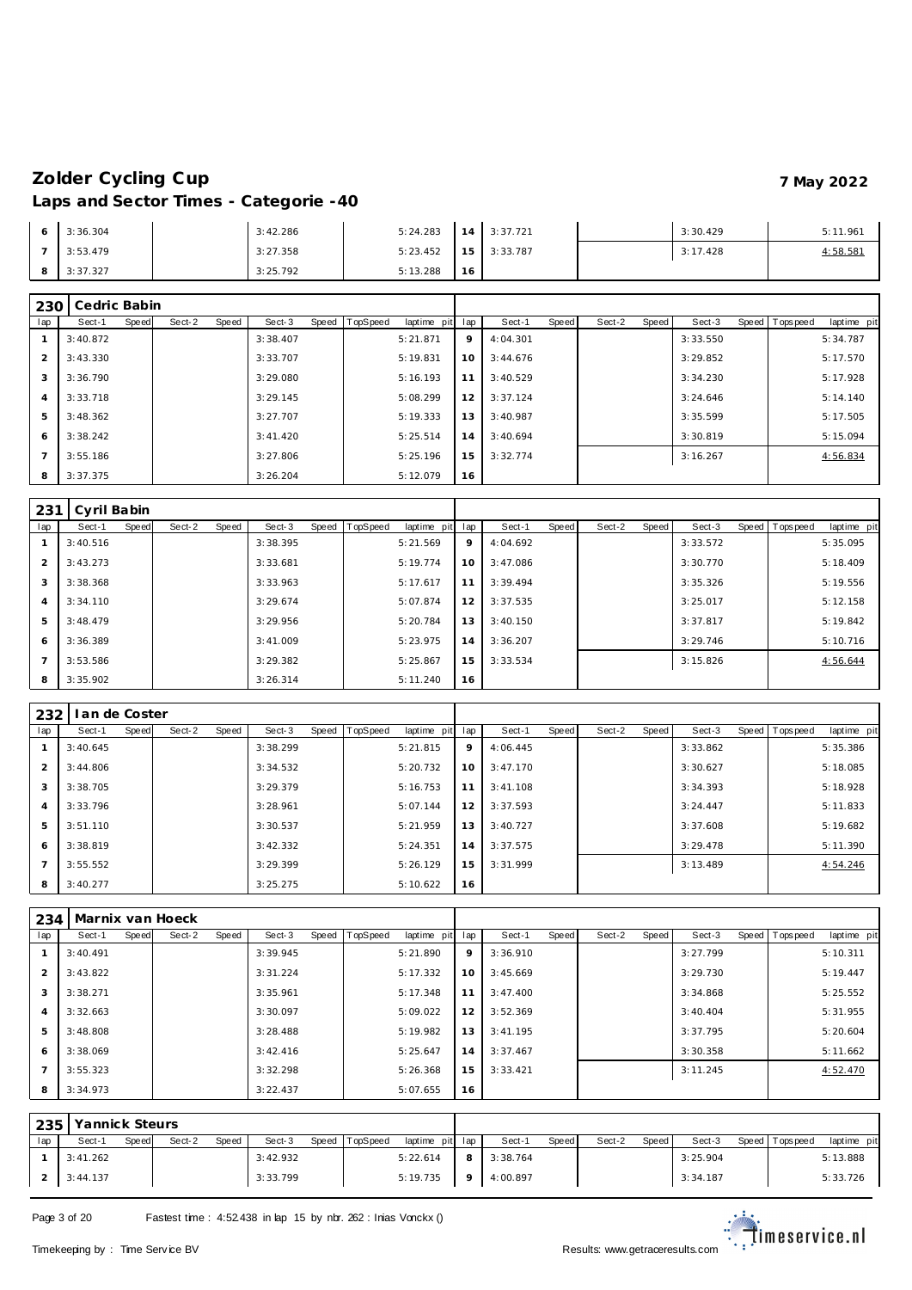|   | 3:36.304 | 3:42.286 | 5:24.283 | 14 | 3:37.721      | 3:30.429 | 5:11.961 |
|---|----------|----------|----------|----|---------------|----------|----------|
|   | 3:53.479 | 3:27.358 | 5:23.452 |    | $15$ 3:33.787 | 3:17.428 | 4:58.581 |
| 8 | 3:37.327 | 3:25.792 | 5:13.288 | 16 |               |          |          |

| 230            | Cedric Babin |       |        |       |           |       |          |                 |             |          |       |        |       |          |                |             |
|----------------|--------------|-------|--------|-------|-----------|-------|----------|-----------------|-------------|----------|-------|--------|-------|----------|----------------|-------------|
| lap            | Sect-1       | Speed | Sect-2 | Speed | Sect-3    | Speed | TopSpeed | laptime pit lap |             | Sect-1   | Speed | Sect-2 | Speed | Sect-3   | Speed Topspeed | laptime pit |
|                | 3:40.872     |       |        |       | 3:38.407  |       |          | 5:21.871        | $\mathsf Q$ | 4:04.301 |       |        |       | 3:33.550 |                | 5:34.787    |
| $\mathcal{P}$  | 3:43.330     |       |        |       | 3:33.707  |       |          | 5:19.831        | 10          | 3:44.676 |       |        |       | 3:29.852 |                | 5:17.570    |
| 3              | 3:36.790     |       |        |       | 3:29.080  |       |          | 5:16.193        | 11          | 3:40.529 |       |        |       | 3:34.230 |                | 5:17.928    |
| $\overline{4}$ | 3:33.718     |       |        |       | 3:29.145  |       |          | 5:08.299        | 12          | 3:37.124 |       |        |       | 3:24.646 |                | 5:14.140    |
| 5              | 3:48.362     |       |        |       | 3:27.707  |       |          | 5:19.333        | 13          | 3:40.987 |       |        |       | 3:35.599 |                | 5:17.505    |
| 6              | 3:38.242     |       |        |       | 3: 41.420 |       |          | 5:25.514        | 14          | 3:40.694 |       |        |       | 3:30.819 |                | 5:15.094    |
| $\mathcal{L}$  | 3:55.186     |       |        |       | 3:27.806  |       |          | 5:25.196        | 15          | 3:32.774 |       |        |       | 3:16.267 |                | 4:56.834    |
| 8              | 3:37.375     |       |        |       | 3:26.204  |       |          | 5:12.079        | 16          |          |       |        |       |          |                |             |

| 231            | Cyril Babin |       |        |       |          |       |          |                 |    |          |       |        |       |          |                |             |
|----------------|-------------|-------|--------|-------|----------|-------|----------|-----------------|----|----------|-------|--------|-------|----------|----------------|-------------|
| lap            | Sect-1      | Speed | Sect-2 | Speed | Sect-3   | Speed | TopSpeed | laptime pit lap |    | Sect-1   | Speed | Sect-2 | Speed | Sect-3   | Speed Topspeed | laptime pit |
|                | 3:40.516    |       |        |       | 3:38.395 |       |          | 5:21.569        | 9  | 4:04.692 |       |        |       | 3:33.572 |                | 5:35.095    |
| $\overline{2}$ | 3:43.273    |       |        |       | 3:33.681 |       |          | 5:19.774        | 10 | 3:47.086 |       |        |       | 3:30.770 |                | 5:18.409    |
| 3              | 3:38.368    |       |        |       | 3:33.963 |       |          | 5:17.617        | 11 | 3:39.494 |       |        |       | 3:35.326 |                | 5:19.556    |
| $\overline{4}$ | 3:34.110    |       |        |       | 3:29.674 |       |          | 5:07.874        | 12 | 3:37.535 |       |        |       | 3:25.017 |                | 5:12.158    |
| 5              | 3:48.479    |       |        |       | 3:29.956 |       |          | 5:20.784        | 13 | 3:40.150 |       |        |       | 3:37.817 |                | 5:19.842    |
| 6              | 3:36.389    |       |        |       | 3:41.009 |       |          | 5:23.975        | 14 | 3:36.207 |       |        |       | 3:29.746 |                | 5:10.716    |
|                | 3:53.586    |       |        |       | 3:29.382 |       |          | 5:25.867        | 15 | 3:33.534 |       |        |       | 3:15.826 |                | 4:56.644    |
| 8              | 3:35.902    |       |        |       | 3:26.314 |       |          | 5:11.240        | 16 |          |       |        |       |          |                |             |

| 232            | I an de Coster |       |        |       |          |       |          |             |         |          |       |        |       |          |                |             |
|----------------|----------------|-------|--------|-------|----------|-------|----------|-------------|---------|----------|-------|--------|-------|----------|----------------|-------------|
| lap            | Sect-1         | Speed | Sect-2 | Speed | Sect-3   | Speed | TopSpeed | laptime pit | lap     | Sect-1   | Speed | Sect-2 | Speed | Sect-3   | Speed Topspeed | laptime pit |
|                | 3:40.645       |       |        |       | 3:38.299 |       |          | 5:21.815    | $\circ$ | 4:06.445 |       |        |       | 3:33.862 |                | 5:35.386    |
| $\overline{2}$ | 3:44.806       |       |        |       | 3:34.532 |       |          | 5:20.732    | 10      | 3:47.170 |       |        |       | 3:30.627 |                | 5:18.085    |
| 3              | 3:38.705       |       |        |       | 3:29.379 |       |          | 5:16.753    | 11      | 3:41.108 |       |        |       | 3:34.393 |                | 5:18.928    |
| $\overline{4}$ | 3:33.796       |       |        |       | 3:28.961 |       |          | 5:07.144    | 12      | 3:37.593 |       |        |       | 3:24.447 |                | 5:11.833    |
| 5              | 3:51.110       |       |        |       | 3:30.537 |       |          | 5:21.959    | 13      | 3:40.727 |       |        |       | 3:37.608 |                | 5:19.682    |
| 6              | 3:38.819       |       |        |       | 3:42.332 |       |          | 5:24.351    | 14      | 3:37.575 |       |        |       | 3:29.478 |                | 5:11.390    |
| $\overline{ }$ | 3:55.552       |       |        |       | 3:29.399 |       |          | 5:26.129    | 15      | 3:31.999 |       |        |       | 3:13.489 |                | 4:54.246    |
| 8              | 3:40.277       |       |        |       | 3:25.275 |       |          | 5:10.622    | 16      |          |       |        |       |          |                |             |

|                | 234      |       | Marnix van Hoeck |       |          |       |          |             |         |          |       |        |       |          |                |             |
|----------------|----------|-------|------------------|-------|----------|-------|----------|-------------|---------|----------|-------|--------|-------|----------|----------------|-------------|
| lap            | Sect-1   | Speed | Sect-2           | Speed | Sect-3   | Speed | TopSpeed | laptime pit | lap     | Sect-1   | Speed | Sect-2 | Speed | Sect-3   | Speed Topspeed | laptime pit |
|                | 3:40.491 |       |                  |       | 3:39.945 |       |          | 5:21.890    | $\circ$ | 3:36.910 |       |        |       | 3:27.799 |                | 5:10.311    |
| $\overline{2}$ | 3:43.822 |       |                  |       | 3:31.224 |       |          | 5:17.332    | 10      | 3:45.669 |       |        |       | 3:29.730 |                | 5:19.447    |
| 3              | 3:38.271 |       |                  |       | 3:35.961 |       |          | 5:17.348    | 11      | 3:47.400 |       |        |       | 3:34.868 |                | 5:25.552    |
| $\overline{4}$ | 3:32.663 |       |                  |       | 3:30.097 |       |          | 5:09.022    | 12      | 3:52.369 |       |        |       | 3:40.404 |                | 5:31.955    |
| 5              | 3:48.808 |       |                  |       | 3:28.488 |       |          | 5:19.982    | 13      | 3:41.195 |       |        |       | 3:37.795 |                | 5:20.604    |
| 6              | 3:38.069 |       |                  |       | 3:42.416 |       |          | 5:25.647    | 14      | 3:37.467 |       |        |       | 3:30.358 |                | 5:11.662    |
| $\overline{ }$ | 3:55.323 |       |                  |       | 3:32.298 |       |          | 5:26.368    | 15      | 3:33.421 |       |        |       | 3:11.245 |                | 4:52.470    |
| 8              | 3:34.973 |       |                  |       | 3:22.437 |       |          | 5:07.655    | 16      |          |       |        |       |          |                |             |

| 235 | Yannick Steurs |       |        |       |          |       |          |                 |     |            |              |        |       |          |                 |             |
|-----|----------------|-------|--------|-------|----------|-------|----------|-----------------|-----|------------|--------------|--------|-------|----------|-----------------|-------------|
| lap | Sect-1         | Speed | Sect-2 | Speed | Sect-3   | Speed | TopSpeed | laptime pit lap |     | Sect-1     | <b>Speed</b> | Sect-2 | Speed | Sect-3   | Speed Tops peed | laptime pit |
|     | 3:41.262       |       |        |       | 3:42.932 |       |          | 5:22.614        | 8 I | 3:38.764   |              |        |       | 3:25.904 |                 | 5:13.888    |
|     | 3:44.137       |       |        |       | 3:33.799 |       |          | 5:19.735        |     | 9 4:00.897 |              |        |       | 3:34.187 |                 | 5:33.726    |

Page 3 of 20 Fastest time : 4:52.438 in lap 15 by nbr. 262 : Inias Vonckx ()

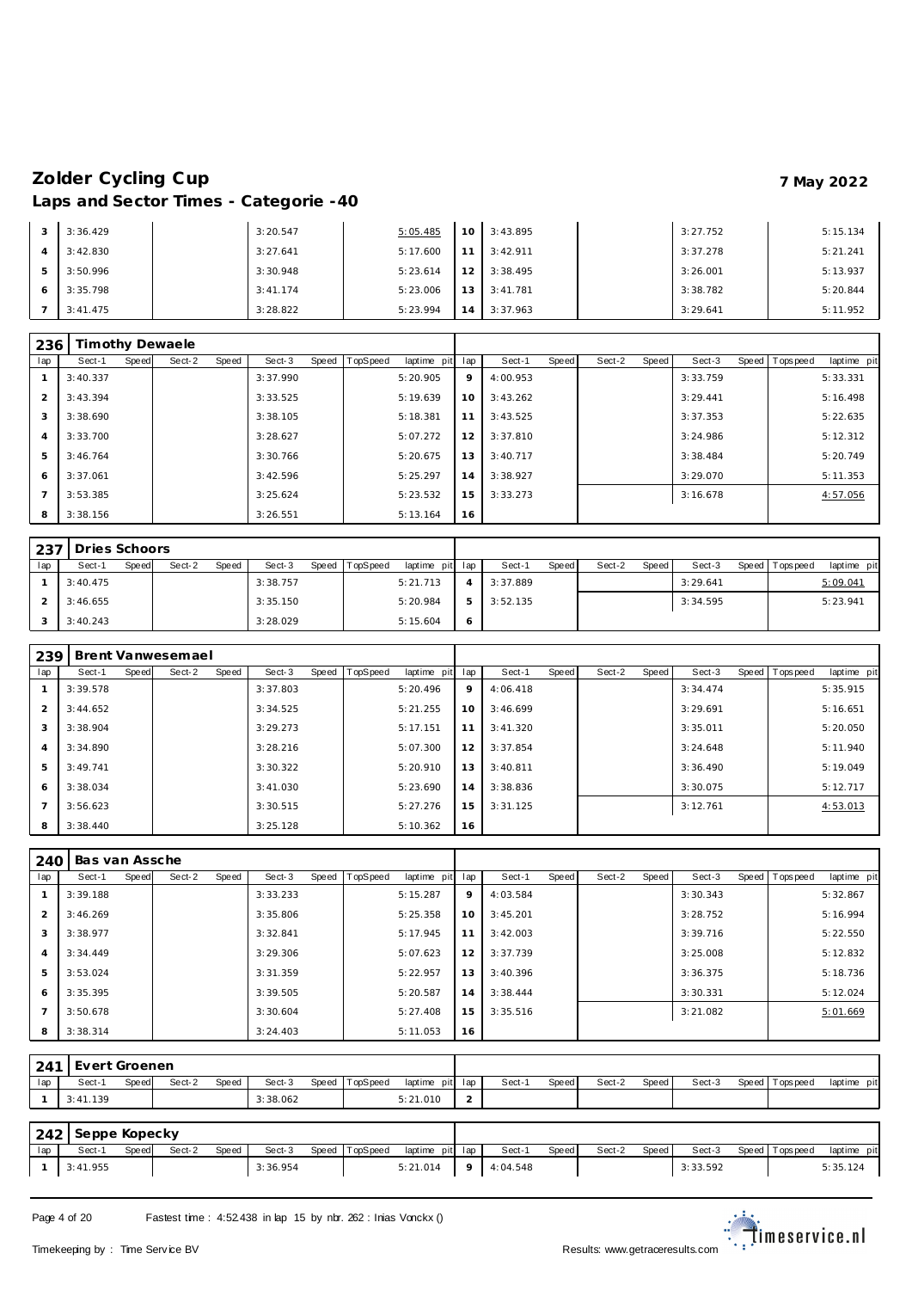| 3              | 3:36.429 | 3:20.547  | 5:05.485 | 10 <sub>1</sub> | 3:43.895 | 3:27.752 | 5:15.134 |
|----------------|----------|-----------|----------|-----------------|----------|----------|----------|
| $\overline{A}$ | 3:42.830 | 3:27.641  | 5:17.600 | 11              | 3:42.911 | 3:37.278 | 5:21.241 |
| 5              | 3:50.996 | 3:30.948  | 5:23.614 | 12              | 3:38.495 | 3:26.001 | 5:13.937 |
| 6              | 3:35.798 | 3: 41.174 | 5:23.006 | 13              | 3:41.781 | 3:38.782 | 5:20.844 |
|                | 3:41.475 | 3:28.822  | 5:23.994 | 14              | 3:37.963 | 3:29.641 | 5:11.952 |

| 236            |          |       | Timothy Dewaele |       |          |                |             |     |          |       |        |       |          |                |             |
|----------------|----------|-------|-----------------|-------|----------|----------------|-------------|-----|----------|-------|--------|-------|----------|----------------|-------------|
| lap            | Sect-1   | Speed | Sect-2          | Speed | Sect-3   | Speed TopSpeed | laptime pit | lap | Sect-1   | Speed | Sect-2 | Speed | Sect-3   | Speed Topspeed | laptime pit |
|                | 3:40.337 |       |                 |       | 3:37.990 |                | 5:20.905    | 9   | 4:00.953 |       |        |       | 3:33.759 |                | 5:33.331    |
| 2              | 3:43.394 |       |                 |       | 3:33.525 |                | 5:19.639    | 10  | 3:43.262 |       |        |       | 3:29.441 |                | 5:16.498    |
| 3              | 3:38.690 |       |                 |       | 3:38.105 |                | 5:18.381    | 11  | 3:43.525 |       |        |       | 3:37.353 |                | 5:22.635    |
| $\overline{4}$ | 3:33.700 |       |                 |       | 3:28.627 |                | 5:07.272    | 12  | 3:37.810 |       |        |       | 3:24.986 |                | 5:12.312    |
| 5              | 3:46.764 |       |                 |       | 3:30.766 |                | 5:20.675    | 13  | 3:40.717 |       |        |       | 3:38.484 |                | 5:20.749    |
| 6              | 3:37.061 |       |                 |       | 3:42.596 |                | 5:25.297    | 14  | 3:38.927 |       |        |       | 3:29.070 |                | 5:11.353    |
|                | 3:53.385 |       |                 |       | 3:25.624 |                | 5:23.532    | 15  | 3:33.273 |       |        |       | 3:16.678 |                | 4:57.056    |
| 8              | 3:38.156 |       |                 |       | 3:26.551 |                | 5:13.164    | 16  |          |       |        |       |          |                |             |

|     | 237 Dries Schoors |       |        |       |          |           |          |                 |          |       |        |       |          |                 |             |
|-----|-------------------|-------|--------|-------|----------|-----------|----------|-----------------|----------|-------|--------|-------|----------|-----------------|-------------|
| lap | Sect-1            | Speed | Sect-2 | Speed | Sect-3   | Speed   T | TopSpeed | laptime pit lap | Sect-1   | Speed | Sect-2 | Speed | Sect-3   | Speed Tops peed | laptime pit |
|     | 3:40.475          |       |        |       | 3:38.757 |           |          | 5:21.713        | 3:37.889 |       |        |       | 3:29.641 |                 | 5:09.041    |
|     | 3:46.655          |       |        |       | 3:35.150 |           |          | 5:20.984        | 3:52.135 |       |        |       | 3:34.595 |                 | 5:23.941    |
|     | 3:40.243          |       |        |       | 3:28.029 |           |          | 5:15.604        |          |       |        |       |          |                 |             |

| 239            |          |       | <b>Brent Vanwesemael</b> |       |          |       |          |             |     |          |       |        |       |          |                |             |
|----------------|----------|-------|--------------------------|-------|----------|-------|----------|-------------|-----|----------|-------|--------|-------|----------|----------------|-------------|
| lap            | Sect-1   | Speed | Sect-2                   | Speed | Sect-3   | Speed | TopSpeed | laptime pit | lap | Sect-1   | Speed | Sect-2 | Speed | Sect-3   | Speed Topspeed | laptime pit |
|                | 3:39.578 |       |                          |       | 3:37.803 |       |          | 5:20.496    | 9   | 4:06.418 |       |        |       | 3:34.474 |                | 5:35.915    |
| $\overline{2}$ | 3:44.652 |       |                          |       | 3:34.525 |       |          | 5:21.255    | 10  | 3:46.699 |       |        |       | 3:29.691 |                | 5:16.651    |
| 3              | 3:38.904 |       |                          |       | 3:29.273 |       |          | 5:17.151    | 11  | 3:41.320 |       |        |       | 3:35.011 |                | 5:20.050    |
| $\overline{4}$ | 3:34.890 |       |                          |       | 3:28.216 |       |          | 5:07.300    | 12  | 3:37.854 |       |        |       | 3:24.648 |                | 5:11.940    |
| 5              | 3:49.741 |       |                          |       | 3:30.322 |       |          | 5:20.910    | 13  | 3:40.811 |       |        |       | 3:36.490 |                | 5:19.049    |
| 6              | 3:38.034 |       |                          |       | 3:41.030 |       |          | 5:23.690    | 14  | 3:38.836 |       |        |       | 3:30.075 |                | 5:12.717    |
| $\overline{7}$ | 3:56.623 |       |                          |       | 3:30.515 |       |          | 5:27.276    | 15  | 3:31.125 |       |        |       | 3:12.761 |                | 4:53.013    |
| 8              | 3:38.440 |       |                          |       | 3:25.128 |       |          | 5:10.362    | 16  |          |       |        |       |          |                |             |

| 240            | Bas van Assche |       |        |       |          |       |          |             |     |          |       |        |       |          |                |             |
|----------------|----------------|-------|--------|-------|----------|-------|----------|-------------|-----|----------|-------|--------|-------|----------|----------------|-------------|
| lap            | Sect-1         | Speed | Sect-2 | Speed | Sect-3   | Speed | TopSpeed | laptime pit | lap | Sect-1   | Speed | Sect-2 | Speed | Sect-3   | Speed Topspeed | laptime pit |
|                | 3:39.188       |       |        |       | 3:33.233 |       |          | 5:15.287    | 9   | 4:03.584 |       |        |       | 3:30.343 |                | 5:32.867    |
| $\overline{2}$ | 3:46.269       |       |        |       | 3:35.806 |       |          | 5:25.358    | 10  | 3:45.201 |       |        |       | 3:28.752 |                | 5:16.994    |
| 3              | 3:38.977       |       |        |       | 3:32.841 |       |          | 5:17.945    | 11  | 3:42.003 |       |        |       | 3:39.716 |                | 5:22.550    |
| $\overline{4}$ | 3:34.449       |       |        |       | 3:29.306 |       |          | 5:07.623    | 12  | 3:37.739 |       |        |       | 3:25.008 |                | 5:12.832    |
| 5              | 3:53.024       |       |        |       | 3:31.359 |       |          | 5:22.957    | 13  | 3:40.396 |       |        |       | 3:36.375 |                | 5:18.736    |
| 6              | 3:35.395       |       |        |       | 3:39.505 |       |          | 5:20.587    | 14  | 3:38.444 |       |        |       | 3:30.331 |                | 5:12.024    |
| $\overline{7}$ | 3:50.678       |       |        |       | 3:30.604 |       |          | 5:27.408    | 15  | 3:35.516 |       |        |       | 3:21.082 |                | 5:01.669    |
| 8              | 3:38.314       |       |        |       | 3:24.403 |       |          | 5:11.053    | 16  |          |       |        |       |          |                |             |

| 241 | Evert Groenen |       |        |       |          |       |          |                 |        |       |        |       |        |                   |             |
|-----|---------------|-------|--------|-------|----------|-------|----------|-----------------|--------|-------|--------|-------|--------|-------------------|-------------|
| lap | Sect-1        | Speed | Sect-2 | Speed | Sect-3   | Speed | TopSpeed | laptime pit lap | Sect-1 | Speed | Sect-2 | Speed | Sect-3 | Speed   Tops peed | laptime pit |
|     | 3:41.139      |       |        |       | 3:38.062 |       |          | 5:21.010        |        |       |        |       |        |                   |             |

|     | 242 Seppe Kopecky |       |        |       |          |                |                 |   |          |       |        |       |          |                 |             |
|-----|-------------------|-------|--------|-------|----------|----------------|-----------------|---|----------|-------|--------|-------|----------|-----------------|-------------|
| lap | Sect-             | Speed | Sect-2 | Speed | Sect-3   | Speed TopSpeed | laptime pit lap |   | Sect-1   | Speed | Sect-2 | Speed | Sect-3   | Speed Tops peed | laptime pit |
|     | 3:41.955          |       |        |       | 3:36.954 |                | 5:21.014        | 9 | 4:04.548 |       |        |       | 3:33.592 |                 | 5:35.124    |

Page 4 of 20 Fastest time : 4:52.438 in lap 15 by nbr. 262 : Inias Vonckx ()

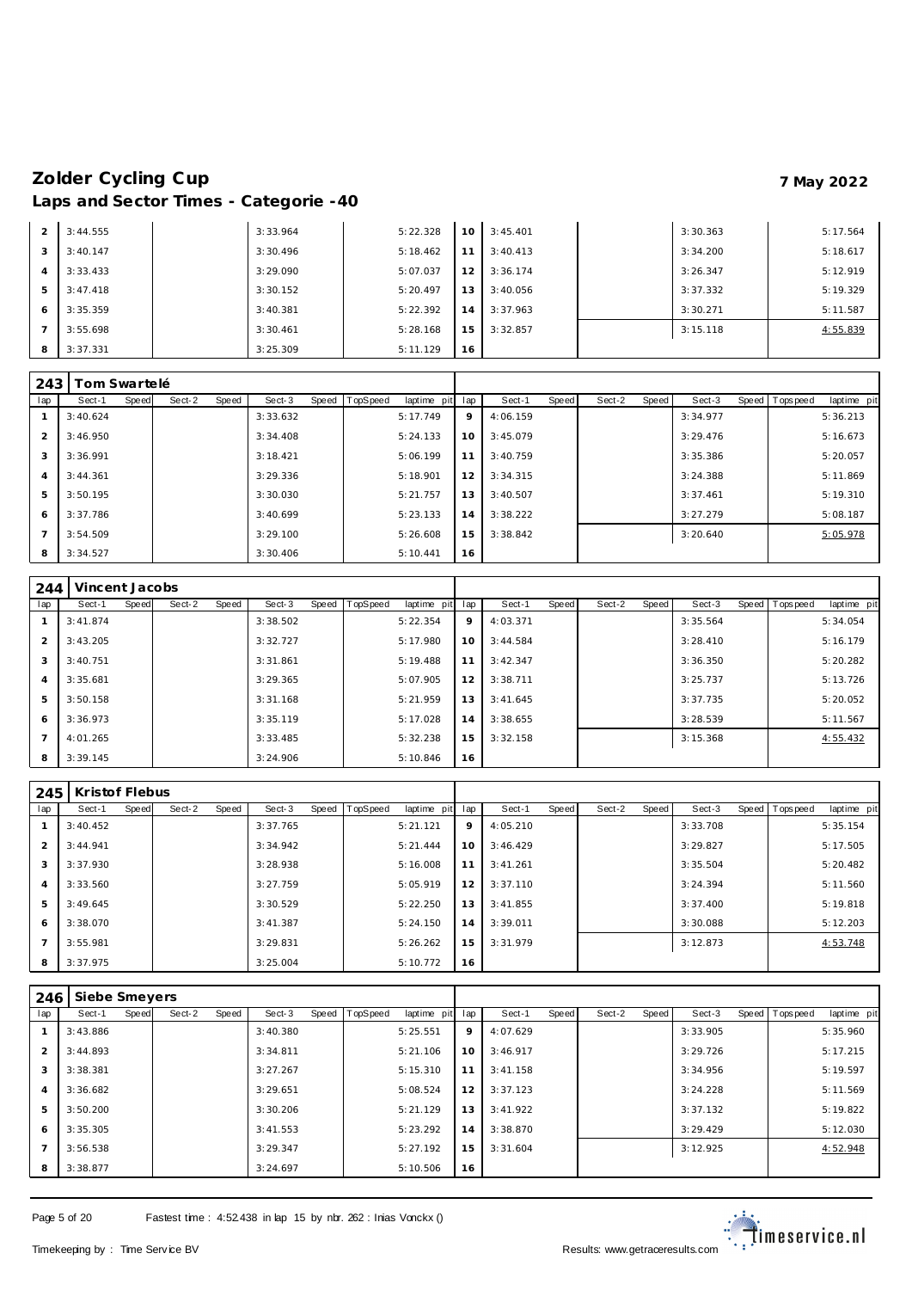| 2              | 3:44.555 | 3:33.964 | 5:22.328 | 10 | 3:45.401 | 3:30.363 | 5:17.564 |
|----------------|----------|----------|----------|----|----------|----------|----------|
| 3              | 3:40.147 | 3:30.496 | 5:18.462 | 11 | 3:40.413 | 3:34.200 | 5:18.617 |
| $\overline{A}$ | 3:33.433 | 3:29.090 | 5:07.037 | 12 | 3:36.174 | 3:26.347 | 5:12.919 |
| 5              | 3:47.418 | 3:30.152 | 5:20.497 | 13 | 3:40.056 | 3:37.332 | 5:19.329 |
| 6              | 3:35.359 | 3:40.381 | 5:22.392 | 14 | 3:37.963 | 3:30.271 | 5:11.587 |
|                | 3:55.698 | 3:30.461 | 5:28.168 | 15 | 3:32.857 | 3:15.118 | 4:55.839 |
| 8              | 3:37.331 | 3:25.309 | 5:11.129 | 16 |          |          |          |

| 243            | ⊺om Swartelé |       |        |       |          |           |                 |             |     |          |       |        |       |          |                |             |
|----------------|--------------|-------|--------|-------|----------|-----------|-----------------|-------------|-----|----------|-------|--------|-------|----------|----------------|-------------|
| lap            | Sect-1       | Speed | Sect-2 | Speed | Sect-3   | Speed   T | <b>TopSpeed</b> | laptime pit | lap | Sect-1   | Speed | Sect-2 | Speed | Sect-3   | Speed Topspeed | laptime pit |
|                | 3:40.624     |       |        |       | 3:33.632 |           |                 | 5:17.749    | 9   | 4:06.159 |       |        |       | 3:34.977 |                | 5:36.213    |
| 2              | 3:46.950     |       |        |       | 3:34.408 |           |                 | 5:24.133    | 10  | 3:45.079 |       |        |       | 3:29.476 |                | 5:16.673    |
| 3              | 3:36.991     |       |        |       | 3:18.421 |           |                 | 5:06.199    | 11  | 3:40.759 |       |        |       | 3:35.386 |                | 5:20.057    |
| $\overline{4}$ | 3:44.361     |       |        |       | 3:29.336 |           |                 | 5:18.901    | 12  | 3:34.315 |       |        |       | 3:24.388 |                | 5:11.869    |
| 5              | 3:50.195     |       |        |       | 3:30.030 |           |                 | 5:21.757    | 13  | 3:40.507 |       |        |       | 3:37.461 |                | 5:19.310    |
| 6              | 3:37.786     |       |        |       | 3:40.699 |           |                 | 5:23.133    | 14  | 3:38.222 |       |        |       | 3:27.279 |                | 5:08.187    |
| $\overline{7}$ | 3:54.509     |       |        |       | 3:29.100 |           |                 | 5:26.608    | 15  | 3:38.842 |       |        |       | 3:20.640 |                | 5:05.978    |
| 8              | 3:34.527     |       |        |       | 3:30.406 |           |                 | 5:10.441    | 16  |          |       |        |       |          |                |             |

| 244            | Vincent Jacobs |       |        |       |          |                |             |     |          |       |        |       |          |                   |             |
|----------------|----------------|-------|--------|-------|----------|----------------|-------------|-----|----------|-------|--------|-------|----------|-------------------|-------------|
| lap            | Sect-1         | Speed | Sect-2 | Speed | Sect-3   | Speed TopSpeed | laptime pit | lap | Sect-1   | Speed | Sect-2 | Speed | Sect-3   | Speed   Tops peed | laptime pit |
|                | 3:41.874       |       |        |       | 3:38.502 |                | 5:22.354    | 9   | 4:03.371 |       |        |       | 3:35.564 |                   | 5:34.054    |
| $\mathcal{P}$  | 3:43.205       |       |        |       | 3:32.727 |                | 5:17.980    | 10  | 3:44.584 |       |        |       | 3:28.410 |                   | 5:16.179    |
| 3              | 3:40.751       |       |        |       | 3:31.861 |                | 5:19.488    | 11  | 3:42.347 |       |        |       | 3:36.350 |                   | 5:20.282    |
| $\overline{4}$ | 3:35.681       |       |        |       | 3:29.365 |                | 5:07.905    | 12  | 3:38.711 |       |        |       | 3:25.737 |                   | 5:13.726    |
| 5              | 3:50.158       |       |        |       | 3:31.168 |                | 5:21.959    | 13  | 3:41.645 |       |        |       | 3:37.735 |                   | 5:20.052    |
| 6              | 3:36.973       |       |        |       | 3:35.119 |                | 5:17.028    | 14  | 3:38.655 |       |        |       | 3:28.539 |                   | 5:11.567    |
| $\overline{ }$ | 4:01.265       |       |        |       | 3:33.485 |                | 5:32.238    | 15  | 3:32.158 |       |        |       | 3:15.368 |                   | 4:55.432    |
| 8              | 3:39.145       |       |        |       | 3:24.906 |                | 5:10.846    | 16  |          |       |        |       |          |                   |             |

| 245            | Kristof Flebus |       |        |       |          |       |          |             |     |          |       |        |       |          |                   |             |
|----------------|----------------|-------|--------|-------|----------|-------|----------|-------------|-----|----------|-------|--------|-------|----------|-------------------|-------------|
| lap            | Sect-1         | Speed | Sect-2 | Speed | Sect-3   | Speed | TopSpeed | laptime pit | lap | Sect-1   | Speed | Sect-2 | Speed | Sect-3   | Speed   Tops peed | laptime pit |
|                | 3:40.452       |       |        |       | 3:37.765 |       |          | 5:21.121    | 9   | 4:05.210 |       |        |       | 3:33.708 |                   | 5:35.154    |
| 2              | 3:44.941       |       |        |       | 3:34.942 |       |          | 5:21.444    | 10  | 3:46.429 |       |        |       | 3:29.827 |                   | 5:17.505    |
| 3              | 3:37.930       |       |        |       | 3:28.938 |       |          | 5:16.008    | 11  | 3:41.261 |       |        |       | 3:35.504 |                   | 5:20.482    |
| $\overline{4}$ | 3:33.560       |       |        |       | 3:27.759 |       |          | 5:05.919    | 12  | 3:37.110 |       |        |       | 3:24.394 |                   | 5:11.560    |
| 5              | 3:49.645       |       |        |       | 3:30.529 |       |          | 5:22.250    | 13  | 3:41.855 |       |        |       | 3:37.400 |                   | 5:19.818    |
| 6              | 3:38.070       |       |        |       | 3:41.387 |       |          | 5:24.150    | 14  | 3:39.011 |       |        |       | 3:30.088 |                   | 5:12.203    |
|                | 3:55.981       |       |        |       | 3:29.831 |       |          | 5:26.262    | 15  | 3:31.979 |       |        |       | 3:12.873 |                   | 4:53.748    |
| 8              | 3:37.975       |       |        |       | 3:25.004 |       |          | 5:10.772    | 16  |          |       |        |       |          |                   |             |

| 246            | Siebe Smeyers |       |        |       |          |                |             |     |          |       |        |       |          |                |             |
|----------------|---------------|-------|--------|-------|----------|----------------|-------------|-----|----------|-------|--------|-------|----------|----------------|-------------|
| lap            | Sect-1        | Speed | Sect-2 | Speed | Sect-3   | Speed TopSpeed | laptime pit | lap | Sect-1   | Speed | Sect-2 | Speed | Sect-3   | Speed Topspeed | laptime pit |
|                | 3:43.886      |       |        |       | 3:40.380 |                | 5:25.551    | 9   | 4:07.629 |       |        |       | 3:33.905 |                | 5:35.960    |
| 2              | 3:44.893      |       |        |       | 3:34.811 |                | 5:21.106    | 10  | 3:46.917 |       |        |       | 3:29.726 |                | 5:17.215    |
| 3              | 3:38.381      |       |        |       | 3:27.267 |                | 5:15.310    | 11  | 3:41.158 |       |        |       | 3:34.956 |                | 5:19.597    |
| $\overline{4}$ | 3:36.682      |       |        |       | 3:29.651 |                | 5:08.524    | 12  | 3:37.123 |       |        |       | 3:24.228 |                | 5:11.569    |
| 5              | 3:50.200      |       |        |       | 3:30.206 |                | 5:21.129    | 13  | 3:41.922 |       |        |       | 3:37.132 |                | 5:19.822    |
| 6              | 3:35.305      |       |        |       | 3:41.553 |                | 5:23.292    | 14  | 3:38.870 |       |        |       | 3:29.429 |                | 5:12.030    |
|                | 3:56.538      |       |        |       | 3:29.347 |                | 5:27.192    | 15  | 3:31.604 |       |        |       | 3:12.925 |                | 4:52.948    |
| 8              | 3:38.877      |       |        |       | 3:24.697 |                | 5:10.506    | 16  |          |       |        |       |          |                |             |

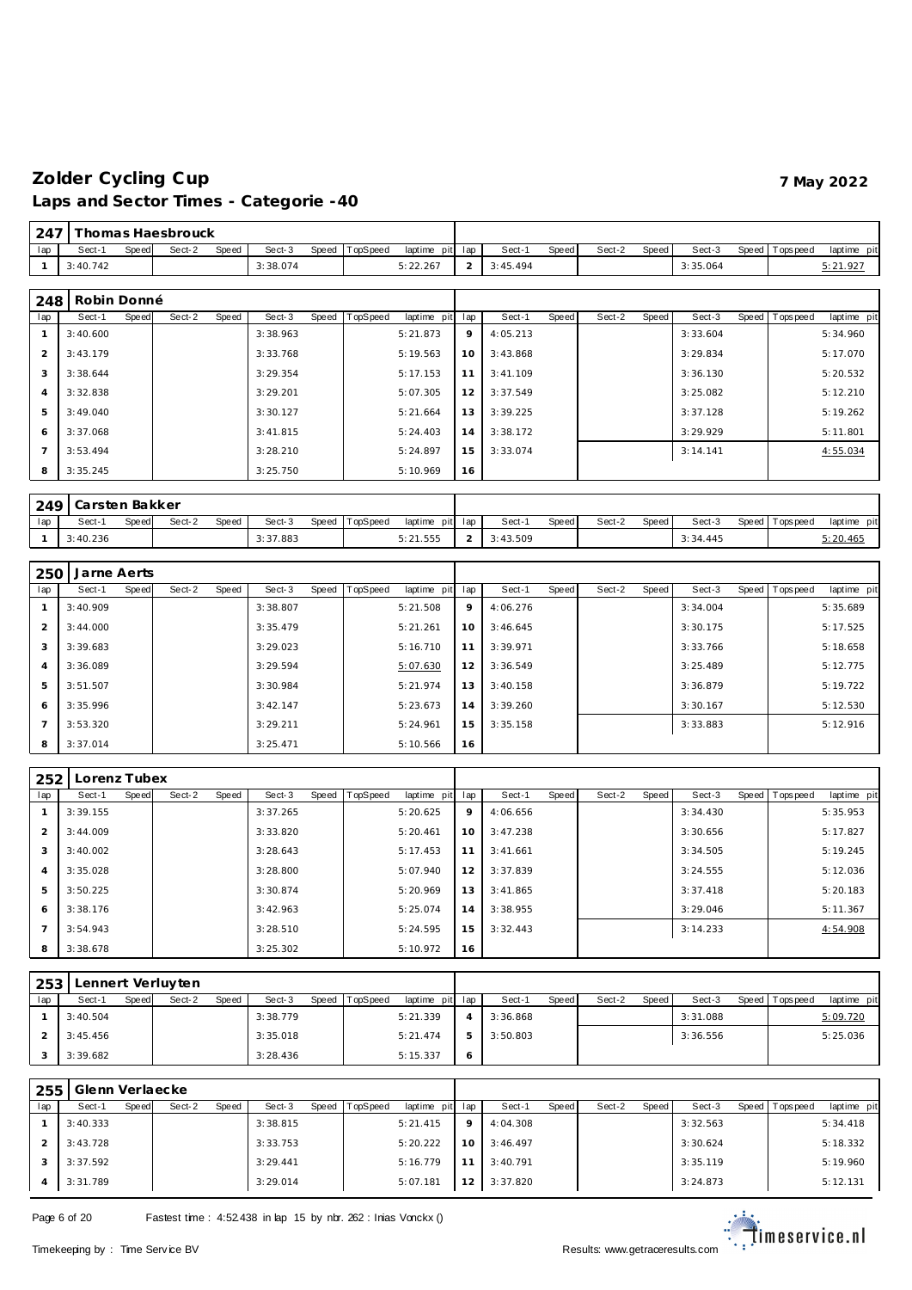| 247 |             |       | Thomas Haesbrouck. |       |          |       |          |             |     |          |       |        |       |          |       |                |             |
|-----|-------------|-------|--------------------|-------|----------|-------|----------|-------------|-----|----------|-------|--------|-------|----------|-------|----------------|-------------|
| lap | Sect-1      | Speed | Sect-2             | Speed | Sect-3   | Speed | TopSpeed | laptime pit | lap | Sect-1   | Speed | Sect-2 | Speed | Sect-3   | Speed | Topspeed       | laptime pit |
|     | 3:40.742    |       |                    |       | 3:38.074 |       |          | 5:22.267    | 2   | 3:45.494 |       |        |       | 3:35.064 |       |                | 5:21.927    |
|     |             |       |                    |       |          |       |          |             |     |          |       |        |       |          |       |                |             |
| 248 | Robin Donné |       |                    |       |          |       |          |             |     |          |       |        |       |          |       |                |             |
| lap | Sect-1      | Speed | Sect-2             | Speed | Sect-3   | Speed | TopSpeed | laptime pit | lap | Sect-1   | Speed | Sect-2 | Speed | Sect-3   |       | Speed Topspeed | laptime pit |
|     | 3:40.600    |       |                    |       | 3:38.963 |       |          | 5:21.873    | 9   | 4:05.213 |       |        |       | 3:33.604 |       |                | 5:34.960    |
| 2   | 3:43.179    |       |                    |       | 3:33.768 |       |          | 5:19.563    | 10  | 3:43.868 |       |        |       | 3:29.834 |       |                | 5:17.070    |
| 3   | 3:38.644    |       |                    |       | 3:29.354 |       |          | 5:17.153    | 11  | 3:41.109 |       |        |       | 3:36.130 |       |                | 5:20.532    |
| 4   | 3:32.838    |       |                    |       | 3:29.201 |       |          | 5:07.305    | 12  | 3:37.549 |       |        |       | 3:25.082 |       |                | 5:12.210    |
| 5   | 3:49.040    |       |                    |       | 3:30.127 |       |          | 5:21.664    | 13  | 3:39.225 |       |        |       | 3:37.128 |       |                | 5:19.262    |
| 6   | 3:37.068    |       |                    |       | 3:41.815 |       |          | 5:24.403    | 14  | 3:38.172 |       |        |       | 3:29.929 |       |                | 5:11.801    |
|     | 3:53.494    |       |                    |       | 3:28.210 |       |          | 5:24.897    | 15  | 3:33.074 |       |        |       | 3:14.141 |       |                | 4:55.034    |
| 8   | 3:35.245    |       |                    |       | 3:25.750 |       |          | 5:10.969    | 16  |          |       |        |       |          |       |                |             |

|    | 249 Carsten Bakker |       |        |       |          |                |                 |          |       |        |       |          |                 |             |
|----|--------------------|-------|--------|-------|----------|----------------|-----------------|----------|-------|--------|-------|----------|-----------------|-------------|
| 1a | Sect-′             | Speed | Sect-2 | Speed | Sect-3   | Speed TopSpeed | laptime pit lap | Sect-1   | Speed | Sect-2 | Speed | Sect-3   | Speed Tops peed | laptime pit |
|    | 3:40.236           |       |        |       | 3:37.883 |                | 5:21.555        | 3:43.509 |       |        |       | 3:34.445 |                 | 5:20.465    |

| 250            | Jarne Aerts |       |        |       |          |                |             |     |          |       |        |       |          |                |             |
|----------------|-------------|-------|--------|-------|----------|----------------|-------------|-----|----------|-------|--------|-------|----------|----------------|-------------|
| lap            | Sect-1      | Speed | Sect-2 | Speed | Sect-3   | Speed TopSpeed | laptime pit | lap | Sect-1   | Speed | Sect-2 | Speed | Sect-3   | Speed Topspeed | laptime pit |
|                | 3:40.909    |       |        |       | 3:38.807 |                | 5:21.508    | 9   | 4:06.276 |       |        |       | 3:34.004 |                | 5:35.689    |
| 2              | 3:44.000    |       |        |       | 3:35.479 |                | 5:21.261    | 10  | 3:46.645 |       |        |       | 3:30.175 |                | 5:17.525    |
| 3              | 3:39.683    |       |        |       | 3:29.023 |                | 5:16.710    | 11  | 3:39.971 |       |        |       | 3:33.766 |                | 5:18.658    |
| $\overline{4}$ | 3:36.089    |       |        |       | 3:29.594 |                | 5:07.630    | 12  | 3:36.549 |       |        |       | 3:25.489 |                | 5:12.775    |
| 5              | 3:51.507    |       |        |       | 3:30.984 |                | 5:21.974    | 13  | 3:40.158 |       |        |       | 3:36.879 |                | 5:19.722    |
| 6              | 3:35.996    |       |        |       | 3:42.147 |                | 5:23.673    | 14  | 3:39.260 |       |        |       | 3:30.167 |                | 5:12.530    |
| $\overline{7}$ | 3:53.320    |       |        |       | 3:29.211 |                | 5:24.961    | 15  | 3:35.158 |       |        |       | 3:33.883 |                | 5:12.916    |
| 8              | 3:37.014    |       |        |       | 3:25.471 |                | 5:10.566    | 16  |          |       |        |       |          |                |             |

| 252 | Lorenz Tubex |       |        |       |          |                |             |     |          |       |        |       |          |                |             |
|-----|--------------|-------|--------|-------|----------|----------------|-------------|-----|----------|-------|--------|-------|----------|----------------|-------------|
| lap | Sect-1       | Speed | Sect-2 | Speed | Sect-3   | Speed TopSpeed | laptime pit | lap | Sect-1   | Speed | Sect-2 | Speed | Sect-3   | Speed Topspeed | laptime pit |
|     | 3:39.155     |       |        |       | 3:37.265 |                | 5:20.625    | 9   | 4:06.656 |       |        |       | 3:34.430 |                | 5:35.953    |
| 2   | 3:44.009     |       |        |       | 3:33.820 |                | 5:20.461    | 10  | 3:47.238 |       |        |       | 3:30.656 |                | 5:17.827    |
| 3   | 3:40.002     |       |        |       | 3:28.643 |                | 5:17.453    | 11  | 3:41.661 |       |        |       | 3:34.505 |                | 5:19.245    |
| 4   | 3:35.028     |       |        |       | 3:28.800 |                | 5:07.940    | 12  | 3:37.839 |       |        |       | 3:24.555 |                | 5:12.036    |
| 5   | 3:50.225     |       |        |       | 3:30.874 |                | 5:20.969    | 13  | 3:41.865 |       |        |       | 3:37.418 |                | 5:20.183    |
| 6   | 3:38.176     |       |        |       | 3:42.963 |                | 5:25.074    | 14  | 3:38.955 |       |        |       | 3:29.046 |                | 5:11.367    |
|     | 3:54.943     |       |        |       | 3:28.510 |                | 5:24.595    | 15  | 3:32.443 |       |        |       | 3:14.233 |                | 4:54.908    |
| 8   | 3:38.678     |       |        |       | 3:25.302 |                | 5:10.972    | 16  |          |       |        |       |          |                |             |

| 253 |          |       | Lennert Verluyten |              |          |                |                 |                |          |       |        |       |          |                 |             |
|-----|----------|-------|-------------------|--------------|----------|----------------|-----------------|----------------|----------|-------|--------|-------|----------|-----------------|-------------|
| lap | Sect-1   | Speed | Sect-2            | <b>Speed</b> | Sect-3   | Speed TopSpeed | laptime pit lap |                | Sect-1   | Speed | Sect-2 | Speed | Sect-3   | Speed Tops peed | laptime pit |
|     | 3:40.504 |       |                   |              | 3:38.779 |                | 5:21.339        | $\overline{4}$ | 3:36.868 |       |        |       | 3:31.088 |                 | 5:09.720    |
|     | 3:45.456 |       |                   |              | 3:35.018 |                | 5:21.474        | 5              | 3:50.803 |       |        |       | 3:36.556 |                 | 5:25.036    |
|     | 3:39.682 |       |                   |              | 3:28.436 |                | 5:15.337        | O              |          |       |        |       |          |                 |             |

| 255 | Glenn Verlaecke |       |        |              |          |       |          |             |                 |          |       |        |       |          |                 |             |
|-----|-----------------|-------|--------|--------------|----------|-------|----------|-------------|-----------------|----------|-------|--------|-------|----------|-----------------|-------------|
| lap | Sect-1          | Speed | Sect-2 | <b>Speed</b> | Sect-3   | Speed | TopSpeed | laptime pit | lap             | Sect-1   | Speed | Sect-2 | Speed | Sect-3   | Speed Tops peed | laptime pit |
|     | 3:40.333        |       |        |              | 3:38.815 |       |          | 5:21.415    | $\circ$         | 4:04.308 |       |        |       | 3:32.563 |                 | 5:34.418    |
|     | 3:43.728        |       |        |              | 3:33.753 |       |          | 5:20.222    | 10              | 3:46.497 |       |        |       | 3:30.624 |                 | 5:18.332    |
|     | 3:37.592        |       |        |              | 3:29.441 |       |          | 5:16.779    | 11 <sub>1</sub> | 3:40.791 |       |        |       | 3:35.119 |                 | 5:19.960    |
|     | 3:31.789        |       |        |              | 3:29.014 |       |          | 5:07.181    | 12              | 3:37.820 |       |        |       | 3:24.873 |                 | 5:12.131    |

Page 6 of 20 Fastest time : 4:52.438 in lap 15 by nbr. 262 : Inias Vonckx ()

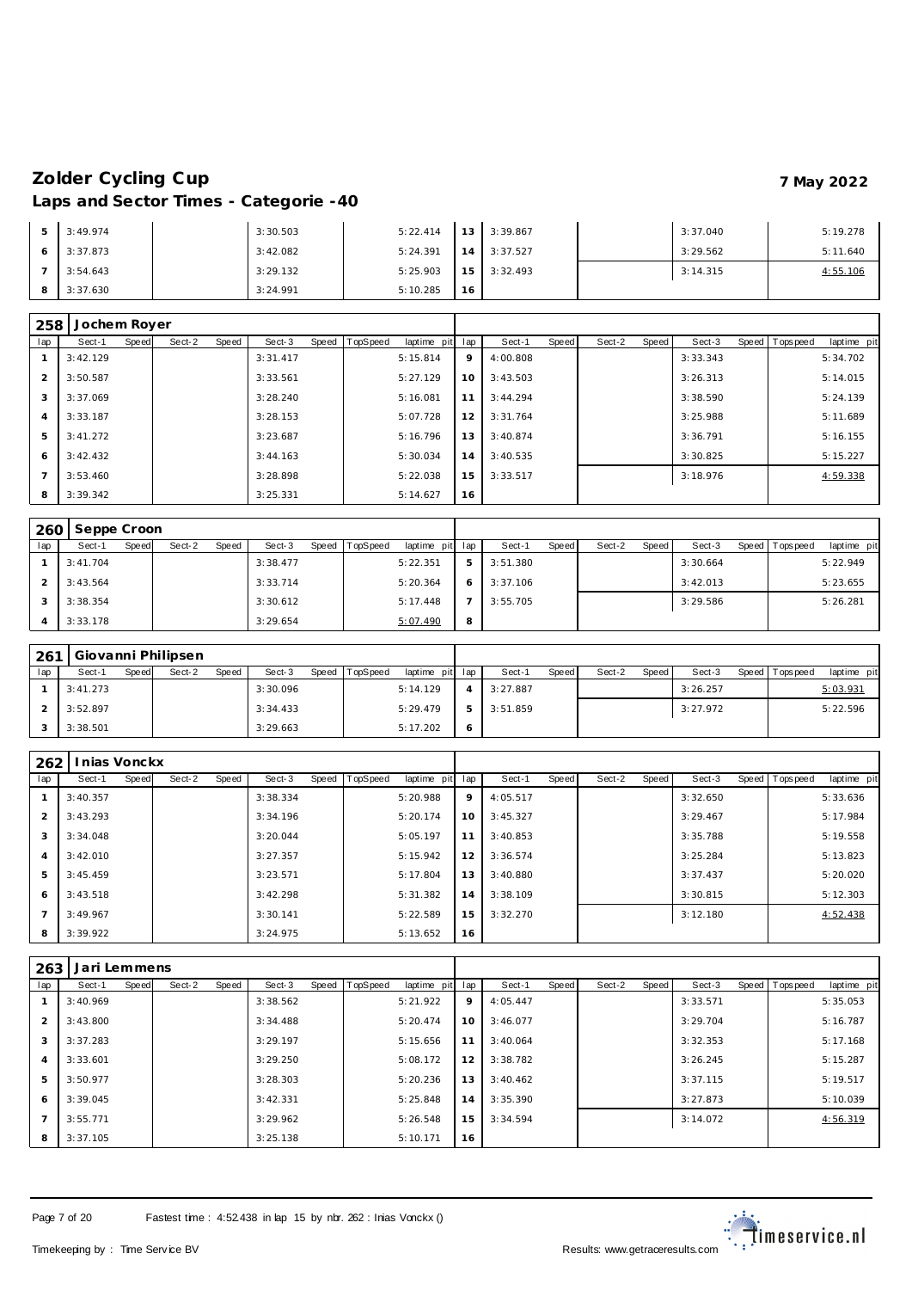| 5. | 3:49.974 | 3:30.503 | 5:22.414 | $13 \mid$ .     | 3:39.867 | 3:37.040 | 5:19.278 |
|----|----------|----------|----------|-----------------|----------|----------|----------|
|    | 3:37.873 | 3:42.082 | 5:24.391 | 14              | 3:37.527 | 3:29.562 | 5:11.640 |
|    | 3:54.643 | 3:29.132 | 5:25.903 | 15 <sub>1</sub> | 3:32.493 | 3:14.315 | 4:55.106 |
|    | 3:37.630 | 3:24.991 | 5:10.285 | 16              |          |          |          |

| 258            | Jochem Royer |       |        |       |          |       |          |             |     |          |       |        |       |          |                |             |
|----------------|--------------|-------|--------|-------|----------|-------|----------|-------------|-----|----------|-------|--------|-------|----------|----------------|-------------|
| lap            | Sect-1       | Speed | Sect-2 | Speed | Sect-3   | Speed | TopSpeed | laptime pit | lap | Sect-1   | Speed | Sect-2 | Speed | Sect-3   | Speed Topspeed | laptime pit |
|                | 3:42.129     |       |        |       | 3:31.417 |       |          | 5:15.814    | 9   | 4:00.808 |       |        |       | 3:33.343 |                | 5:34.702    |
| $\overline{2}$ | 3:50.587     |       |        |       | 3:33.561 |       |          | 5:27.129    | 10  | 3:43.503 |       |        |       | 3:26.313 |                | 5:14.015    |
| 3              | 3:37.069     |       |        |       | 3:28.240 |       |          | 5:16.081    | 11  | 3:44.294 |       |        |       | 3:38.590 |                | 5:24.139    |
| 4              | 3:33.187     |       |        |       | 3:28.153 |       |          | 5:07.728    | 12  | 3:31.764 |       |        |       | 3:25.988 |                | 5:11.689    |
| 5              | 3:41.272     |       |        |       | 3:23.687 |       |          | 5:16.796    | 13  | 3:40.874 |       |        |       | 3:36.791 |                | 5:16.155    |
| 6              | 3:42.432     |       |        |       | 3:44.163 |       |          | 5:30.034    | 14  | 3:40.535 |       |        |       | 3:30.825 |                | 5:15.227    |
|                | 3:53.460     |       |        |       | 3:28.898 |       |          | 5:22.038    | 15  | 3:33.517 |       |        |       | 3:18.976 |                | 4:59.338    |
| 8              | 3:39.342     |       |        |       | 3:25.331 |       |          | 5:14.627    | 16  |          |       |        |       |          |                |             |

|     | 260 Seppe Croon |       |        |       |          |       |          |                 |   |          |       |        |         |          |                 |             |
|-----|-----------------|-------|--------|-------|----------|-------|----------|-----------------|---|----------|-------|--------|---------|----------|-----------------|-------------|
| lap | Sect-1          | Speed | Sect-2 | Speed | Sect-3   | Speed | TopSpeed | laptime pit lap |   | Sect-1   | Speed | Sect-2 | Speed I | Sect-3   | Speed Tops peed | laptime pit |
|     | 3:41.704        |       |        |       | 3:38.477 |       |          | 5:22.351        | 5 | 3:51.380 |       |        |         | 3:30.664 |                 | 5:22.949    |
|     | 3:43.564        |       |        |       | 3:33.714 |       |          | 5:20.364        | 6 | 3:37.106 |       |        |         | 3:42.013 |                 | 5:23.655    |
|     | 3:38.354        |       |        |       | 3:30.612 |       |          | 5:17.448        |   | 3:55.705 |       |        |         | 3:29.586 |                 | 5:26.281    |
|     | 3:33.178        |       |        |       | 3:29.654 |       |          | 5:07.490        | 8 |          |       |        |         |          |                 |             |

| 261 | Giovanni Philipsen |       |        |       |          |       |          |                 |          |       |        |       |          |                 |             |
|-----|--------------------|-------|--------|-------|----------|-------|----------|-----------------|----------|-------|--------|-------|----------|-----------------|-------------|
| lap | Sect-1             | Speed | Sect-2 | Speed | Sect-3   | Speed | TopSpeed | laptime pit lap | Sect-1   | Speed | Sect-2 | Speed | Sect-3   | Speed Tops peed | laptime pit |
|     | 3:41.273           |       |        |       | 3:30.096 |       |          | 5:14.129        | 3:27.887 |       |        |       | 3:26.257 |                 | 5:03.931    |
|     | 3:52.897           |       |        |       | 3:34.433 |       |          | 5:29.479        | 3:51.859 |       |        |       | 3:27.972 |                 | 5:22.596    |
|     | 3:38.501           |       |        |       | 3:29.663 |       |          | 5:17.202        |          |       |        |       |          |                 |             |

| 262            | nias Vonckx |              |        |       |          |                  |             |     |          |       |        |       |          |                |             |
|----------------|-------------|--------------|--------|-------|----------|------------------|-------------|-----|----------|-------|--------|-------|----------|----------------|-------------|
| lap            | Sect-1      | <b>Speed</b> | Sect-2 | Speed | Sect-3   | Speed   TopSpeed | laptime pit | lap | Sect-1   | Speed | Sect-2 | Speed | Sect-3   | Speed Topspeed | laptime pit |
|                | 3:40.357    |              |        |       | 3:38.334 |                  | 5:20.988    | 9   | 4:05.517 |       |        |       | 3:32.650 |                | 5:33.636    |
| $\mathcal{P}$  | 3:43.293    |              |        |       | 3:34.196 |                  | 5:20.174    | 10  | 3:45.327 |       |        |       | 3:29.467 |                | 5:17.984    |
| 3              | 3:34.048    |              |        |       | 3:20.044 |                  | 5:05.197    | 11  | 3:40.853 |       |        |       | 3:35.788 |                | 5:19.558    |
| $\overline{4}$ | 3:42.010    |              |        |       | 3:27.357 |                  | 5:15.942    | 12  | 3:36.574 |       |        |       | 3:25.284 |                | 5:13.823    |
| 5              | 3:45.459    |              |        |       | 3:23.571 |                  | 5:17.804    | 13  | 3:40.880 |       |        |       | 3:37.437 |                | 5:20.020    |
| 6              | 3:43.518    |              |        |       | 3:42.298 |                  | 5:31.382    | 14  | 3:38.109 |       |        |       | 3:30.815 |                | 5:12.303    |
| $\overline{ }$ | 3:49.967    |              |        |       | 3:30.141 |                  | 5:22.589    | 15  | 3:32.270 |       |        |       | 3:12.180 |                | 4:52.438    |
| 8              | 3:39.922    |              |        |       | 3:24.975 |                  | 5:13.652    | 16  |          |       |        |       |          |                |             |

| 263            | Jari Lemmens |       |        |       |          |       |                 |             |     |          |       |        |       |          |                |             |
|----------------|--------------|-------|--------|-------|----------|-------|-----------------|-------------|-----|----------|-------|--------|-------|----------|----------------|-------------|
| lap            | Sect-1       | Speed | Sect-2 | Speed | Sect-3   | Speed | <b>TopSpeed</b> | laptime pit | lap | Sect-1   | Speed | Sect-2 | Speed | Sect-3   | Speed Topspeed | laptime pit |
|                | 3:40.969     |       |        |       | 3:38.562 |       |                 | 5:21.922    | 9   | 4:05.447 |       |        |       | 3:33.571 |                | 5:35.053    |
| $\overline{2}$ | 3:43.800     |       |        |       | 3:34.488 |       |                 | 5:20.474    | 10  | 3:46.077 |       |        |       | 3:29.704 |                | 5:16.787    |
| 3              | 3:37.283     |       |        |       | 3:29.197 |       |                 | 5:15.656    | 11  | 3:40.064 |       |        |       | 3:32.353 |                | 5:17.168    |
| 4              | 3:33.601     |       |        |       | 3:29.250 |       |                 | 5:08.172    | 12  | 3:38.782 |       |        |       | 3:26.245 |                | 5:15.287    |
| 5              | 3:50.977     |       |        |       | 3:28.303 |       |                 | 5:20.236    | 13  | 3:40.462 |       |        |       | 3:37.115 |                | 5:19.517    |
| 6              | 3:39.045     |       |        |       | 3:42.331 |       |                 | 5:25.848    | 14  | 3:35.390 |       |        |       | 3:27.873 |                | 5:10.039    |
|                | 3:55.771     |       |        |       | 3:29.962 |       |                 | 5:26.548    | 15  | 3:34.594 |       |        |       | 3:14.072 |                | 4:56.319    |
| 8              | 3:37.105     |       |        |       | 3:25.138 |       |                 | 5:10.171    | 16  |          |       |        |       |          |                |             |

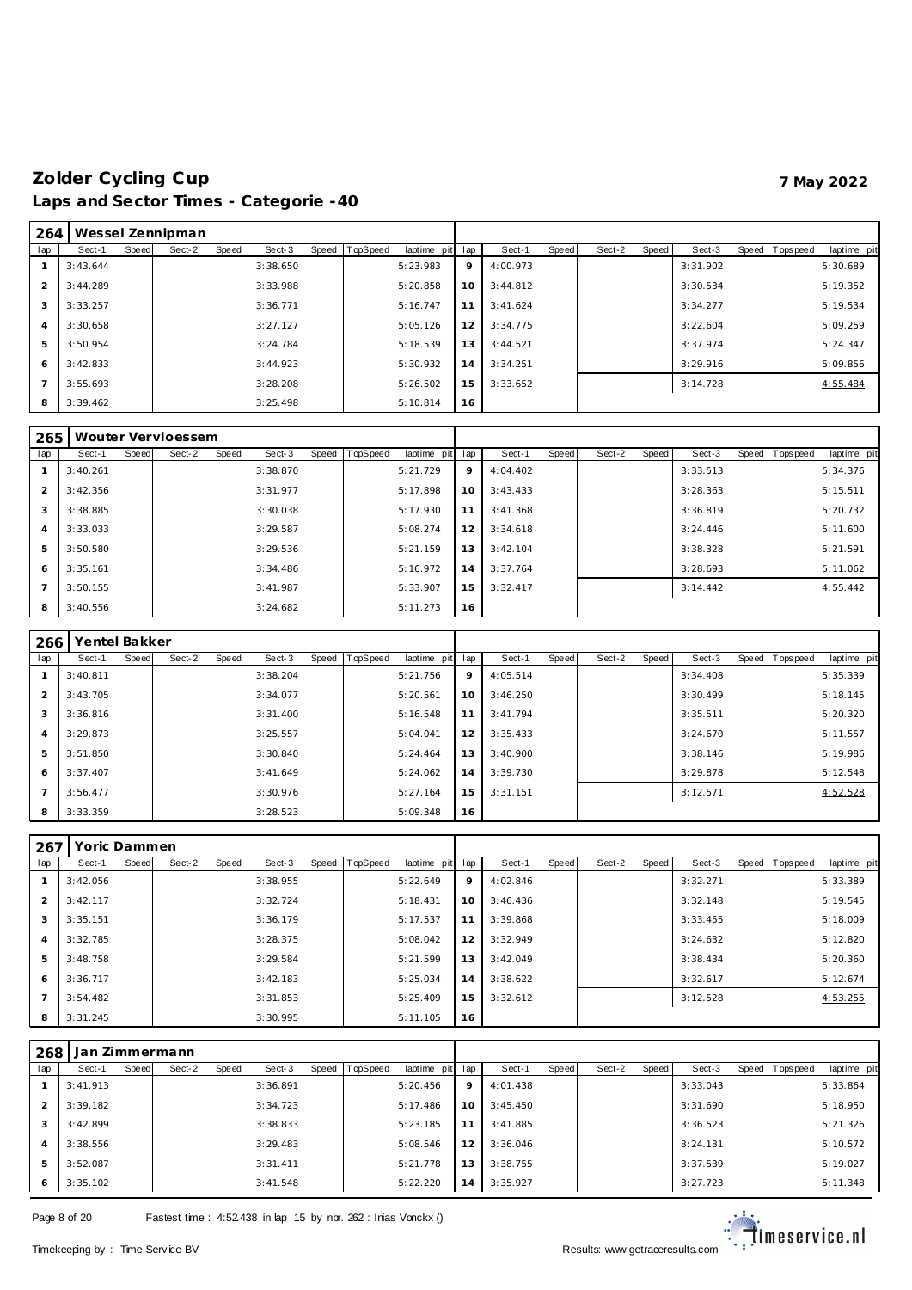| 264            |          |       | Wessel Zennipman |       |          |       |          |                 |    |          |       |        |       |          |                |             |
|----------------|----------|-------|------------------|-------|----------|-------|----------|-----------------|----|----------|-------|--------|-------|----------|----------------|-------------|
| lap            | Sect-1   | Speed | Sect-2           | Speed | Sect-3   | Speed | TopSpeed | laptime pit lap |    | Sect-1   | Speed | Sect-2 | Speed | Sect-3   | Speed Topspeed | laptime pit |
|                | 3:43.644 |       |                  |       | 3:38.650 |       |          | 5:23.983        | 9  | 4:00.973 |       |        |       | 3:31.902 |                | 5:30.689    |
|                | 3:44.289 |       |                  |       | 3:33.988 |       |          | 5:20.858        | 10 | 3:44.812 |       |        |       | 3:30.534 |                | 5:19.352    |
| 3              | 3:33.257 |       |                  |       | 3:36.771 |       |          | 5:16.747        | 11 | 3:41.624 |       |        |       | 3:34.277 |                | 5:19.534    |
| $\overline{A}$ | 3:30.658 |       |                  |       | 3:27.127 |       |          | 5:05.126        | 12 | 3:34.775 |       |        |       | 3:22.604 |                | 5:09.259    |
| 5              | 3:50.954 |       |                  |       | 3:24.784 |       |          | 5:18.539        | 13 | 3:44.521 |       |        |       | 3:37.974 |                | 5:24.347    |
| 6              | 3:42.833 |       |                  |       | 3:44.923 |       |          | 5:30.932        | 14 | 3:34.251 |       |        |       | 3:29.916 |                | 5:09.856    |
|                | 3:55.693 |       |                  |       | 3:28.208 |       |          | 5:26.502        | 15 | 3:33.652 |       |        |       | 3:14.728 |                | 4:55.484    |
| 8              | 3:39.462 |       |                  |       | 3:25.498 |       |          | 5:10.814        | 16 |          |       |        |       |          |                |             |

| 265            |          |       | Wouter Vervloessem |       |          |       |          |             |     |          |       |        |       |          |                  |             |
|----------------|----------|-------|--------------------|-------|----------|-------|----------|-------------|-----|----------|-------|--------|-------|----------|------------------|-------------|
| lap            | Sect-1   | Speed | Sect-2             | Speed | Sect-3   | Speed | TopSpeed | laptime pit | lap | Sect-1   | Speed | Sect-2 | Speed | Sect-3   | Speed   Topspeed | laptime pit |
|                | 3:40.261 |       |                    |       | 3:38.870 |       |          | 5:21.729    | 9   | 4:04.402 |       |        |       | 3:33.513 |                  | 5:34.376    |
| 2              | 3:42.356 |       |                    |       | 3:31.977 |       |          | 5:17.898    | 10  | 3:43.433 |       |        |       | 3:28.363 |                  | 5:15.511    |
| 3              | 3:38.885 |       |                    |       | 3:30.038 |       |          | 5:17.930    | 11  | 3:41.368 |       |        |       | 3:36.819 |                  | 5:20.732    |
| $\overline{4}$ | 3:33.033 |       |                    |       | 3:29.587 |       |          | 5:08.274    | 12  | 3:34.618 |       |        |       | 3:24.446 |                  | 5:11.600    |
| 5              | 3:50.580 |       |                    |       | 3:29.536 |       |          | 5:21.159    | 13  | 3:42.104 |       |        |       | 3:38.328 |                  | 5:21.591    |
| 6              | 3:35.161 |       |                    |       | 3:34.486 |       |          | 5:16.972    | 14  | 3:37.764 |       |        |       | 3:28.693 |                  | 5:11.062    |
| $\overline{7}$ | 3:50.155 |       |                    |       | 3:41.987 |       |          | 5:33.907    | 15  | 3:32.417 |       |        |       | 3:14.442 |                  | 4:55.442    |
| 8              | 3:40.556 |       |                    |       | 3:24.682 |       |          | 5:11.273    | 16  |          |       |        |       |          |                  |             |

| 266            | Yentel Bakker |       |        |       |          |       |          |             |     |          |       |        |       |          |                 |             |
|----------------|---------------|-------|--------|-------|----------|-------|----------|-------------|-----|----------|-------|--------|-------|----------|-----------------|-------------|
| lap            | Sect-1        | Speed | Sect-2 | Speed | Sect-3   | Speed | TopSpeed | laptime pit | lap | Sect-1   | Speed | Sect-2 | Speed | Sect-3   | Speed Tops peed | laptime pit |
|                | 3:40.811      |       |        |       | 3:38.204 |       |          | 5:21.756    | 9   | 4:05.514 |       |        |       | 3:34.408 |                 | 5:35.339    |
| 2              | 3:43.705      |       |        |       | 3:34.077 |       |          | 5:20.561    | 10  | 3:46.250 |       |        |       | 3:30.499 |                 | 5:18.145    |
| 3              | 3:36.816      |       |        |       | 3:31.400 |       |          | 5:16.548    | 11  | 3:41.794 |       |        |       | 3:35.511 |                 | 5:20.320    |
| $\overline{4}$ | 3:29.873      |       |        |       | 3:25.557 |       |          | 5:04.041    | 12  | 3:35.433 |       |        |       | 3:24.670 |                 | 5:11.557    |
| 5              | 3:51.850      |       |        |       | 3:30.840 |       |          | 5:24.464    | 13  | 3:40.900 |       |        |       | 3:38.146 |                 | 5:19.986    |
| 6              | 3:37.407      |       |        |       | 3:41.649 |       |          | 5:24.062    | 14  | 3:39.730 |       |        |       | 3:29.878 |                 | 5:12.548    |
| $\overline{7}$ | 3:56.477      |       |        |       | 3:30.976 |       |          | 5:27.164    | 15  | 3:31.151 |       |        |       | 3:12.571 |                 | 4:52.528    |
| 8              | 3:33.359      |       |        |       | 3:28.523 |       |          | 5:09.348    | 16  |          |       |        |       |          |                 |             |

| 267            | Yoric Dammen |       |        |       |          |       |                 |             |     |          |       |        |       |          |                |             |
|----------------|--------------|-------|--------|-------|----------|-------|-----------------|-------------|-----|----------|-------|--------|-------|----------|----------------|-------------|
| lap            | Sect-1       | Speed | Sect-2 | Speed | Sect-3   | Speed | <b>TopSpeed</b> | laptime pit | lap | Sect-1   | Speed | Sect-2 | Speed | Sect-3   | Speed Topspeed | laptime pit |
|                | 3:42.056     |       |        |       | 3:38.955 |       |                 | 5:22.649    | 9   | 4:02.846 |       |        |       | 3:32.271 |                | 5:33.389    |
| 2              | 3:42.117     |       |        |       | 3:32.724 |       |                 | 5:18.431    | 10  | 3:46.436 |       |        |       | 3:32.148 |                | 5:19.545    |
| 3              | 3:35.151     |       |        |       | 3:36.179 |       |                 | 5:17.537    | 11  | 3:39.868 |       |        |       | 3:33.455 |                | 5:18.009    |
| $\overline{4}$ | 3:32.785     |       |        |       | 3:28.375 |       |                 | 5:08.042    | 12  | 3:32.949 |       |        |       | 3:24.632 |                | 5:12.820    |
| 5              | 3:48.758     |       |        |       | 3:29.584 |       |                 | 5:21.599    | 13  | 3:42.049 |       |        |       | 3:38.434 |                | 5:20.360    |
| 6              | 3:36.717     |       |        |       | 3:42.183 |       |                 | 5:25.034    | 14  | 3:38.622 |       |        |       | 3:32.617 |                | 5:12.674    |
| $\overline{7}$ | 3:54.482     |       |        |       | 3:31.853 |       |                 | 5:25.409    | 15  | 3:32.612 |       |        |       | 3:12.528 |                | 4:53.255    |
| 8              | 3:31.245     |       |        |       | 3:30.995 |       |                 | 5:11.105    | 16  |          |       |        |       |          |                |             |

| 268            | Jan Zimmermann |       |        |       |          |       |          |             |     |          |       |        |       |          |                 |             |
|----------------|----------------|-------|--------|-------|----------|-------|----------|-------------|-----|----------|-------|--------|-------|----------|-----------------|-------------|
| lap            | Sect-1         | Speed | Sect-2 | Speed | Sect-3   | Speed | TopSpeed | laptime pit | lap | Sect-1   | Speed | Sect-2 | Speed | Sect-3   | Speed Tops peed | laptime pit |
|                | 3:41.913       |       |        |       | 3:36.891 |       |          | 5:20.456    | 9   | 4:01.438 |       |        |       | 3:33.043 |                 | 5:33.864    |
| $\mathcal{P}$  | 3:39.182       |       |        |       | 3:34.723 |       |          | 5:17.486    | 10  | 3:45.450 |       |        |       | 3:31.690 |                 | 5:18.950    |
| 3              | 3:42.899       |       |        |       | 3:38.833 |       |          | 5:23.185    | 11  | 3:41.885 |       |        |       | 3:36.523 |                 | 5:21.326    |
| $\overline{4}$ | 3:38.556       |       |        |       | 3:29.483 |       |          | 5:08.546    | 12  | 3:36.046 |       |        |       | 3:24.131 |                 | 5:10.572    |
| 5              | 3:52.087       |       |        |       | 3:31.411 |       |          | 5:21.778    | 13  | 3:38.755 |       |        |       | 3:37.539 |                 | 5:19.027    |
| 6              | 3:35.102       |       |        |       | 3:41.548 |       |          | 5:22.220    | 14  | 3:35.927 |       |        |       | 3:27.723 |                 | 5:11.348    |

Page 8 of 20 Fastest time : 4:52.438 in lap 15 by nbr. 262 : Inias Vonckx ()

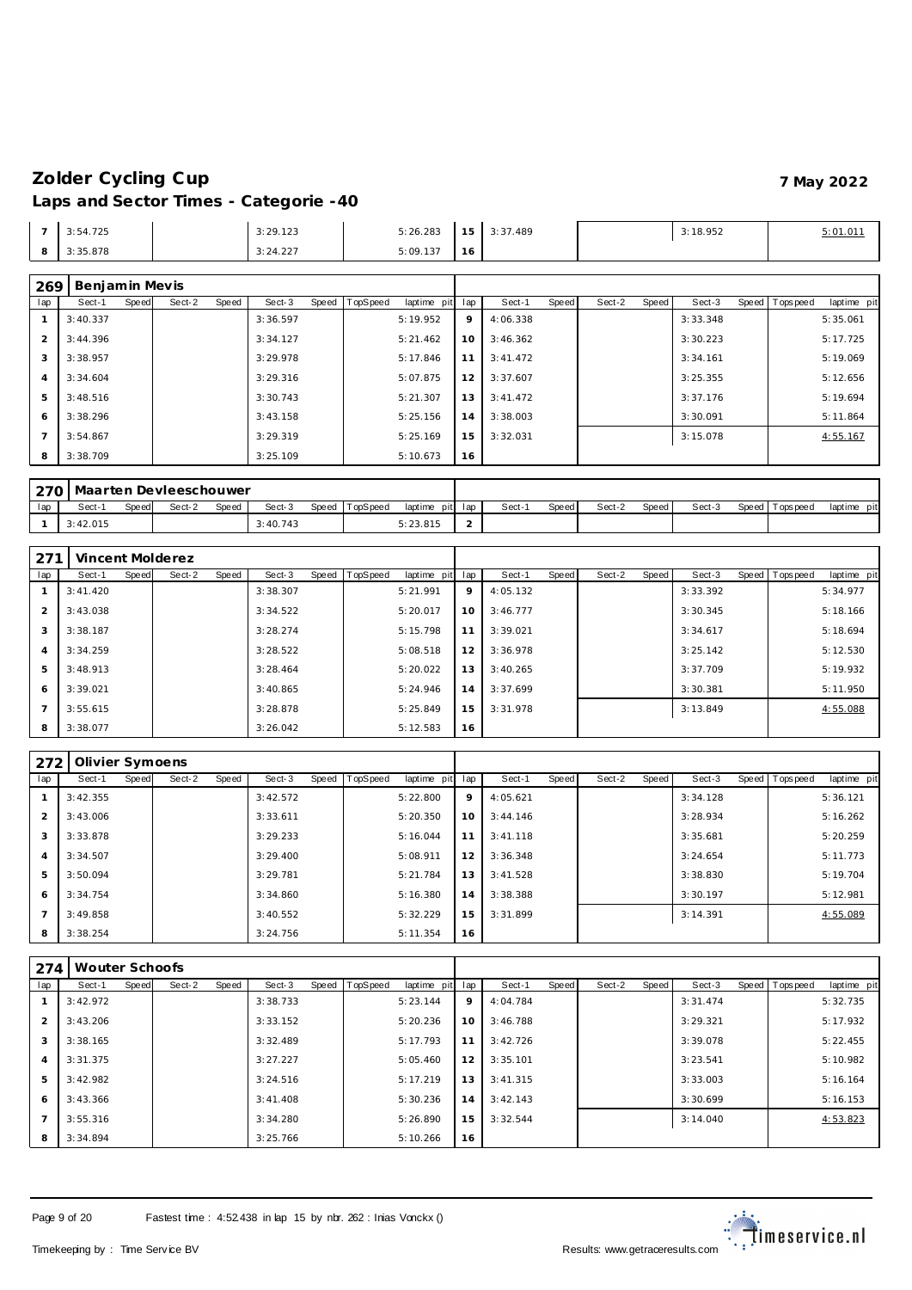| 3:54.725 | 3:29.123 | 5:26.283 | 15 <sub>1</sub><br>ັ | 3:37.489 | 3:18.952 |  |
|----------|----------|----------|----------------------|----------|----------|--|
| 3:35.878 | 3:24.227 | 5:09.137 | $\overline{0}$       |          |          |  |

# **Benjamin Mev is**

| lap            | Sect-1   | Speed | Sect-2 | Speed | Sect-3   | Speed | TopSpeed | laptime pit | lap | Sect-1   | Speed | Sect-2 | Speed | Sect-3   | Speed   Topspeed | laptime pit |  |
|----------------|----------|-------|--------|-------|----------|-------|----------|-------------|-----|----------|-------|--------|-------|----------|------------------|-------------|--|
|                | 3:40.337 |       |        |       | 3:36.597 |       |          | 5:19.952    | 9   | 4:06.338 |       |        |       | 3:33.348 |                  | 5:35.061    |  |
| $\overline{2}$ | 3:44.396 |       |        |       | 3:34.127 |       |          | 5:21.462    | 10  | 3:46.362 |       |        |       | 3:30.223 |                  | 5:17.725    |  |
| 3              | 3:38.957 |       |        |       | 3:29.978 |       |          | 5:17.846    | 11  | 3:41.472 |       |        |       | 3:34.161 |                  | 5:19.069    |  |
| $\overline{A}$ | 3:34.604 |       |        |       | 3:29.316 |       |          | 5:07.875    | 12  | 3:37.607 |       |        |       | 3:25.355 |                  | 5:12.656    |  |
| .5             | 3:48.516 |       |        |       | 3:30.743 |       |          | 5:21.307    | 13  | 3:41.472 |       |        |       | 3:37.176 |                  | 5:19.694    |  |
| 6              | 3:38.296 |       |        |       | 3:43.158 |       |          | 5:25.156    | 14  | 3:38.003 |       |        |       | 3:30.091 |                  | 5:11.864    |  |
|                | 3:54.867 |       |        |       | 3:29.319 |       |          | 5:25.169    | 15  | 3:32.031 |       |        |       | 3:15.078 |                  | 4:55.167    |  |
| 8              | 3:38.709 |       |        |       | 3:25.109 |       |          | 5:10.673    | 16  |          |       |        |       |          |                  |             |  |

|     | ∟270   Maarten Devleeschouwer |       |        |       |          |                |                 |       |       |        |       |        |                 |             |
|-----|-------------------------------|-------|--------|-------|----------|----------------|-----------------|-------|-------|--------|-------|--------|-----------------|-------------|
| lap | Sect-                         | Speed | Sect-2 | Speed | Sect-3   | Speed TopSpeed | laptime pit lap | Sect- | Speed | Sect-2 | Speed | Sect-3 | Speed Tops peed | laptime pit |
|     | 3:42.015                      |       |        |       | 3:40.743 |                | 5:23.815        |       |       |        |       |        |                 |             |

| 271            |           |       | Vincent Molderez |       |          |       |          |             |     |          |       |        |       |          |                |             |
|----------------|-----------|-------|------------------|-------|----------|-------|----------|-------------|-----|----------|-------|--------|-------|----------|----------------|-------------|
| lap            | Sect-1    | Speed | Sect-2           | Speed | Sect-3   | Speed | TopSpeed | laptime pit | lap | Sect-1   | Speed | Sect-2 | Speed | Sect-3   | Speed Topspeed | laptime pit |
|                | 3: 41.420 |       |                  |       | 3:38.307 |       |          | 5:21.991    | 9   | 4:05.132 |       |        |       | 3:33.392 |                | 5:34.977    |
| 2              | 3:43.038  |       |                  |       | 3:34.522 |       |          | 5:20.017    | 10  | 3:46.777 |       |        |       | 3:30.345 |                | 5:18.166    |
| 3              | 3:38.187  |       |                  |       | 3:28.274 |       |          | 5:15.798    | 11  | 3:39.021 |       |        |       | 3:34.617 |                | 5:18.694    |
| $\overline{4}$ | 3:34.259  |       |                  |       | 3:28.522 |       |          | 5:08.518    | 12  | 3:36.978 |       |        |       | 3:25.142 |                | 5:12.530    |
| $\overline{5}$ | 3:48.913  |       |                  |       | 3:28.464 |       |          | 5:20.022    | 13  | 3:40.265 |       |        |       | 3:37.709 |                | 5:19.932    |
| 6              | 3:39.021  |       |                  |       | 3:40.865 |       |          | 5:24.946    | 14  | 3:37.699 |       |        |       | 3:30.381 |                | 5:11.950    |
| $\overline{7}$ | 3:55.615  |       |                  |       | 3:28.878 |       |          | 5:25.849    | 15  | 3:31.978 |       |        |       | 3:13.849 |                | 4:55.088    |
| 8              | 3:38.077  |       |                  |       | 3:26.042 |       |          | 5:12.583    | 16  |          |       |        |       |          |                |             |

| 272                      | Olivier Symoens |       |        |       |          |       |                 |             |     |          |       |        |       |          |                |             |
|--------------------------|-----------------|-------|--------|-------|----------|-------|-----------------|-------------|-----|----------|-------|--------|-------|----------|----------------|-------------|
| lap                      | Sect-1          | Speed | Sect-2 | Speed | Sect-3   | Speed | <b>TopSpeed</b> | laptime pit | lap | Sect-1   | Speed | Sect-2 | Speed | Sect-3   | Speed Topspeed | laptime pit |
|                          | 3:42.355        |       |        |       | 3:42.572 |       |                 | 5:22.800    | 9   | 4:05.621 |       |        |       | 3:34.128 |                | 5:36.121    |
| $\overline{2}$           | 3:43.006        |       |        |       | 3:33.611 |       |                 | 5:20.350    | 10  | 3:44.146 |       |        |       | 3:28.934 |                | 5:16.262    |
| 3                        | 3:33.878        |       |        |       | 3:29.233 |       |                 | 5:16.044    | 11  | 3:41.118 |       |        |       | 3:35.681 |                | 5:20.259    |
| $\overline{4}$           | 3:34.507        |       |        |       | 3:29.400 |       |                 | 5:08.911    | 12  | 3:36.348 |       |        |       | 3:24.654 |                | 5:11.773    |
| 5                        | 3:50.094        |       |        |       | 3:29.781 |       |                 | 5:21.784    | 13  | 3:41.528 |       |        |       | 3:38.830 |                | 5:19.704    |
| 6                        | 3:34.754        |       |        |       | 3:34.860 |       |                 | 5:16.380    | 14  | 3:38.388 |       |        |       | 3:30.197 |                | 5:12.981    |
| $\overline{\phantom{a}}$ | 3:49.858        |       |        |       | 3:40.552 |       |                 | 5:32.229    | 15  | 3:31.899 |       |        |       | 3:14.391 |                | 4:55.089    |
| 8                        | 3:38.254        |       |        |       | 3:24.756 |       |                 | 5:11.354    | 16  |          |       |        |       |          |                |             |

| 274            | Wouter Schoofs |       |        |       |          |                |             |     |          |       |        |       |          |       |           |             |
|----------------|----------------|-------|--------|-------|----------|----------------|-------------|-----|----------|-------|--------|-------|----------|-------|-----------|-------------|
| lap            | Sect-1         | Speed | Sect-2 | Speed | Sect-3   | Speed TopSpeed | laptime pit | lap | Sect-1   | Speed | Sect-2 | Speed | Sect-3   | Speed | Tops peed | laptime pit |
|                | 3:42.972       |       |        |       | 3:38.733 |                | 5:23.144    | 9   | 4:04.784 |       |        |       | 3:31.474 |       |           | 5:32.735    |
| 2              | 3:43.206       |       |        |       | 3:33.152 |                | 5:20.236    | 10  | 3:46.788 |       |        |       | 3:29.321 |       |           | 5:17.932    |
| 3              | 3:38.165       |       |        |       | 3:32.489 |                | 5:17.793    | 11  | 3:42.726 |       |        |       | 3:39.078 |       |           | 5:22.455    |
| $\overline{4}$ | 3:31.375       |       |        |       | 3:27.227 |                | 5:05.460    | 12  | 3:35.101 |       |        |       | 3:23.541 |       |           | 5:10.982    |
| 5              | 3:42.982       |       |        |       | 3:24.516 |                | 5:17.219    | 13  | 3:41.315 |       |        |       | 3:33.003 |       |           | 5:16.164    |
| 6              | 3:43.366       |       |        |       | 3:41.408 |                | 5:30.236    | 14  | 3:42.143 |       |        |       | 3:30.699 |       |           | 5:16.153    |
| $\overline{7}$ | 3:55.316       |       |        |       | 3:34.280 |                | 5:26.890    | 15  | 3:32.544 |       |        |       | 3:14.040 |       |           | 4:53.823    |
| 8              | 3:34.894       |       |        |       | 3:25.766 |                | 5:10.266    | 16  |          |       |        |       |          |       |           |             |

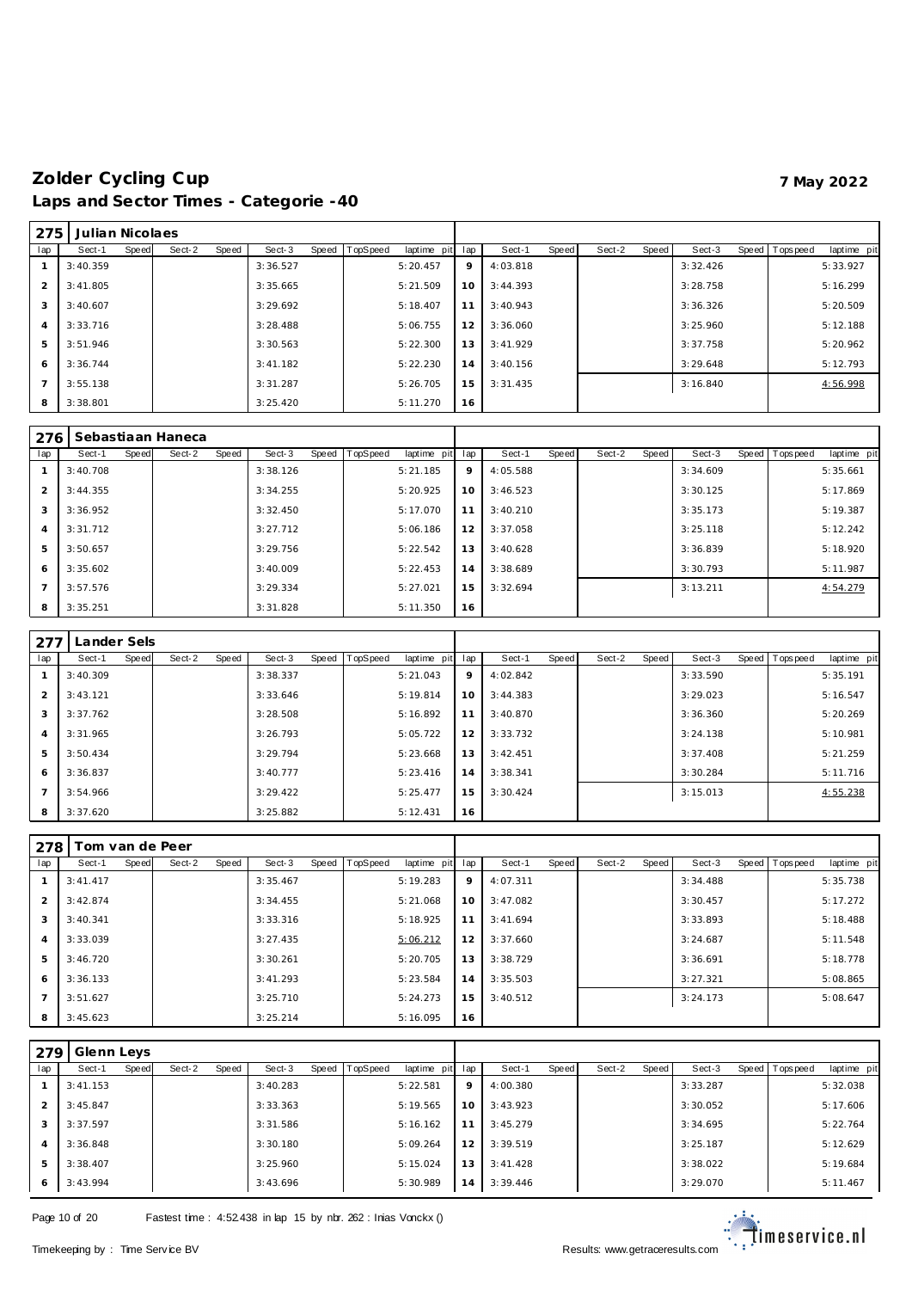| 275            | Julian Nicolaes |       |        |       |          |                |             |     |          |       |        |       |          |                |             |
|----------------|-----------------|-------|--------|-------|----------|----------------|-------------|-----|----------|-------|--------|-------|----------|----------------|-------------|
| lap            | Sect-1          | Speed | Sect-2 | Speed | Sect-3   | Speed TopSpeed | laptime pit | lap | Sect-1   | Speed | Sect-2 | Speed | Sect-3   | Speed Topspeed | laptime pit |
|                | 3:40.359        |       |        |       | 3:36.527 |                | 5:20.457    | 9   | 4:03.818 |       |        |       | 3:32.426 |                | 5:33.927    |
| 2              | 3:41.805        |       |        |       | 3:35.665 |                | 5:21.509    | 10  | 3:44.393 |       |        |       | 3:28.758 |                | 5:16.299    |
| 3              | 3:40.607        |       |        |       | 3:29.692 |                | 5:18.407    | 11  | 3:40.943 |       |        |       | 3:36.326 |                | 5:20.509    |
| $\overline{4}$ | 3:33.716        |       |        |       | 3:28.488 |                | 5:06.755    | 12  | 3:36.060 |       |        |       | 3:25.960 |                | 5:12.188    |
| 5              | 3:51.946        |       |        |       | 3:30.563 |                | 5:22.300    | 13  | 3:41.929 |       |        |       | 3:37.758 |                | 5:20.962    |
| 6              | 3:36.744        |       |        |       | 3:41.182 |                | 5:22.230    | 14  | 3:40.156 |       |        |       | 3:29.648 |                | 5:12.793    |
|                | 3:55.138        |       |        |       | 3:31.287 |                | 5:26.705    | 15  | 3:31.435 |       |        |       | 3:16.840 |                | 4:56.998    |
| 8              | 3:38.801        |       |        |       | 3:25.420 |                | 5:11.270    | 16  |          |       |        |       |          |                |             |

| 276            |          |       | Sebastiaan Haneca |       |          |       |         |             |     |          |       |        |       |          |       |           |             |
|----------------|----------|-------|-------------------|-------|----------|-------|---------|-------------|-----|----------|-------|--------|-------|----------|-------|-----------|-------------|
| lap            | Sect-1   | Speed | Sect-2            | Speed | Sect-3   | Speed | opSpeed | laptime pit | lap | Sect-1   | Speed | Sect-2 | Speed | Sect-3   | Speed | Tops peed | laptime pit |
|                | 3:40.708 |       |                   |       | 3:38.126 |       |         | 5:21.185    | 9   | 4:05.588 |       |        |       | 3:34.609 |       |           | 5:35.661    |
| $\mathcal{P}$  | 3:44.355 |       |                   |       | 3:34.255 |       |         | 5:20.925    | 10  | 3:46.523 |       |        |       | 3:30.125 |       |           | 5:17.869    |
| 3              | 3:36.952 |       |                   |       | 3:32.450 |       |         | 5:17.070    | 11  | 3:40.210 |       |        |       | 3:35.173 |       |           | 5:19.387    |
| $\overline{4}$ | 3:31.712 |       |                   |       | 3:27.712 |       |         | 5:06.186    | 12  | 3:37.058 |       |        |       | 3:25.118 |       |           | 5:12.242    |
| 5              | 3:50.657 |       |                   |       | 3:29.756 |       |         | 5:22.542    | 13  | 3:40.628 |       |        |       | 3:36.839 |       |           | 5:18.920    |
| 6              | 3:35.602 |       |                   |       | 3:40.009 |       |         | 5:22.453    | 14  | 3:38.689 |       |        |       | 3:30.793 |       |           | 5:11.987    |
|                | 3:57.576 |       |                   |       | 3:29.334 |       |         | 5:27.021    | 15  | 3:32.694 |       |        |       | 3:13.211 |       |           | 4:54.279    |
| 8              | 3:35.251 |       |                   |       | 3:31.828 |       |         | 5:11.350    | 16  |          |       |        |       |          |       |           |             |

| 277            | Lander Sels |       |        |       |          |       |          |             |     |          |       |        |       |          |                |             |
|----------------|-------------|-------|--------|-------|----------|-------|----------|-------------|-----|----------|-------|--------|-------|----------|----------------|-------------|
| lap            | Sect-1      | Speed | Sect-2 | Speed | Sect-3   | Speed | TopSpeed | laptime pit | lap | Sect-1   | Speed | Sect-2 | Speed | Sect-3   | Speed Topspeed | laptime pit |
|                | 3:40.309    |       |        |       | 3:38.337 |       |          | 5:21.043    | 9   | 4:02.842 |       |        |       | 3:33.590 |                | 5:35.191    |
| 2              | 3:43.121    |       |        |       | 3:33.646 |       |          | 5:19.814    | 10  | 3:44.383 |       |        |       | 3:29.023 |                | 5:16.547    |
| 3              | 3:37.762    |       |        |       | 3:28.508 |       |          | 5:16.892    | 11  | 3:40.870 |       |        |       | 3:36.360 |                | 5:20.269    |
| $\overline{4}$ | 3:31.965    |       |        |       | 3:26.793 |       |          | 5:05.722    | 12  | 3:33.732 |       |        |       | 3:24.138 |                | 5:10.981    |
| 5              | 3:50.434    |       |        |       | 3:29.794 |       |          | 5:23.668    | 13  | 3:42.451 |       |        |       | 3:37.408 |                | 5:21.259    |
| 6              | 3:36.837    |       |        |       | 3:40.777 |       |          | 5:23.416    | 14  | 3:38.341 |       |        |       | 3:30.284 |                | 5:11.716    |
| $\overline{7}$ | 3:54.966    |       |        |       | 3:29.422 |       |          | 5:25.477    | 15  | 3:30.424 |       |        |       | 3:15.013 |                | 4:55.238    |
| 8              | 3:37.620    |       |        |       | 3:25.882 |       |          | 5:12.431    | 16  |          |       |        |       |          |                |             |

| 278            |          |       | Tom van de Peer |       |          |       |                 |             |     |          |       |        |       |          |                |             |
|----------------|----------|-------|-----------------|-------|----------|-------|-----------------|-------------|-----|----------|-------|--------|-------|----------|----------------|-------------|
| lap            | Sect-1   | Speed | Sect-2          | Speed | Sect-3   | Speed | <b>TopSpeed</b> | laptime pit | lap | Sect-1   | Speed | Sect-2 | Speed | Sect-3   | Speed Topspeed | laptime pit |
|                | 3:41.417 |       |                 |       | 3:35.467 |       |                 | 5:19.283    | 9   | 4:07.311 |       |        |       | 3:34.488 |                | 5:35.738    |
| 2              | 3:42.874 |       |                 |       | 3:34.455 |       |                 | 5:21.068    | 10  | 3:47.082 |       |        |       | 3:30.457 |                | 5:17.272    |
| 3              | 3:40.341 |       |                 |       | 3:33.316 |       |                 | 5:18.925    | 11  | 3:41.694 |       |        |       | 3:33.893 |                | 5:18.488    |
| $\overline{4}$ | 3:33.039 |       |                 |       | 3:27.435 |       |                 | 5:06.212    | 12  | 3:37.660 |       |        |       | 3:24.687 |                | 5:11.548    |
| 5              | 3:46.720 |       |                 |       | 3:30.261 |       |                 | 5:20.705    | 13  | 3:38.729 |       |        |       | 3:36.691 |                | 5:18.778    |
| 6              | 3:36.133 |       |                 |       | 3:41.293 |       |                 | 5:23.584    | 14  | 3:35.503 |       |        |       | 3:27.321 |                | 5:08.865    |
| $\overline{7}$ | 3:51.627 |       |                 |       | 3:25.710 |       |                 | 5:24.273    | 15  | 3:40.512 |       |        |       | 3:24.173 |                | 5:08.647    |
| 8              | 3:45.623 |       |                 |       | 3:25.214 |       |                 | 5:16.095    | 16  |          |       |        |       |          |                |             |

| 279            | Glenn Leys |       |        |       |          |       |          |             |     |          |       |        |       |          |                 |             |
|----------------|------------|-------|--------|-------|----------|-------|----------|-------------|-----|----------|-------|--------|-------|----------|-----------------|-------------|
| lap            | Sect-1     | Speed | Sect-2 | Speed | Sect-3   | Speed | TopSpeed | laptime pit | lap | Sect-1   | Speed | Sect-2 | Speed | Sect-3   | Speed Tops peed | laptime pit |
|                | 3:41.153   |       |        |       | 3:40.283 |       |          | 5:22.581    | 9   | 4:00.380 |       |        |       | 3:33.287 |                 | 5:32.038    |
| 2              | 3:45.847   |       |        |       | 3:33.363 |       |          | 5:19.565    | 10  | 3:43.923 |       |        |       | 3:30.052 |                 | 5:17.606    |
| 3              | 3:37.597   |       |        |       | 3:31.586 |       |          | 5:16.162    | 11  | 3:45.279 |       |        |       | 3:34.695 |                 | 5:22.764    |
| $\overline{A}$ | 3:36.848   |       |        |       | 3:30.180 |       |          | 5:09.264    | 12  | 3:39.519 |       |        |       | 3:25.187 |                 | 5:12.629    |
| 5              | 3:38.407   |       |        |       | 3:25.960 |       |          | 5:15.024    | 13  | 3:41.428 |       |        |       | 3:38.022 |                 | 5:19.684    |
| 6              | 3:43.994   |       |        |       | 3:43.696 |       |          | 5:30.989    | 14  | 3:39.446 |       |        |       | 3:29.070 |                 | 5:11.467    |

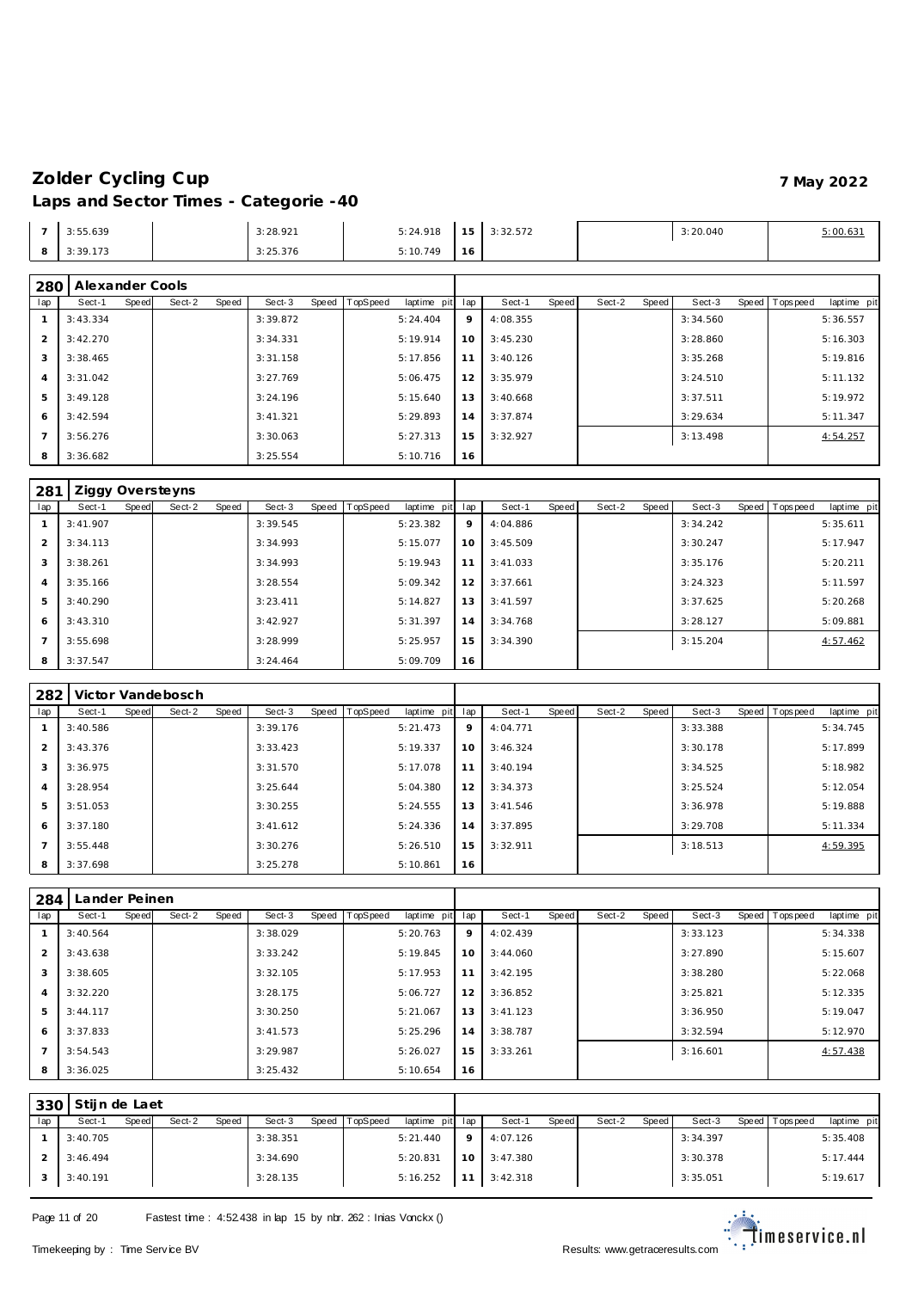|     | 3:55.639 | 3:28.921 | 5:24.918 | $\sim$         | 3:32.572 | 3:20.040 | .0013 |
|-----|----------|----------|----------|----------------|----------|----------|-------|
| . . | 3:39.173 | 3:25.376 | 5:10.749 | $\overline{O}$ |          |          |       |

| 280            | Alexander Cools |       |        |       |          |       |         |             |             |          |       |        |       |          |       |           |             |
|----------------|-----------------|-------|--------|-------|----------|-------|---------|-------------|-------------|----------|-------|--------|-------|----------|-------|-----------|-------------|
| lap            | Sect-1          | Speed | Sect-2 | Speed | Sect-3   | Speed | opSpeed | laptime pit | lap         | Sect-1   | Speed | Sect-2 | Speed | Sect-3   | Speed | Tops peed | laptime pit |
|                | 3:43.334        |       |        |       | 3:39.872 |       |         | 5:24.404    | $\mathsf Q$ | 4:08.355 |       |        |       | 3:34.560 |       |           | 5:36.557    |
| $\overline{2}$ | 3:42.270        |       |        |       | 3:34.331 |       |         | 5:19.914    | $10^{-}$    | 3:45.230 |       |        |       | 3:28.860 |       |           | 5:16.303    |
| 3              | 3:38.465        |       |        |       | 3:31.158 |       |         | 5:17.856    |             | 3:40.126 |       |        |       | 3:35.268 |       |           | 5:19.816    |
| $\overline{4}$ | 3:31.042        |       |        |       | 3:27.769 |       |         | 5:06.475    | 12          | 3:35.979 |       |        |       | 3:24.510 |       |           | 5:11.132    |
| 5              | 3:49.128        |       |        |       | 3:24.196 |       |         | 5:15.640    | 13.         | 3:40.668 |       |        |       | 3:37.511 |       |           | 5:19.972    |
| 6              | 3:42.594        |       |        |       | 3:41.321 |       |         | 5:29.893    | 14          | 3:37.874 |       |        |       | 3:29.634 |       |           | 5:11.347    |
| $\overline{7}$ | 3:56.276        |       |        |       | 3:30.063 |       |         | 5:27.313    | 15.         | 3:32.927 |       |        |       | 3:13.498 |       |           | 4:54.257    |
| 8              | 3:36.682        |       |        |       | 3:25.554 |       |         | 5:10.716    | 16          |          |       |        |       |          |       |           |             |

| 281            |          |       | Ziggy Oversteyns |       |          |       |          |             |     |          |       |        |       |          |                |             |
|----------------|----------|-------|------------------|-------|----------|-------|----------|-------------|-----|----------|-------|--------|-------|----------|----------------|-------------|
| lap            | Sect-1   | Speed | Sect-2           | Speed | Sect-3   | Speed | TopSpeed | laptime pit | lap | Sect-1   | Speed | Sect-2 | Speed | Sect-3   | Speed Topspeed | laptime pit |
|                | 3:41.907 |       |                  |       | 3:39.545 |       |          | 5:23.382    | 9   | 4:04.886 |       |        |       | 3:34.242 |                | 5:35.611    |
| $\overline{2}$ | 3:34.113 |       |                  |       | 3:34.993 |       |          | 5:15.077    | 10  | 3:45.509 |       |        |       | 3:30.247 |                | 5:17.947    |
| 3              | 3:38.261 |       |                  |       | 3:34.993 |       |          | 5:19.943    | 11  | 3:41.033 |       |        |       | 3:35.176 |                | 5:20.211    |
| $\overline{4}$ | 3:35.166 |       |                  |       | 3:28.554 |       |          | 5:09.342    | 12  | 3:37.661 |       |        |       | 3:24.323 |                | 5:11.597    |
| 5              | 3:40.290 |       |                  |       | 3:23.411 |       |          | 5:14.827    | 13  | 3:41.597 |       |        |       | 3:37.625 |                | 5:20.268    |
| 6              | 3:43.310 |       |                  |       | 3:42.927 |       |          | 5:31.397    | 14  | 3:34.768 |       |        |       | 3:28.127 |                | 5:09.881    |
|                | 3:55.698 |       |                  |       | 3:28.999 |       |          | 5:25.957    | 15  | 3:34.390 |       |        |       | 3:15.204 |                | 4:57.462    |
| 8              | 3:37.547 |       |                  |       | 3:24.464 |       |          | 5:09.709    | 16  |          |       |        |       |          |                |             |

| 282            |          |       | Victor Vandebosch |       |          |           |          |             |     |          |       |        |       |          |                |             |
|----------------|----------|-------|-------------------|-------|----------|-----------|----------|-------------|-----|----------|-------|--------|-------|----------|----------------|-------------|
| lap            | Sect-1   | Speed | Sect-2            | Speed | Sect-3   | Speed   T | TopSpeed | laptime pit | lap | Sect-1   | Speed | Sect-2 | Speed | Sect-3   | Speed Topspeed | laptime pit |
|                | 3:40.586 |       |                   |       | 3:39.176 |           |          | 5:21.473    | 9   | 4:04.771 |       |        |       | 3:33.388 |                | 5:34.745    |
| $\overline{2}$ | 3:43.376 |       |                   |       | 3:33.423 |           |          | 5:19.337    | 10  | 3:46.324 |       |        |       | 3:30.178 |                | 5:17.899    |
| 3              | 3:36.975 |       |                   |       | 3:31.570 |           |          | 5:17.078    | 11  | 3:40.194 |       |        |       | 3:34.525 |                | 5:18.982    |
| 4              | 3:28.954 |       |                   |       | 3:25.644 |           |          | 5:04.380    | 12  | 3:34.373 |       |        |       | 3:25.524 |                | 5:12.054    |
| 5              | 3:51.053 |       |                   |       | 3:30.255 |           |          | 5:24.555    | 13  | 3:41.546 |       |        |       | 3:36.978 |                | 5:19.888    |
| 6              | 3:37.180 |       |                   |       | 3:41.612 |           |          | 5:24.336    | 14  | 3:37.895 |       |        |       | 3:29.708 |                | 5:11.334    |
|                | 3:55.448 |       |                   |       | 3:30.276 |           |          | 5:26.510    | 15  | 3:32.911 |       |        |       | 3:18.513 |                | 4:59.395    |
| 8              | 3:37.698 |       |                   |       | 3:25.278 |           |          | 5:10.861    | 16  |          |       |        |       |          |                |             |

| 284 | ander Peinen. |       |        |       |          |       |                 |             |     |          |       |        |       |          |                |             |
|-----|---------------|-------|--------|-------|----------|-------|-----------------|-------------|-----|----------|-------|--------|-------|----------|----------------|-------------|
| lap | Sect-1        | Speed | Sect-2 | Speed | Sect-3   | Speed | <b>TopSpeed</b> | laptime pit | lap | Sect-1   | Speed | Sect-2 | Speed | Sect-3   | Speed Topspeed | laptime pit |
|     | 3:40.564      |       |        |       | 3:38.029 |       |                 | 5:20.763    | 9   | 4:02.439 |       |        |       | 3:33.123 |                | 5:34.338    |
| 2   | 3:43.638      |       |        |       | 3:33.242 |       |                 | 5:19.845    | 10  | 3:44.060 |       |        |       | 3:27.890 |                | 5:15.607    |
| 3   | 3:38.605      |       |        |       | 3:32.105 |       |                 | 5:17.953    | 11  | 3:42.195 |       |        |       | 3:38.280 |                | 5:22.068    |
| 4   | 3:32.220      |       |        |       | 3:28.175 |       |                 | 5:06.727    | 12  | 3:36.852 |       |        |       | 3:25.821 |                | 5:12.335    |
| 5   | 3:44.117      |       |        |       | 3:30.250 |       |                 | 5:21.067    | 13  | 3:41.123 |       |        |       | 3:36.950 |                | 5:19.047    |
| 6   | 3:37.833      |       |        |       | 3:41.573 |       |                 | 5:25.296    | 14  | 3:38.787 |       |        |       | 3:32.594 |                | 5:12.970    |
|     | 3:54.543      |       |        |       | 3:29.987 |       |                 | 5:26.027    | 15  | 3:33.261 |       |        |       | 3:16.601 |                | 4:57.438    |
| 8   | 3:36.025      |       |        |       | 3:25.432 |       |                 | 5:10.654    | 16  |          |       |        |       |          |                |             |

|     | 1330 Stijn de Laet |       |        |       |          |                |                 |    |                     |       |        |       |          |                |             |
|-----|--------------------|-------|--------|-------|----------|----------------|-----------------|----|---------------------|-------|--------|-------|----------|----------------|-------------|
| lap | Sect-1             | Speed | Sect-2 | Speed | Sect-3   | Speed TopSpeed | laptime pit lap |    | Sect-1              | Speed | Sect-2 | Speed | Sect-3   | Speed Topspeed | laptime pit |
|     | 3:40.705           |       |        |       | 3:38.351 |                | 5:21.440        | 91 | 4:07.126            |       |        |       | 3:34.397 |                | 5:35.408    |
|     | 3:46.494           |       |        |       | 3:34.690 |                | 5:20.831        |    | $10 \mid 3:47.380$  |       |        |       | 3:30.378 |                | 5:17.444    |
|     | 3:40.191           |       |        |       | 3:28.135 |                | 5:16.252        |    | $11 \quad 3:42.318$ |       |        |       | 3:35.051 |                | 5:19.617    |

Page 11 of 20 Fastest time : 4:52.438 in lap 15 by nbr. 262 : Inias Vonckx ()

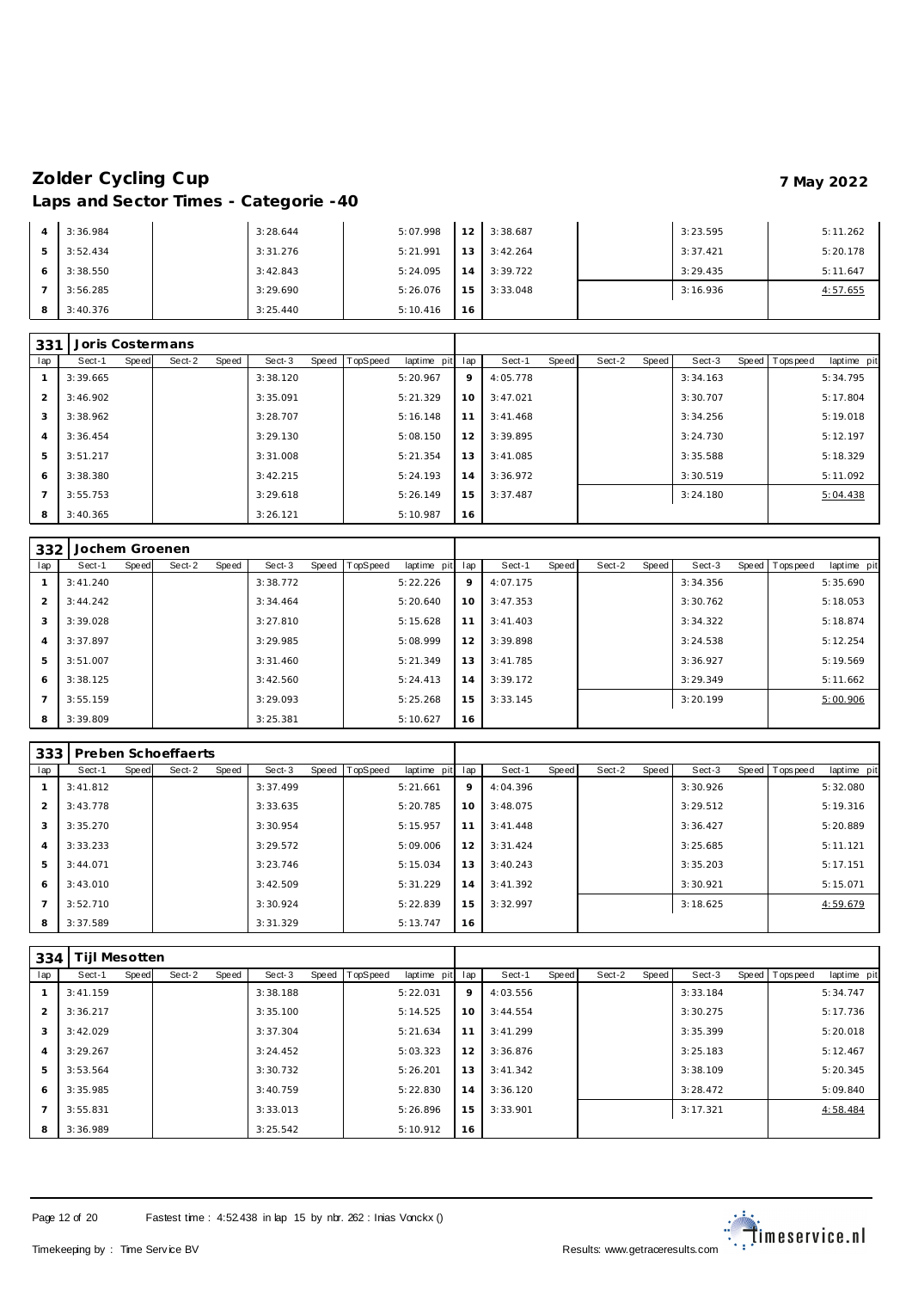| $\overline{A}$ | 3:36.984 | 3:28.644 | 5:07.998 | 12 <sub>1</sub> | 3:38.687 | 3:23.595 | 5:11.262 |
|----------------|----------|----------|----------|-----------------|----------|----------|----------|
| 5              | 3:52.434 | 3:31.276 | 5:21.991 | 13 <sup>1</sup> | 3:42.264 | 3:37.421 | 5:20.178 |
| 6              | 3:38.550 | 3:42.843 | 5:24.095 | 14              | 3:39.722 | 3:29.435 | 5:11.647 |
|                | 3:56.285 | 3:29.690 | 5:26.076 | 15 <sub>1</sub> | 3:33.048 | 3:16.936 | 4:57.655 |
| 8              | 3:40.376 | 3:25.440 | 5:10.416 | 16              |          |          |          |

| 331            |          |       | Joris Costermans |       |          |       |          |             |     |          |       |        |       |          |                |             |
|----------------|----------|-------|------------------|-------|----------|-------|----------|-------------|-----|----------|-------|--------|-------|----------|----------------|-------------|
| lap            | Sect-1   | Speed | Sect-2           | Speed | Sect-3   | Speed | TopSpeed | laptime pit | lap | Sect-1   | Speed | Sect-2 | Speed | Sect-3   | Speed Topspeed | laptime pit |
|                | 3:39.665 |       |                  |       | 3:38.120 |       |          | 5:20.967    | 9   | 4:05.778 |       |        |       | 3:34.163 |                | 5:34.795    |
| 2              | 3:46.902 |       |                  |       | 3:35.091 |       |          | 5:21.329    | 10  | 3:47.021 |       |        |       | 3:30.707 |                | 5:17.804    |
| 3              | 3:38.962 |       |                  |       | 3:28.707 |       |          | 5:16.148    | 11  | 3:41.468 |       |        |       | 3:34.256 |                | 5:19.018    |
| $\overline{4}$ | 3:36.454 |       |                  |       | 3:29.130 |       |          | 5:08.150    | 12  | 3:39.895 |       |        |       | 3:24.730 |                | 5:12.197    |
| 5              | 3:51.217 |       |                  |       | 3:31.008 |       |          | 5:21.354    | 13  | 3:41.085 |       |        |       | 3:35.588 |                | 5:18.329    |
| 6              | 3:38.380 |       |                  |       | 3:42.215 |       |          | 5:24.193    | 14  | 3:36.972 |       |        |       | 3:30.519 |                | 5:11.092    |
| $\overline{7}$ | 3:55.753 |       |                  |       | 3:29.618 |       |          | 5:26.149    | 15  | 3:37.487 |       |        |       | 3:24.180 |                | 5:04.438    |
| 8              | 3:40.365 |       |                  |       | 3:26.121 |       |          | 5:10.987    | 16  |          |       |        |       |          |                |             |

| 332            | Jochem Groenen |       |        |       |          |       |          |             |     |          |       |        |       |          |                |             |
|----------------|----------------|-------|--------|-------|----------|-------|----------|-------------|-----|----------|-------|--------|-------|----------|----------------|-------------|
| lap            | Sect-1         | Speed | Sect-2 | Speed | Sect-3   | Speed | TopSpeed | laptime pit | lap | Sect-1   | Speed | Sect-2 | Speed | Sect-3   | Speed Topspeed | laptime pit |
|                | 3:41.240       |       |        |       | 3:38.772 |       |          | 5:22.226    | 9   | 4:07.175 |       |        |       | 3:34.356 |                | 5:35.690    |
| $\overline{2}$ | 3:44.242       |       |        |       | 3:34.464 |       |          | 5:20.640    | 10  | 3:47.353 |       |        |       | 3:30.762 |                | 5:18.053    |
| 3              | 3:39.028       |       |        |       | 3:27.810 |       |          | 5:15.628    | 11  | 3:41.403 |       |        |       | 3:34.322 |                | 5:18.874    |
| 4              | 3:37.897       |       |        |       | 3:29.985 |       |          | 5:08.999    | 12  | 3:39.898 |       |        |       | 3:24.538 |                | 5:12.254    |
| 5              | 3:51.007       |       |        |       | 3:31.460 |       |          | 5:21.349    | 13  | 3:41.785 |       |        |       | 3:36.927 |                | 5:19.569    |
| 6              | 3:38.125       |       |        |       | 3:42.560 |       |          | 5:24.413    | 14  | 3:39.172 |       |        |       | 3:29.349 |                | 5:11.662    |
|                | 3:55.159       |       |        |       | 3:29.093 |       |          | 5:25.268    | 15  | 3:33.145 |       |        |       | 3:20.199 |                | 5:00.906    |
| 8              | 3:39.809       |       |        |       | 3:25.381 |       |          | 5:10.627    | 16  |          |       |        |       |          |                |             |

| 333            |          |       | Preben Schoeffaerts |       |          |       |          |             |     |          |       |        |       |          |                |             |
|----------------|----------|-------|---------------------|-------|----------|-------|----------|-------------|-----|----------|-------|--------|-------|----------|----------------|-------------|
| lap            | Sect-1   | Speed | Sect-2              | Speed | Sect-3   | Speed | TopSpeed | laptime pit | lap | Sect-1   | Speed | Sect-2 | Speed | Sect-3   | Speed Topspeed | laptime pit |
|                | 3:41.812 |       |                     |       | 3:37.499 |       |          | 5:21.661    | 9   | 4:04.396 |       |        |       | 3:30.926 |                | 5:32.080    |
| $\mathcal{P}$  | 3:43.778 |       |                     |       | 3:33.635 |       |          | 5:20.785    | 10  | 3:48.075 |       |        |       | 3:29.512 |                | 5:19.316    |
| 3              | 3:35.270 |       |                     |       | 3:30.954 |       |          | 5:15.957    | 11  | 3:41.448 |       |        |       | 3:36.427 |                | 5:20.889    |
| $\overline{4}$ | 3:33.233 |       |                     |       | 3:29.572 |       |          | 5:09.006    | 12  | 3:31.424 |       |        |       | 3:25.685 |                | 5:11.121    |
| 5              | 3:44.071 |       |                     |       | 3:23.746 |       |          | 5:15.034    | 13  | 3:40.243 |       |        |       | 3:35.203 |                | 5:17.151    |
| -6             | 3:43.010 |       |                     |       | 3:42.509 |       |          | 5:31.229    | 14  | 3:41.392 |       |        |       | 3:30.921 |                | 5:15.071    |
| $\overline{7}$ | 3:52.710 |       |                     |       | 3:30.924 |       |          | 5:22.839    | 15  | 3:32.997 |       |        |       | 3:18.625 |                | 4:59.679    |
| 8              | 3:37.589 |       |                     |       | 3:31.329 |       |          | 5:13.747    | 16  |          |       |        |       |          |                |             |

| 334 | <b>Tijl Mesotten</b> |       |        |       |          |       |                 |             |     |           |       |        |       |          |                  |             |
|-----|----------------------|-------|--------|-------|----------|-------|-----------------|-------------|-----|-----------|-------|--------|-------|----------|------------------|-------------|
| lap | Sect-1               | Speed | Sect-2 | Speed | Sect-3   | Speed | <b>TopSpeed</b> | laptime pit | lap | Sect-1    | Speed | Sect-2 | Speed | Sect-3   | Speed   Topspeed | laptime pit |
|     | 3:41.159             |       |        |       | 3:38.188 |       |                 | 5:22.031    | 9   | 4:03.556  |       |        |       | 3:33.184 |                  | 5:34.747    |
| 2   | 3:36.217             |       |        |       | 3:35.100 |       |                 | 5:14.525    | 10  | 3:44.554  |       |        |       | 3:30.275 |                  | 5:17.736    |
| 3   | 3:42.029             |       |        |       | 3:37.304 |       |                 | 5:21.634    | 11  | 3:41.299  |       |        |       | 3:35.399 |                  | 5:20.018    |
| 4   | 3:29.267             |       |        |       | 3:24.452 |       |                 | 5:03.323    | 12  | 3:36.876  |       |        |       | 3:25.183 |                  | 5:12.467    |
| 5   | 3:53.564             |       |        |       | 3:30.732 |       |                 | 5:26.201    | 13  | 3: 41.342 |       |        |       | 3:38.109 |                  | 5:20.345    |
| 6   | 3:35.985             |       |        |       | 3:40.759 |       |                 | 5:22.830    | 14  | 3:36.120  |       |        |       | 3:28.472 |                  | 5:09.840    |
|     | 3:55.831             |       |        |       | 3:33.013 |       |                 | 5:26.896    | 15  | 3:33.901  |       |        |       | 3:17.321 |                  | 4:58.484    |
| 8   | 3:36.989             |       |        |       | 3:25.542 |       |                 | 5:10.912    | 16  |           |       |        |       |          |                  |             |

Page 12 of 20 Fastest time : 4:52.438 in lap 15 by nbr. 262 : Inias Vonckx ()

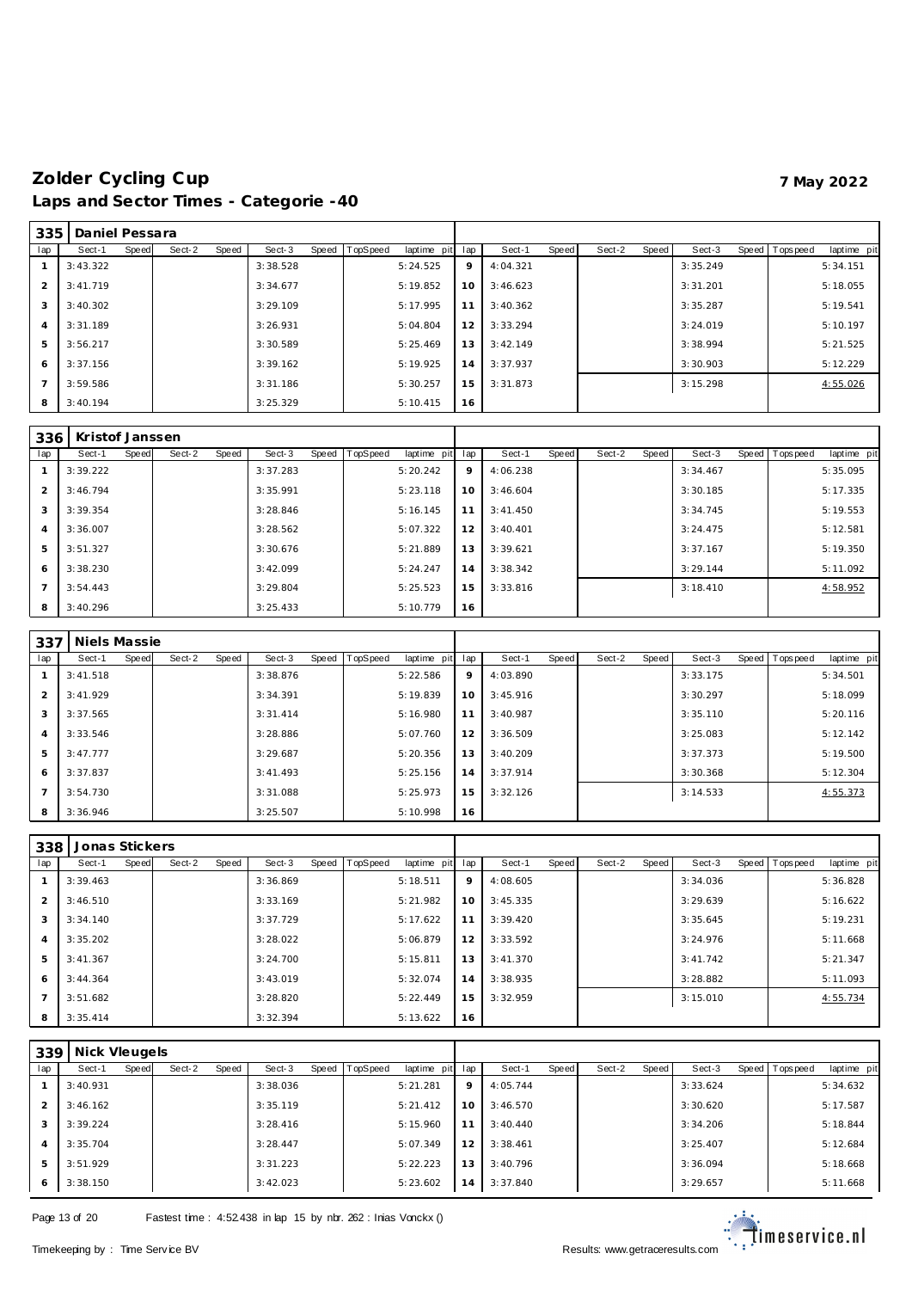| 335            | Daniel Pessara |       |        |       |          |                |             |     |          |       |        |       |          |                |             |
|----------------|----------------|-------|--------|-------|----------|----------------|-------------|-----|----------|-------|--------|-------|----------|----------------|-------------|
| lap            | Sect-1         | Speed | Sect-2 | Speed | Sect-3   | Speed TopSpeed | laptime pit | lap | Sect-1   | Speed | Sect-2 | Speed | Sect-3   | Speed Topspeed | laptime pit |
|                | 3:43.322       |       |        |       | 3:38.528 |                | 5:24.525    | 9   | 4:04.321 |       |        |       | 3:35.249 |                | 5:34.151    |
| 2              | 3:41.719       |       |        |       | 3:34.677 |                | 5:19.852    | 10  | 3:46.623 |       |        |       | 3:31.201 |                | 5:18.055    |
| 3              | 3:40.302       |       |        |       | 3:29.109 |                | 5:17.995    | 11  | 3:40.362 |       |        |       | 3:35.287 |                | 5:19.541    |
| $\overline{4}$ | 3:31.189       |       |        |       | 3:26.931 |                | 5:04.804    | 12  | 3:33.294 |       |        |       | 3:24.019 |                | 5:10.197    |
| 5              | 3:56.217       |       |        |       | 3:30.589 |                | 5:25.469    | 13  | 3:42.149 |       |        |       | 3:38.994 |                | 5:21.525    |
| 6              | 3:37.156       |       |        |       | 3:39.162 |                | 5:19.925    | 14  | 3:37.937 |       |        |       | 3:30.903 |                | 5:12.229    |
|                | 3:59.586       |       |        |       | 3:31.186 |                | 5:30.257    | 15  | 3:31.873 |       |        |       | 3:15.298 |                | 4:55.026    |
| 8              | 3:40.194       |       |        |       | 3:25.329 |                | 5:10.415    | 16  |          |       |        |       |          |                |             |

| 336            | Kristof Janssen |       |        |       |          |       |                 |             |     |           |       |        |       |          |              |           |             |
|----------------|-----------------|-------|--------|-------|----------|-------|-----------------|-------------|-----|-----------|-------|--------|-------|----------|--------------|-----------|-------------|
| lap            | Sect-1          | Speed | Sect-2 | Speed | Sect-3   | Speed | <b>TopSpeed</b> | laptime pit | lap | Sect-1    | Speed | Sect-2 | Speed | Sect-3   | <b>Speed</b> | Tops peed | laptime pit |
|                | 3:39.222        |       |        |       | 3:37.283 |       |                 | 5:20.242    | 9   | 4:06.238  |       |        |       | 3:34.467 |              |           | 5:35.095    |
| $\overline{2}$ | 3:46.794        |       |        |       | 3:35.991 |       |                 | 5:23.118    | 10  | 3:46.604  |       |        |       | 3:30.185 |              |           | 5:17.335    |
| 3              | 3:39.354        |       |        |       | 3:28.846 |       |                 | 5:16.145    | 11  | 3: 41.450 |       |        |       | 3:34.745 |              |           | 5:19.553    |
| 4              | 3:36.007        |       |        |       | 3:28.562 |       |                 | 5:07.322    | 12  | 3:40.401  |       |        |       | 3:24.475 |              |           | 5:12.581    |
| 5              | 3:51.327        |       |        |       | 3:30.676 |       |                 | 5:21.889    | 13  | 3:39.621  |       |        |       | 3:37.167 |              |           | 5:19.350    |
| 6              | 3:38.230        |       |        |       | 3:42.099 |       |                 | 5:24.247    | 14  | 3:38.342  |       |        |       | 3:29.144 |              |           | 5:11.092    |
|                | 3:54.443        |       |        |       | 3:29.804 |       |                 | 5:25.523    | 15  | 3:33.816  |       |        |       | 3:18.410 |              |           | 4:58.952    |
| 8              | 3:40.296        |       |        |       | 3:25.433 |       |                 | 5:10.779    | 16  |           |       |        |       |          |              |           |             |

| 337            | Niels Massie |       |        |       |          |                |             |     |          |       |        |       |          |                |             |
|----------------|--------------|-------|--------|-------|----------|----------------|-------------|-----|----------|-------|--------|-------|----------|----------------|-------------|
| lap            | Sect-1       | Speed | Sect-2 | Speed | Sect-3   | Speed TopSpeed | laptime pit | lap | Sect-1   | Speed | Sect-2 | Speed | Sect-3   | Speed Topspeed | laptime pit |
|                | 3:41.518     |       |        |       | 3:38.876 |                | 5:22.586    | 9   | 4:03.890 |       |        |       | 3:33.175 |                | 5:34.501    |
| 2              | 3:41.929     |       |        |       | 3:34.391 |                | 5:19.839    | 10  | 3:45.916 |       |        |       | 3:30.297 |                | 5:18.099    |
| 3              | 3:37.565     |       |        |       | 3:31.414 |                | 5:16.980    | 11  | 3:40.987 |       |        |       | 3:35.110 |                | 5:20.116    |
| $\overline{4}$ | 3:33.546     |       |        |       | 3:28.886 |                | 5:07.760    | 12  | 3:36.509 |       |        |       | 3:25.083 |                | 5:12.142    |
| 5              | 3:47.777     |       |        |       | 3:29.687 |                | 5:20.356    | 13  | 3:40.209 |       |        |       | 3:37.373 |                | 5:19.500    |
| 6              | 3:37.837     |       |        |       | 3:41.493 |                | 5:25.156    | 14  | 3:37.914 |       |        |       | 3:30.368 |                | 5:12.304    |
| $\overline{7}$ | 3:54.730     |       |        |       | 3:31.088 |                | 5:25.973    | 15  | 3:32.126 |       |        |       | 3:14.533 |                | 4:55.373    |
| 8              | 3:36.946     |       |        |       | 3:25.507 |                | 5:10.998    | 16  |          |       |        |       |          |                |             |

| 338            | Jonas Stickers |              |        |       |          |           |          |             |     |          |       |        |       |          |                |             |
|----------------|----------------|--------------|--------|-------|----------|-----------|----------|-------------|-----|----------|-------|--------|-------|----------|----------------|-------------|
| lap            | Sect-1         | <b>Speed</b> | Sect-2 | Speed | Sect-3   | Speed   T | TopSpeed | laptime pit | lap | Sect-1   | Speed | Sect-2 | Speed | Sect-3   | Speed Topspeed | laptime pit |
|                | 3:39.463       |              |        |       | 3:36.869 |           |          | 5:18.511    | 9   | 4:08.605 |       |        |       | 3:34.036 |                | 5:36.828    |
| 2              | 3:46.510       |              |        |       | 3:33.169 |           |          | 5:21.982    | 10  | 3:45.335 |       |        |       | 3:29.639 |                | 5:16.622    |
| 3              | 3:34.140       |              |        |       | 3:37.729 |           |          | 5:17.622    | 11  | 3:39.420 |       |        |       | 3:35.645 |                | 5:19.231    |
| $\overline{4}$ | 3:35.202       |              |        |       | 3:28.022 |           |          | 5:06.879    | 12  | 3:33.592 |       |        |       | 3:24.976 |                | 5:11.668    |
| 5              | 3:41.367       |              |        |       | 3:24.700 |           |          | 5:15.811    | 13  | 3:41.370 |       |        |       | 3:41.742 |                | 5:21.347    |
| 6              | 3:44.364       |              |        |       | 3:43.019 |           |          | 5:32.074    | 14  | 3:38.935 |       |        |       | 3:28.882 |                | 5:11.093    |
| $\overline{7}$ | 3:51.682       |              |        |       | 3:28.820 |           |          | 5:22.449    | 15  | 3:32.959 |       |        |       | 3:15.010 |                | 4:55.734    |
| 8              | 3:35.414       |              |        |       | 3:32.394 |           |          | 5:13.622    | 16  |          |       |        |       |          |                |             |

| 339            | Nick Vleugels |       |        |       |          |                  |             |     |          |       |        |       |          |                 |             |
|----------------|---------------|-------|--------|-------|----------|------------------|-------------|-----|----------|-------|--------|-------|----------|-----------------|-------------|
| lap            | Sect-1        | Speed | Sect-2 | Speed | Sect-3   | Speed   TopSpeed | laptime pit | lap | Sect-1   | Speed | Sect-2 | Speed | Sect-3   | Speed Tops peed | laptime pit |
|                | 3:40.931      |       |        |       | 3:38.036 |                  | 5:21.281    | 9   | 4:05.744 |       |        |       | 3:33.624 |                 | 5:34.632    |
| 2              | 3:46.162      |       |        |       | 3:35.119 |                  | 5:21.412    | 10  | 3:46.570 |       |        |       | 3:30.620 |                 | 5:17.587    |
| 3              | 3:39.224      |       |        |       | 3:28.416 |                  | 5:15.960    | 11  | 3:40.440 |       |        |       | 3:34.206 |                 | 5:18.844    |
| $\overline{A}$ | 3:35.704      |       |        |       | 3:28.447 |                  | 5:07.349    | 12  | 3:38.461 |       |        |       | 3:25.407 |                 | 5:12.684    |
| 5              | 3:51.929      |       |        |       | 3:31.223 |                  | 5:22.223    | 13  | 3:40.796 |       |        |       | 3:36.094 |                 | 5:18.668    |
| 6              | 3:38.150      |       |        |       | 3:42.023 |                  | 5:23.602    | 14  | 3:37.840 |       |        |       | 3:29.657 |                 | 5:11.668    |

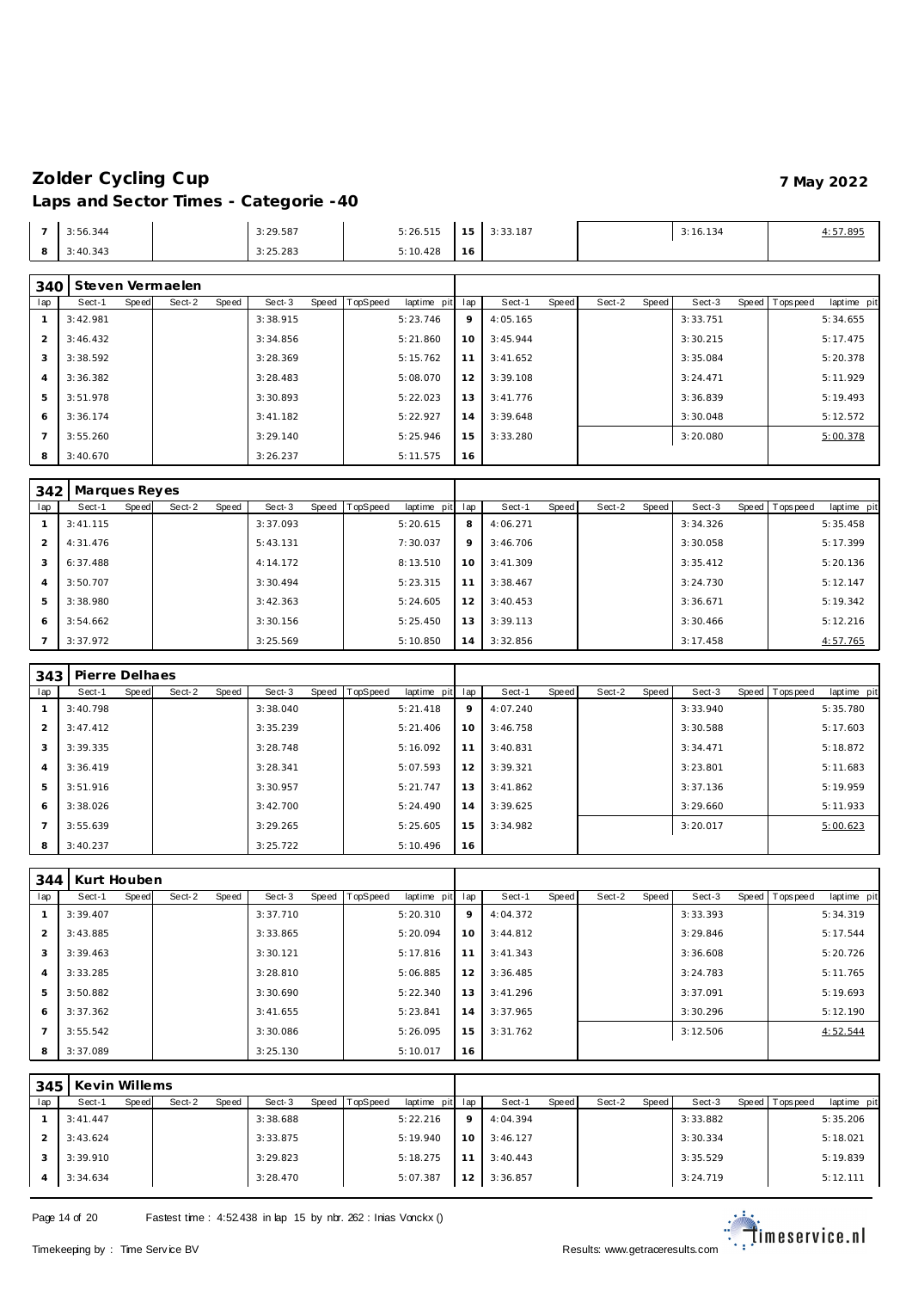| 3:56.344 | 3:29.587 | 5:26.515 | 1 E  <br>$\cdot$ $\cdot$ | 3:33.187 | 3:16.134 | 4:57.895 |
|----------|----------|----------|--------------------------|----------|----------|----------|
| 3:40.343 | 3:25.283 | 5:10.428 | 16.                      |          |          |          |

### **Steven Vermae len**

| 34U            |          |       | <b>JIG VEIT VEITHAGIEL</b> |       |          |       |          |                 |    |          |       |        |       |          |                |             |
|----------------|----------|-------|----------------------------|-------|----------|-------|----------|-----------------|----|----------|-------|--------|-------|----------|----------------|-------------|
| lap            | Sect-1   | Speed | Sect-2                     | Speed | Sect-3   | Speed | TopSpeed | laptime pit lap |    | Sect-1   | Speed | Sect-2 | Speed | Sect-3   | Speed Topspeed | laptime pit |
|                | 3:42.981 |       |                            |       | 3:38.915 |       |          | 5:23.746        | 9  | 4:05.165 |       |        |       | 3:33.751 |                | 5:34.655    |
| $\overline{2}$ | 3:46.432 |       |                            |       | 3:34.856 |       |          | 5:21.860        | 10 | 3:45.944 |       |        |       | 3:30.215 |                | 5:17.475    |
| 3              | 3:38.592 |       |                            |       | 3:28.369 |       |          | 5:15.762        | 11 | 3:41.652 |       |        |       | 3:35.084 |                | 5:20.378    |
| -4             | 3:36.382 |       |                            |       | 3:28.483 |       |          | 5:08.070        | 12 | 3:39.108 |       |        |       | 3:24.471 |                | 5:11.929    |
| 5              | 3:51.978 |       |                            |       | 3:30.893 |       |          | 5:22.023        | 13 | 3:41.776 |       |        |       | 3:36.839 |                | 5:19.493    |
| 6              | 3:36.174 |       |                            |       | 3:41.182 |       |          | 5:22.927        | 14 | 3:39.648 |       |        |       | 3:30.048 |                | 5:12.572    |
|                | 3:55.260 |       |                            |       | 3:29.140 |       |          | 5:25.946        | 15 | 3:33.280 |       |        |       | 3:20.080 |                | 5:00.378    |
| 8              | 3:40.670 |       |                            |       | 3:26.237 |       |          | 5:11.575        | 16 |          |       |        |       |          |                |             |

|                | 342   Marques Reyes |       |        |       |          |       |          |             |     |          |       |        |       |          |                |             |
|----------------|---------------------|-------|--------|-------|----------|-------|----------|-------------|-----|----------|-------|--------|-------|----------|----------------|-------------|
| lap            | Sect-1              | Speed | Sect-2 | Speed | Sect-3   | Speed | TopSpeed | laptime pit | lap | Sect-1   | Speed | Sect-2 | Speed | Sect-3   | Speed Topspeed | laptime pit |
|                | 3:41.115            |       |        |       | 3:37.093 |       |          | 5:20.615    | 8   | 4:06.271 |       |        |       | 3:34.326 |                | 5:35.458    |
| 2              | 4:31.476            |       |        |       | 5:43.131 |       |          | 7:30.037    | 9   | 3:46.706 |       |        |       | 3:30.058 |                | 5:17.399    |
| 3              | 6:37.488            |       |        |       | 4:14.172 |       |          | 8:13.510    | 10  | 3:41.309 |       |        |       | 3:35.412 |                | 5:20.136    |
| $\overline{4}$ | 3:50.707            |       |        |       | 3:30.494 |       |          | 5:23.315    | 11  | 3:38.467 |       |        |       | 3:24.730 |                | 5:12.147    |
| 5              | 3:38.980            |       |        |       | 3:42.363 |       |          | 5:24.605    | 12  | 3:40.453 |       |        |       | 3:36.671 |                | 5:19.342    |
| 6              | 3:54.662            |       |        |       | 3:30.156 |       |          | 5:25.450    | 13  | 3:39.113 |       |        |       | 3:30.466 |                | 5:12.216    |
|                | 3:37.972            |       |        |       | 3:25.569 |       |          | 5:10.850    | 14  | 3:32.856 |       |        |       | 3:17.458 |                | 4:57.765    |

| 343            | Pierre Delhaes |       |        |       |          |                  |             |     |          |       |        |       |          |                |             |
|----------------|----------------|-------|--------|-------|----------|------------------|-------------|-----|----------|-------|--------|-------|----------|----------------|-------------|
| lap            | Sect-1         | Speed | Sect-2 | Speed | Sect-3   | Speed   TopSpeed | laptime pit | lap | Sect-1   | Speed | Sect-2 | Speed | Sect-3   | Speed Topspeed | laptime pit |
|                | 3:40.798       |       |        |       | 3:38.040 |                  | 5:21.418    | 9   | 4:07.240 |       |        |       | 3:33.940 |                | 5:35.780    |
| 2              | 3:47.412       |       |        |       | 3:35.239 |                  | 5:21.406    | 10  | 3:46.758 |       |        |       | 3:30.588 |                | 5:17.603    |
| 3              | 3:39.335       |       |        |       | 3:28.748 |                  | 5:16.092    | 11  | 3:40.831 |       |        |       | 3:34.471 |                | 5:18.872    |
| $\overline{4}$ | 3:36.419       |       |        |       | 3:28.341 |                  | 5:07.593    | 12  | 3:39.321 |       |        |       | 3:23.801 |                | 5:11.683    |
| 5              | 3:51.916       |       |        |       | 3:30.957 |                  | 5:21.747    | 13  | 3:41.862 |       |        |       | 3:37.136 |                | 5:19.959    |
| 6              | 3:38.026       |       |        |       | 3:42.700 |                  | 5:24.490    | 14  | 3:39.625 |       |        |       | 3:29.660 |                | 5:11.933    |
|                | 3:55.639       |       |        |       | 3:29.265 |                  | 5:25.605    | 15  | 3:34.982 |       |        |       | 3:20.017 |                | 5:00.623    |
| 8              | 3:40.237       |       |        |       | 3:25.722 |                  | 5:10.496    | 16  |          |       |        |       |          |                |             |

| 344            | Kurt Houben |       |        |       |          |       |                 |             |     |          |       |        |       |          |                 |             |
|----------------|-------------|-------|--------|-------|----------|-------|-----------------|-------------|-----|----------|-------|--------|-------|----------|-----------------|-------------|
| lap            | Sect-1      | Speed | Sect-2 | Speed | Sect-3   | Speed | <b>TopSpeed</b> | laptime pit | lap | Sect-1   | Speed | Sect-2 | Speed | Sect-3   | Speed Tops peed | laptime pit |
|                | 3:39.407    |       |        |       | 3:37.710 |       |                 | 5:20.310    | 9   | 4:04.372 |       |        |       | 3:33.393 |                 | 5:34.319    |
| 2              | 3:43.885    |       |        |       | 3:33.865 |       |                 | 5:20.094    | 10  | 3:44.812 |       |        |       | 3:29.846 |                 | 5:17.544    |
| 3              | 3:39.463    |       |        |       | 3:30.121 |       |                 | 5:17.816    | 11  | 3:41.343 |       |        |       | 3:36.608 |                 | 5:20.726    |
| $\overline{4}$ | 3:33.285    |       |        |       | 3:28.810 |       |                 | 5:06.885    | 12  | 3:36.485 |       |        |       | 3:24.783 |                 | 5:11.765    |
| 5              | 3:50.882    |       |        |       | 3:30.690 |       |                 | 5:22.340    | 13  | 3:41.296 |       |        |       | 3:37.091 |                 | 5:19.693    |
| 6              | 3:37.362    |       |        |       | 3:41.655 |       |                 | 5:23.841    | 14  | 3:37.965 |       |        |       | 3:30.296 |                 | 5:12.190    |
| $\overline{7}$ | 3:55.542    |       |        |       | 3:30.086 |       |                 | 5:26.095    | 15  | 3:31.762 |       |        |       | 3:12.506 |                 | 4:52.544    |
| 8              | 3:37.089    |       |        |       | 3:25.130 |       |                 | 5:10.017    | 16  |          |       |        |       |          |                 |             |

| 345 | Kevin Willems |       |        |       |          |       |          |                 |                 |          |       |        |       |          |                |             |
|-----|---------------|-------|--------|-------|----------|-------|----------|-----------------|-----------------|----------|-------|--------|-------|----------|----------------|-------------|
| lap | Sect-1        | Speed | Sect-2 | Speed | Sect-3   | Speed | TopSpeed | laptime pit lap |                 | Sect-1   | Speed | Sect-2 | Speed | Sect-3   | Speed Topspeed | laptime pit |
|     | 3:41.447      |       |        |       | 3:38.688 |       |          | 5:22.216        | $\circ$         | 4:04.394 |       |        |       | 3:33.882 |                | 5:35.206    |
|     | 3:43.624      |       |        |       | 3:33.875 |       |          | 5:19.940        | 10 <sup>1</sup> | 3:46.127 |       |        |       | 3:30.334 |                | 5:18.021    |
|     | 3:39.910      |       |        |       | 3:29.823 |       |          | 5:18.275        |                 | 3:40.443 |       |        |       | 3:35.529 |                | 5:19.839    |
| 4   | 3:34.634      |       |        |       | 3:28.470 |       |          | 5:07.387        | 12 <sub>1</sub> | 3:36.857 |       |        |       | 3:24.719 |                | 5:12.111    |

Page 14 of 20 Fastest time : 4:52.438 in lap 15 by nbr. 262 : Inias Vonckx ()

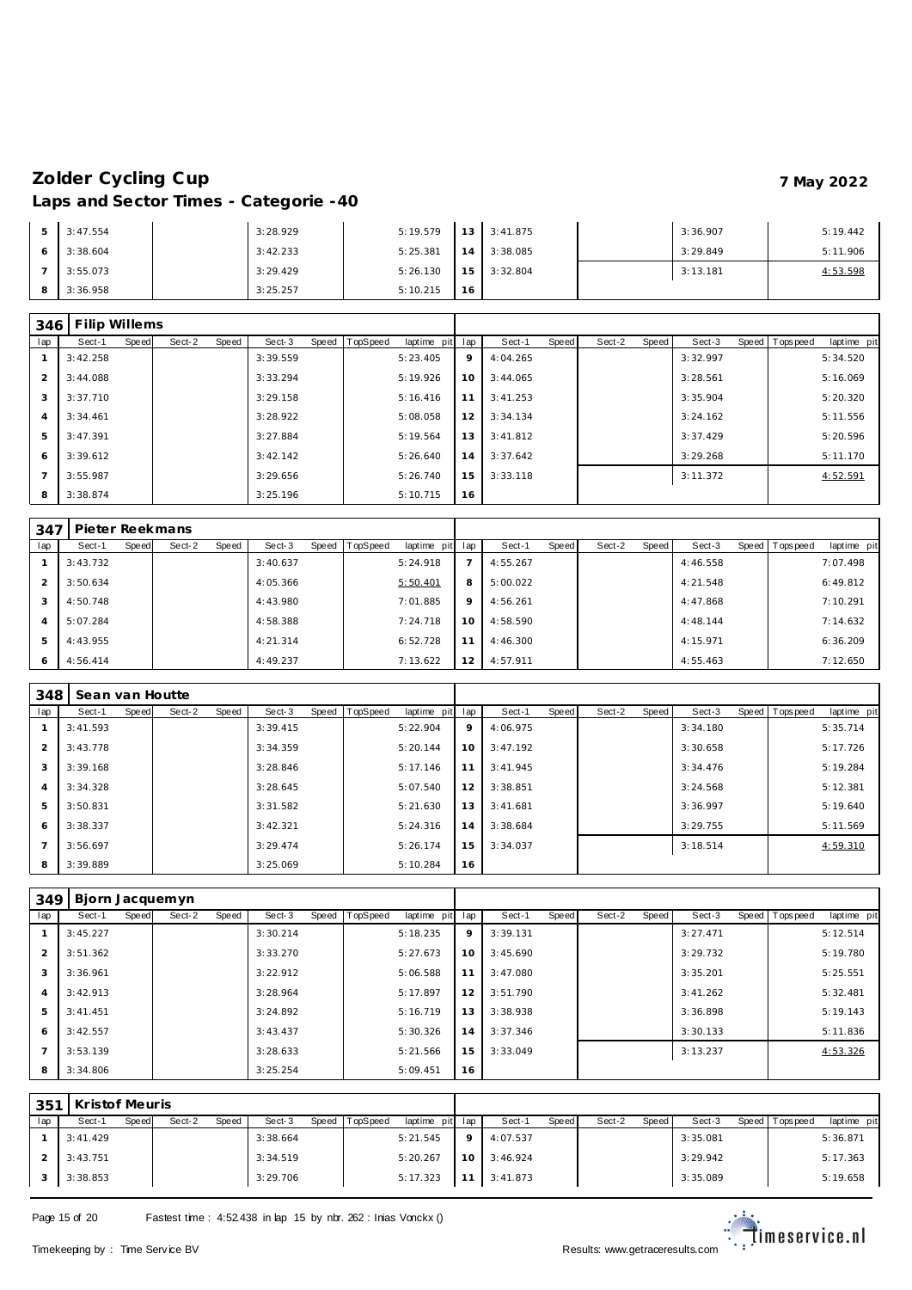| 3:47.554 | 3:28.929 | 5:19.579 |                 | $13 \mid 3:41.875$ | 3:36.907 | 5:19.442 |
|----------|----------|----------|-----------------|--------------------|----------|----------|
| 3:38.604 | 3:42.233 | 5:25.381 | 14              | 3:38.085           | 3:29.849 | 5:11.906 |
| 3:55.073 | 3:29.429 | 5:26.130 | 15 <sup>1</sup> | 3:32.804           | 3:13.181 | 4:53.598 |
| 3:36.958 | 3:25.257 | 5:10.215 | 16              |                    |          |          |

| 346            | Filip Willems |       |        |       |          |                |             |     |          |       |        |       |          |                |             |
|----------------|---------------|-------|--------|-------|----------|----------------|-------------|-----|----------|-------|--------|-------|----------|----------------|-------------|
| lap            | Sect-1        | Speed | Sect-2 | Speed | Sect-3   | Speed TopSpeed | laptime pit | lap | Sect-1   | Speed | Sect-2 | Speed | Sect-3   | Speed Topspeed | laptime pit |
|                | 3:42.258      |       |        |       | 3:39.559 |                | 5:23.405    | 9   | 4:04.265 |       |        |       | 3:32.997 |                | 5:34.520    |
| 2              | 3:44.088      |       |        |       | 3:33.294 |                | 5:19.926    | 10  | 3:44.065 |       |        |       | 3:28.561 |                | 5:16.069    |
| 3              | 3:37.710      |       |        |       | 3:29.158 |                | 5:16.416    | 11  | 3:41.253 |       |        |       | 3:35.904 |                | 5:20.320    |
| $\overline{4}$ | 3:34.461      |       |        |       | 3:28.922 |                | 5:08.058    | 12  | 3:34.134 |       |        |       | 3:24.162 |                | 5:11.556    |
| 5              | 3:47.391      |       |        |       | 3:27.884 |                | 5:19.564    | 13  | 3:41.812 |       |        |       | 3:37.429 |                | 5:20.596    |
| 6              | 3:39.612      |       |        |       | 3:42.142 |                | 5:26.640    | 14  | 3:37.642 |       |        |       | 3:29.268 |                | 5:11.170    |
|                | 3:55.987      |       |        |       | 3:29.656 |                | 5:26.740    | 15  | 3:33.118 |       |        |       | 3:11.372 |                | 4:52.591    |
| 8              | 3:38.874      |       |        |       | 3:25.196 |                | 5:10.715    | 16  |          |       |        |       |          |                |             |

| 347            | Pieter Reekmans |       |        |       |          |       |          |             |     |          |       |        |       |          |                |             |
|----------------|-----------------|-------|--------|-------|----------|-------|----------|-------------|-----|----------|-------|--------|-------|----------|----------------|-------------|
| lap            | Sect-1          | Speed | Sect-2 | Speed | Sect-3   | Speed | TopSpeed | laptime pit | lap | Sect-1   | Speed | Sect-2 | Speed | Sect-3   | Speed Topspeed | laptime pit |
|                | 3:43.732        |       |        |       | 3:40.637 |       |          | 5:24.918    |     | 4:55.267 |       |        |       | 4:46.558 |                | 7:07.498    |
|                | 3:50.634        |       |        |       | 4:05.366 |       |          | 5:50.401    | 8   | 5:00.022 |       |        |       | 4:21.548 |                | 6:49.812    |
| 3              | 4:50.748        |       |        |       | 4:43.980 |       |          | 7:01.885    | 9   | 4:56.261 |       |        |       | 4:47.868 |                | 7:10.291    |
| $\overline{A}$ | 5:07.284        |       |        |       | 4:58.388 |       |          | 7:24.718    | 10  | 4:58.590 |       |        |       | 4:48.144 |                | 7:14.632    |
| 5              | 4:43.955        |       |        |       | 4:21.314 |       |          | 6:52.728    | 11  | 4:46.300 |       |        |       | 4:15.971 |                | 6:36.209    |
| 6              | 4:56.414        |       |        |       | 4:49.237 |       |          | 7:13.622    | 12  | 4:57.911 |       |        |       | 4:55.463 |                | 7:12.650    |

| 348 | Sean van Houtte |       |        |       |          |           |                 |             |     |          |       |        |       |          |                |             |
|-----|-----------------|-------|--------|-------|----------|-----------|-----------------|-------------|-----|----------|-------|--------|-------|----------|----------------|-------------|
| lap | Sect-1          | Speed | Sect-2 | Speed | Sect-3   | Speed   T | <b>TopSpeed</b> | laptime pit | lap | Sect-1   | Speed | Sect-2 | Speed | Sect-3   | Speed Topspeed | laptime pit |
|     | 3:41.593        |       |        |       | 3:39.415 |           |                 | 5:22.904    | 9   | 4:06.975 |       |        |       | 3:34.180 |                | 5:35.714    |
| 2   | 3:43.778        |       |        |       | 3:34.359 |           |                 | 5:20.144    | 10  | 3:47.192 |       |        |       | 3:30.658 |                | 5:17.726    |
| 3   | 3:39.168        |       |        |       | 3:28.846 |           |                 | 5:17.146    | 11  | 3:41.945 |       |        |       | 3:34.476 |                | 5:19.284    |
| 4   | 3:34.328        |       |        |       | 3:28.645 |           |                 | 5:07.540    | 12  | 3:38.851 |       |        |       | 3:24.568 |                | 5:12.381    |
| 5   | 3:50.831        |       |        |       | 3:31.582 |           |                 | 5:21.630    | 13  | 3:41.681 |       |        |       | 3:36.997 |                | 5:19.640    |
| 6   | 3:38.337        |       |        |       | 3:42.321 |           |                 | 5:24.316    | 14  | 3:38.684 |       |        |       | 3:29.755 |                | 5:11.569    |
|     | 3:56.697        |       |        |       | 3:29.474 |           |                 | 5:26.174    | 15  | 3:34.037 |       |        |       | 3:18.514 |                | 4:59.310    |
| 8   | 3:39.889        |       |        |       | 3:25.069 |           |                 | 5:10.284    | 16  |          |       |        |       |          |                |             |

| 349            | Bjorn Jacquemyn |       |        |       |          |                |             |     |          |       |        |       |          |                |             |
|----------------|-----------------|-------|--------|-------|----------|----------------|-------------|-----|----------|-------|--------|-------|----------|----------------|-------------|
| lap            | Sect-1          | Speed | Sect-2 | Speed | Sect-3   | Speed TopSpeed | laptime pit | lap | Sect-1   | Speed | Sect-2 | Speed | Sect-3   | Speed Topspeed | laptime pit |
|                | 3:45.227        |       |        |       | 3:30.214 |                | 5:18.235    | 9   | 3:39.131 |       |        |       | 3:27.471 |                | 5:12.514    |
| $\overline{2}$ | 3:51.362        |       |        |       | 3:33.270 |                | 5:27.673    | 10  | 3:45.690 |       |        |       | 3:29.732 |                | 5:19.780    |
| 3              | 3:36.961        |       |        |       | 3:22.912 |                | 5:06.588    | 11  | 3:47.080 |       |        |       | 3:35.201 |                | 5:25.551    |
| 4              | 3:42.913        |       |        |       | 3:28.964 |                | 5:17.897    | 12  | 3:51.790 |       |        |       | 3:41.262 |                | 5:32.481    |
| 5              | 3: 41.451       |       |        |       | 3:24.892 |                | 5:16.719    | 13  | 3:38.938 |       |        |       | 3:36.898 |                | 5:19.143    |
| 6              | 3:42.557        |       |        |       | 3:43.437 |                | 5:30.326    | 14  | 3:37.346 |       |        |       | 3:30.133 |                | 5:11.836    |
|                | 3:53.139        |       |        |       | 3:28.633 |                | 5:21.566    | 15  | 3:33.049 |       |        |       | 3:13.237 |                | 4:53.326    |
| 8              | 3:34.806        |       |        |       | 3:25.254 |                | 5:09.451    | 16  |          |       |        |       |          |                |             |

| 351 | Kristof Meuris |       |        |       |          |       |          |                 |    |          |              |        |       |          |       |             |             |
|-----|----------------|-------|--------|-------|----------|-------|----------|-----------------|----|----------|--------------|--------|-------|----------|-------|-------------|-------------|
| lap | Sect-1         | Speed | Sect-2 | Speed | Sect-3   | Speed | TopSpeed | laptime pit lap |    | Sect-1   | <b>Speed</b> | Sect-2 | Speed | Sect-3   | Speed | T ops pee d | laptime pit |
|     | 3: 41.429      |       |        |       | 3:38.664 |       |          | 5:21.545        |    | 4:07.537 |              |        |       | 3:35.081 |       |             | 5:36.871    |
|     | 3:43.751       |       |        |       | 3:34.519 |       |          | 5:20.267        | 10 | 3:46.924 |              |        |       | 3:29.942 |       |             | 5:17.363    |
|     | 3:38.853       |       |        |       | 3:29.706 |       |          | 5:17.323        |    | 3:41.873 |              |        |       | 3:35.089 |       |             | 5:19.658    |

Page 15 of 20 Fastest time : 4:52.438 in lap 15 by nbr. 262 : Inias Vonckx ()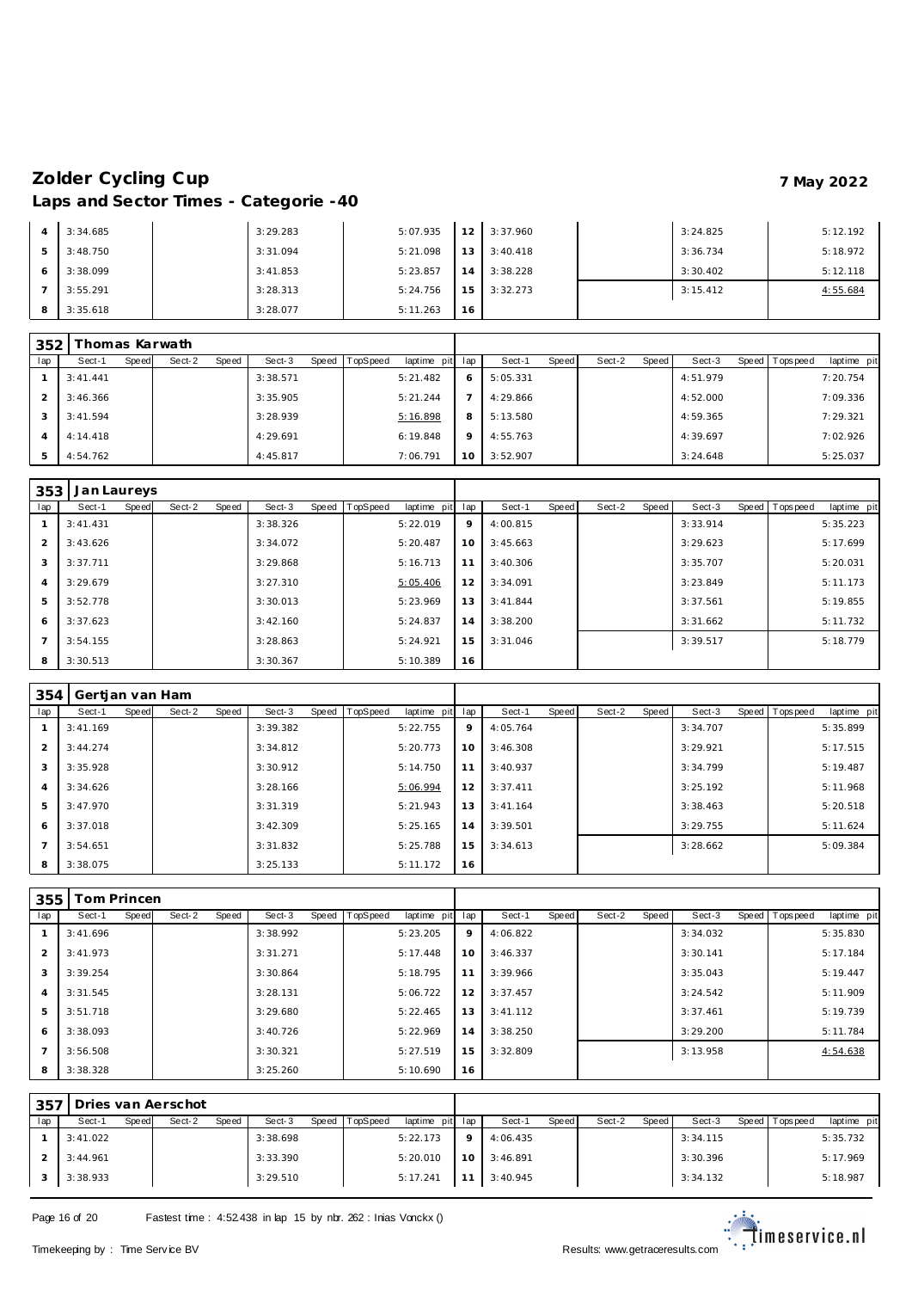| $\overline{A}$ | 3:34.685 | 3:29.283 | 5:07.935 | 12 <sub>1</sub> | 3:37.960 | 3:24.825 | 5:12.192 |
|----------------|----------|----------|----------|-----------------|----------|----------|----------|
| 5              | 3:48.750 | 3:31.094 | 5:21.098 | 13 <sup>1</sup> | 3:40.418 | 3:36.734 | 5:18.972 |
| 6              | 3:38.099 | 3:41.853 | 5:23.857 | 14 <sup>1</sup> | 3:38.228 | 3:30.402 | 5:12.118 |
|                | 3:55.291 | 3:28.313 | 5:24.756 | 15 <sup>1</sup> | 3:32.273 | 3:15.412 | 4:55.684 |
| 8              | 3:35.618 | 3:28.077 | 5:11.263 | 16              |          |          |          |

| 352 |           |       | Thomas Karwath |       |          |       |          |                 |         |          |       |        |       |          |                 |             |
|-----|-----------|-------|----------------|-------|----------|-------|----------|-----------------|---------|----------|-------|--------|-------|----------|-----------------|-------------|
| lap | Sect-1    | Speed | Sect-2         | Speed | Sect-3   | Speed | TopSpeed | laptime pit lap |         | Sect-1   | Speed | Sect-2 | Speed | Sect-3   | Speed Tops peed | laptime pit |
|     | 3: 41.441 |       |                |       | 3:38.571 |       |          | 5:21.482        | 6       | 5:05.331 |       |        |       | 4:51.979 |                 | 7:20.754    |
|     | 3:46.366  |       |                |       | 3:35.905 |       |          | 5:21.244        |         | 4:29.866 |       |        |       | 4:52.000 |                 | 7:09.336    |
|     | 3:41.594  |       |                |       | 3:28.939 |       |          | 5:16.898        | 8       | 5:13.580 |       |        |       | 4:59.365 |                 | 7:29.321    |
|     | 4:14.418  |       |                |       | 4:29.691 |       |          | 6:19.848        | $\circ$ | 4:55.763 |       |        |       | 4:39.697 |                 | 7:02.926    |
|     | 4:54.762  |       |                |       | 4:45.817 |       |          | 7:06.791        | 10      | 3:52.907 |       |        |       | 3:24.648 |                 | 5:25.037    |

| 353            | Jan Laureys |       |        |       |          |                |             |     |           |       |        |       |          |                |             |
|----------------|-------------|-------|--------|-------|----------|----------------|-------------|-----|-----------|-------|--------|-------|----------|----------------|-------------|
| lap            | Sect-1      | Speed | Sect-2 | Speed | Sect-3   | Speed TopSpeed | laptime pit | lap | Sect-1    | Speed | Sect-2 | Speed | Sect-3   | Speed Topspeed | laptime pit |
|                | 3:41.431    |       |        |       | 3:38.326 |                | 5:22.019    | 9   | 4:00.815  |       |        |       | 3:33.914 |                | 5:35.223    |
| $\overline{2}$ | 3:43.626    |       |        |       | 3:34.072 |                | 5:20.487    | 10  | 3:45.663  |       |        |       | 3:29.623 |                | 5:17.699    |
| 3              | 3:37.711    |       |        |       | 3:29.868 |                | 5:16.713    | 11  | 3:40.306  |       |        |       | 3:35.707 |                | 5:20.031    |
| $\overline{4}$ | 3:29.679    |       |        |       | 3:27.310 |                | 5:05.406    | 12  | 3:34.091  |       |        |       | 3:23.849 |                | 5:11.173    |
| 5              | 3:52.778    |       |        |       | 3:30.013 |                | 5:23.969    | 13  | 3: 41.844 |       |        |       | 3:37.561 |                | 5:19.855    |
| 6              | 3:37.623    |       |        |       | 3:42.160 |                | 5:24.837    | 14  | 3:38.200  |       |        |       | 3:31.662 |                | 5:11.732    |
| $\overline{7}$ | 3:54.155    |       |        |       | 3:28.863 |                | 5:24.921    | 15  | 3:31.046  |       |        |       | 3:39.517 |                | 5:18.779    |
| 8              | 3:30.513    |       |        |       | 3:30.367 |                | 5:10.389    | 16  |           |       |        |       |          |                |             |

| 354            | Gertjan van Ham |       |        |       |          |       |          |                 |    |          |       |        |       |          |                |             |
|----------------|-----------------|-------|--------|-------|----------|-------|----------|-----------------|----|----------|-------|--------|-------|----------|----------------|-------------|
| lap            | Sect-1          | Speed | Sect-2 | Speed | Sect-3   | Speed | TopSpeed | laptime pit lap |    | Sect-1   | Speed | Sect-2 | Speed | Sect-3   | Speed Topspeed | laptime pit |
|                | 3:41.169        |       |        |       | 3:39.382 |       |          | 5:22.755        | 9  | 4:05.764 |       |        |       | 3:34.707 |                | 5:35.899    |
| $\overline{2}$ | 3:44.274        |       |        |       | 3:34.812 |       |          | 5:20.773        | 10 | 3:46.308 |       |        |       | 3:29.921 |                | 5:17.515    |
| 3              | 3:35.928        |       |        |       | 3:30.912 |       |          | 5:14.750        | 11 | 3:40.937 |       |        |       | 3:34.799 |                | 5:19.487    |
| $\overline{A}$ | 3:34.626        |       |        |       | 3:28.166 |       |          | 5:06.994        | 12 | 3:37.411 |       |        |       | 3:25.192 |                | 5:11.968    |
| 5              | 3:47.970        |       |        |       | 3:31.319 |       |          | 5:21.943        | 13 | 3:41.164 |       |        |       | 3:38.463 |                | 5:20.518    |
| 6              | 3:37.018        |       |        |       | 3:42.309 |       |          | 5:25.165        | 14 | 3:39.501 |       |        |       | 3:29.755 |                | 5:11.624    |
|                | 3:54.651        |       |        |       | 3:31.832 |       |          | 5:25.788        | 15 | 3:34.613 |       |        |       | 3:28.662 |                | 5:09.384    |
| 8              | 3:38.075        |       |        |       | 3:25.133 |       |          | 5:11.172        | 16 |          |       |        |       |          |                |             |

| 355            | īom Princen |              |        |       |          |       |          |             |     |          |       |        |       |          |                |             |
|----------------|-------------|--------------|--------|-------|----------|-------|----------|-------------|-----|----------|-------|--------|-------|----------|----------------|-------------|
| lap            | Sect-1      | <b>Speed</b> | Sect-2 | Speed | Sect-3   | Speed | TopSpeed | laptime pit | lap | Sect-1   | Speed | Sect-2 | Speed | Sect-3   | Speed Topspeed | laptime pit |
|                | 3:41.696    |              |        |       | 3:38.992 |       |          | 5:23.205    | 9   | 4:06.822 |       |        |       | 3:34.032 |                | 5:35.830    |
| $\overline{2}$ | 3:41.973    |              |        |       | 3:31.271 |       |          | 5:17.448    | 10  | 3:46.337 |       |        |       | 3:30.141 |                | 5:17.184    |
| 3              | 3:39.254    |              |        |       | 3:30.864 |       |          | 5:18.795    | 11  | 3:39.966 |       |        |       | 3:35.043 |                | 5:19.447    |
| $\overline{4}$ | 3:31.545    |              |        |       | 3:28.131 |       |          | 5:06.722    | 12  | 3:37.457 |       |        |       | 3:24.542 |                | 5:11.909    |
| 5              | 3:51.718    |              |        |       | 3:29.680 |       |          | 5:22.465    | 13  | 3:41.112 |       |        |       | 3:37.461 |                | 5:19.739    |
| 6              | 3:38.093    |              |        |       | 3:40.726 |       |          | 5:22.969    | 14  | 3:38.250 |       |        |       | 3:29.200 |                | 5:11.784    |
|                | 3:56.508    |              |        |       | 3:30.321 |       |          | 5:27.519    | 15  | 3:32.809 |       |        |       | 3:13.958 |                | 4:54.638    |
| 8              | 3:38.328    |              |        |       | 3:25.260 |       |          | 5:10.690    | 16  |          |       |        |       |          |                |             |

| $-357$ |          |       | Dries van Aerschot |       |          |       |          |                 |           |                     |       |        |       |          |                 |             |
|--------|----------|-------|--------------------|-------|----------|-------|----------|-----------------|-----------|---------------------|-------|--------|-------|----------|-----------------|-------------|
| lap    | Sect-1   | Speed | Sect-2             | Speed | Sect-3   | Speed | TopSpeed | laptime pit lap |           | Sect-1              | Speed | Sect-2 | Speed | Sect-3   | Speed Tops peed | laptime pit |
|        | 3:41.022 |       |                    |       | 3:38.698 |       |          | 5:22.173        | $\circ$ 1 | 4:06.435            |       |        |       | 3:34.115 |                 | 5:35.732    |
|        | 3:44.961 |       |                    |       | 3:33.390 |       |          | 5:20.010        | 10        | 3:46.891            |       |        |       | 3:30.396 |                 | 5:17.969    |
|        | 3:38.933 |       |                    |       | 3:29.510 |       |          | 5:17.241        |           | $11 \quad 3:40.945$ |       |        |       | 3:34.132 |                 | 5:18.987    |

Page 16 of 20 Fastest time : 4:52.438 in lap 15 by nbr. 262 : Inias Vonckx ()

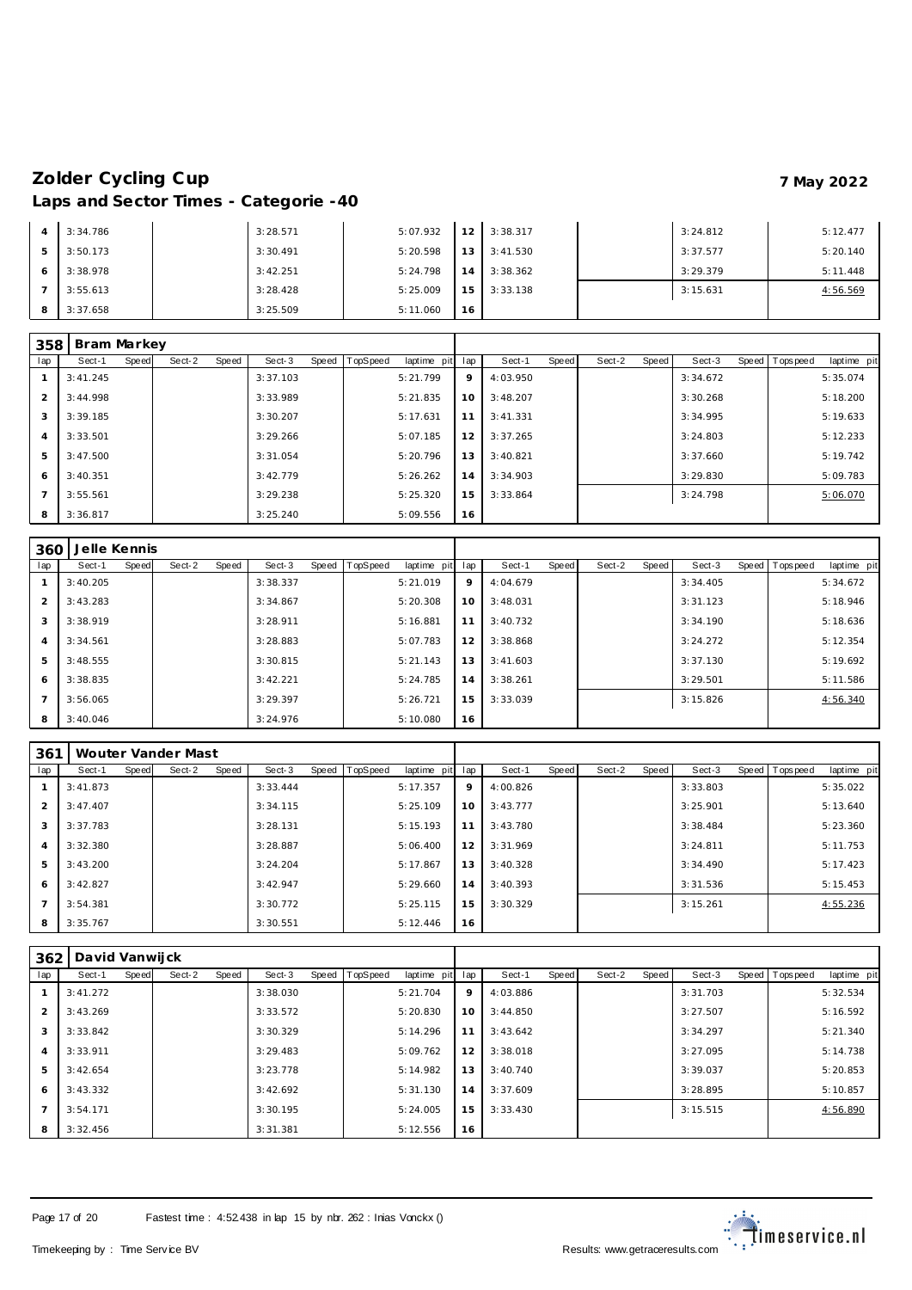|   | 3:34.786 | 3:28.571 | 5:07.932 | 12 <sub>1</sub> | 3:38.317 | 3:24.812 | 5:12.477 |
|---|----------|----------|----------|-----------------|----------|----------|----------|
| 5 | 3:50.173 | 3:30.491 | 5:20.598 | 13 <sub>1</sub> | 3:41.530 | 3:37.577 | 5:20.140 |
|   | 3:38.978 | 3:42.251 | 5:24.798 | 14              | 3:38.362 | 3:29.379 | 5:11.448 |
|   | 3:55.613 | 3:28.428 | 5:25.009 | 151             | 3:33.138 | 3:15.631 | 4:56.569 |
| 8 | 3:37.658 | 3:25.509 | 5:11.060 | 16              |          |          |          |

| 358            | Bram Markey |       |        |       |          |       |          |             |     |          |       |        |       |          |                   |             |
|----------------|-------------|-------|--------|-------|----------|-------|----------|-------------|-----|----------|-------|--------|-------|----------|-------------------|-------------|
| lap            | Sect-1      | Speed | Sect-2 | Speed | Sect-3   | Speed | TopSpeed | laptime pit | lap | Sect-1   | Speed | Sect-2 | Speed | Sect-3   | Speed   Tops peed | laptime pit |
|                | 3:41.245    |       |        |       | 3:37.103 |       |          | 5:21.799    | 9   | 4:03.950 |       |        |       | 3:34.672 |                   | 5:35.074    |
| 2              | 3:44.998    |       |        |       | 3:33.989 |       |          | 5:21.835    | 10  | 3:48.207 |       |        |       | 3:30.268 |                   | 5:18.200    |
| 3              | 3:39.185    |       |        |       | 3:30.207 |       |          | 5:17.631    | 11  | 3:41.331 |       |        |       | 3:34.995 |                   | 5:19.633    |
| $\overline{4}$ | 3:33.501    |       |        |       | 3:29.266 |       |          | 5:07.185    | 12  | 3:37.265 |       |        |       | 3:24.803 |                   | 5:12.233    |
| 5              | 3:47.500    |       |        |       | 3:31.054 |       |          | 5:20.796    | 13  | 3:40.821 |       |        |       | 3:37.660 |                   | 5:19.742    |
| 6              | 3:40.351    |       |        |       | 3:42.779 |       |          | 5:26.262    | 14  | 3:34.903 |       |        |       | 3:29.830 |                   | 5:09.783    |
| $\overline{7}$ | 3:55.561    |       |        |       | 3:29.238 |       |          | 5:25.320    | 15  | 3:33.864 |       |        |       | 3:24.798 |                   | 5:06.070    |
| 8              | 3:36.817    |       |        |       | 3:25.240 |       |          | 5:09.556    | 16  |          |       |        |       |          |                   |             |

| 360 | Jelle Kennis |       |        |       |          |       |          |             |     |          |       |        |       |          |                |             |
|-----|--------------|-------|--------|-------|----------|-------|----------|-------------|-----|----------|-------|--------|-------|----------|----------------|-------------|
| lap | Sect-1       | Speed | Sect-2 | Speed | Sect-3   | Speed | TopSpeed | laptime pit | lap | Sect-1   | Speed | Sect-2 | Speed | Sect-3   | Speed Topspeed | laptime pit |
|     | 3:40.205     |       |        |       | 3:38.337 |       |          | 5:21.019    | 9   | 4:04.679 |       |        |       | 3:34.405 |                | 5:34.672    |
| 2   | 3:43.283     |       |        |       | 3:34.867 |       |          | 5:20.308    | 10  | 3:48.031 |       |        |       | 3:31.123 |                | 5:18.946    |
| 3   | 3:38.919     |       |        |       | 3:28.911 |       |          | 5:16.881    | 11  | 3:40.732 |       |        |       | 3:34.190 |                | 5:18.636    |
| 4   | 3:34.561     |       |        |       | 3:28.883 |       |          | 5:07.783    | 12  | 3:38.868 |       |        |       | 3:24.272 |                | 5:12.354    |
| 5   | 3:48.555     |       |        |       | 3:30.815 |       |          | 5:21.143    | 13  | 3:41.603 |       |        |       | 3:37.130 |                | 5:19.692    |
| 6   | 3:38.835     |       |        |       | 3:42.221 |       |          | 5:24.785    | 14  | 3:38.261 |       |        |       | 3:29.501 |                | 5:11.586    |
|     | 3:56.065     |       |        |       | 3:29.397 |       |          | 5:26.721    | 15  | 3:33.039 |       |        |       | 3:15.826 |                | 4:56.340    |
| 8   | 3:40.046     |       |        |       | 3:24.976 |       |          | 5:10.080    | 16  |          |       |        |       |          |                |             |

| 361            |          |       | Wouter Vander Mast |       |          |       |          |             |     |          |       |        |       |          |                |             |
|----------------|----------|-------|--------------------|-------|----------|-------|----------|-------------|-----|----------|-------|--------|-------|----------|----------------|-------------|
| lap            | Sect-1   | Speed | Sect-2             | Speed | Sect-3   | Speed | TopSpeed | laptime pit | lap | Sect-1   | Speed | Sect-2 | Speed | Sect-3   | Speed Topspeed | laptime pit |
|                | 3:41.873 |       |                    |       | 3:33.444 |       |          | 5:17.357    | 9   | 4:00.826 |       |        |       | 3:33.803 |                | 5:35.022    |
| $\overline{2}$ | 3:47.407 |       |                    |       | 3:34.115 |       |          | 5:25.109    | 10  | 3:43.777 |       |        |       | 3:25.901 |                | 5:13.640    |
| 3              | 3:37.783 |       |                    |       | 3:28.131 |       |          | 5:15.193    | 11  | 3:43.780 |       |        |       | 3:38.484 |                | 5:23.360    |
| $\overline{4}$ | 3:32.380 |       |                    |       | 3:28.887 |       |          | 5:06.400    | 12  | 3:31.969 |       |        |       | 3:24.811 |                | 5:11.753    |
| 5              | 3:43.200 |       |                    |       | 3:24.204 |       |          | 5:17.867    | 13  | 3:40.328 |       |        |       | 3:34.490 |                | 5:17.423    |
| -6             | 3:42.827 |       |                    |       | 3:42.947 |       |          | 5:29.660    | 14  | 3:40.393 |       |        |       | 3:31.536 |                | 5:15.453    |
|                | 3:54.381 |       |                    |       | 3:30.772 |       |          | 5:25.115    | 15  | 3:30.329 |       |        |       | 3:15.261 |                | 4:55.236    |
| 8              | 3:35.767 |       |                    |       | 3:30.551 |       |          | 5:12.446    | 16  |          |       |        |       |          |                |             |

| 362            | David Vanwijck |              |        |       |          |                |             |     |          |       |        |       |          |                 |             |
|----------------|----------------|--------------|--------|-------|----------|----------------|-------------|-----|----------|-------|--------|-------|----------|-----------------|-------------|
| lap            | Sect-1         | <b>Speed</b> | Sect-2 | Speed | Sect-3   | Speed TopSpeed | laptime pit | lap | Sect-1   | Speed | Sect-2 | Speed | Sect-3   | Speed Tops peed | laptime pit |
|                | 3:41.272       |              |        |       | 3:38.030 |                | 5:21.704    | 9   | 4:03.886 |       |        |       | 3:31.703 |                 | 5:32.534    |
| $\overline{2}$ | 3:43.269       |              |        |       | 3:33.572 |                | 5:20.830    | 10  | 3:44.850 |       |        |       | 3:27.507 |                 | 5:16.592    |
| 3              | 3:33.842       |              |        |       | 3:30.329 |                | 5:14.296    | 11  | 3:43.642 |       |        |       | 3:34.297 |                 | 5:21.340    |
| 4              | 3:33.911       |              |        |       | 3:29.483 |                | 5:09.762    | 12  | 3:38.018 |       |        |       | 3:27.095 |                 | 5:14.738    |
| 5              | 3:42.654       |              |        |       | 3:23.778 |                | 5:14.982    | 13  | 3:40.740 |       |        |       | 3:39.037 |                 | 5:20.853    |
| 6              | 3:43.332       |              |        |       | 3:42.692 |                | 5:31.130    | 14  | 3:37.609 |       |        |       | 3:28.895 |                 | 5:10.857    |
|                | 3:54.171       |              |        |       | 3:30.195 |                | 5:24.005    | 15  | 3:33.430 |       |        |       | 3:15.515 |                 | 4:56.890    |
| 8              | 3:32.456       |              |        |       | 3:31.381 |                | 5:12.556    | 16  |          |       |        |       |          |                 |             |

Page 17 of 20 Fastest time : 4:52.438 in lap 15 by nbr. 262 : Inias Vonckx ()

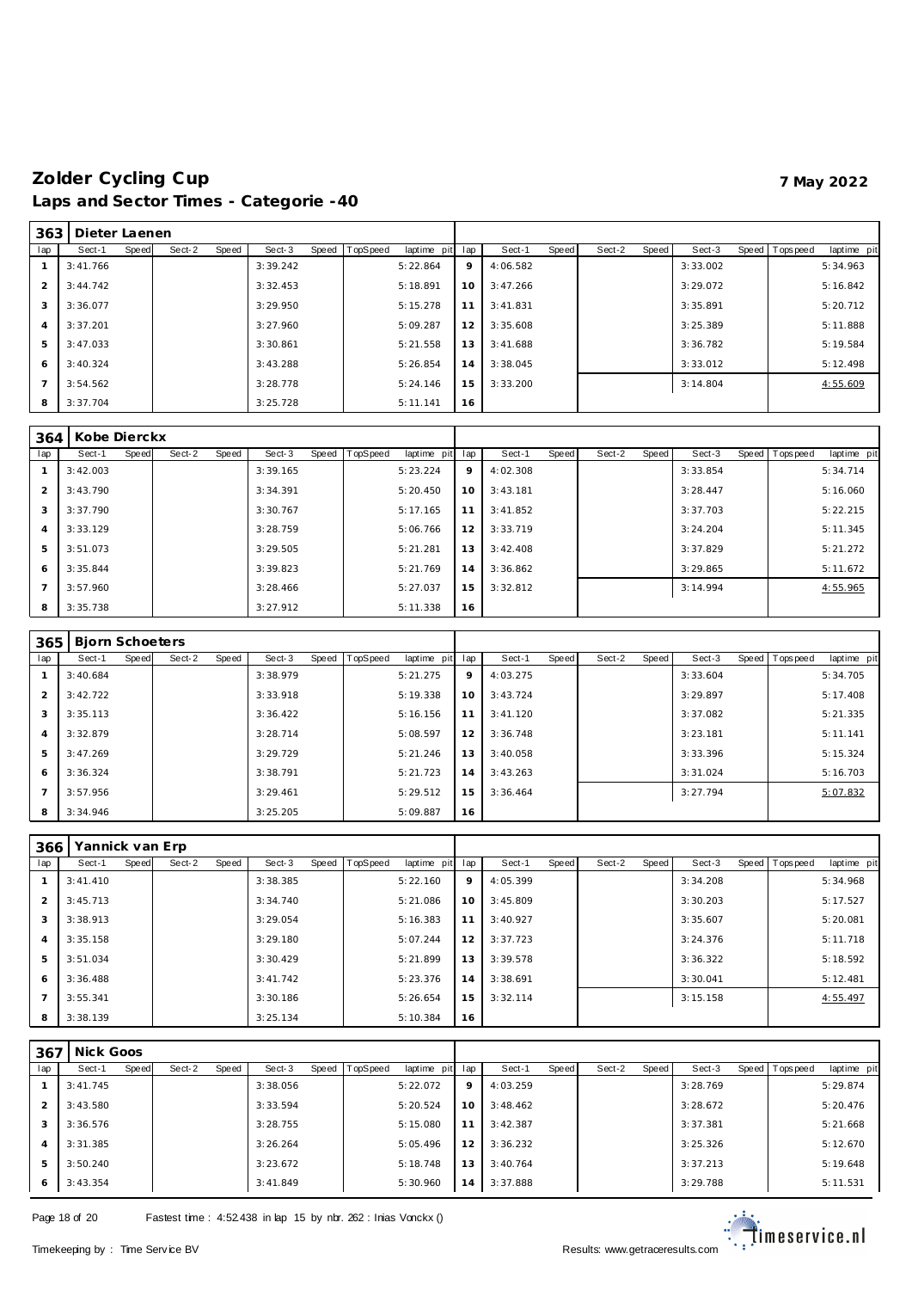| 363            | Dieter Laenen |       |        |       |          |                |             |     |          |       |        |       |          |                |             |
|----------------|---------------|-------|--------|-------|----------|----------------|-------------|-----|----------|-------|--------|-------|----------|----------------|-------------|
| lap            | Sect-1        | Speed | Sect-2 | Speed | Sect-3   | Speed TopSpeed | laptime pit | lap | Sect-1   | Speed | Sect-2 | Speed | Sect-3   | Speed Topspeed | laptime pit |
|                | 3:41.766      |       |        |       | 3:39.242 |                | 5:22.864    | 9   | 4:06.582 |       |        |       | 3:33.002 |                | 5:34.963    |
| 2              | 3:44.742      |       |        |       | 3:32.453 |                | 5:18.891    | 10  | 3:47.266 |       |        |       | 3:29.072 |                | 5:16.842    |
| 3              | 3:36.077      |       |        |       | 3:29.950 |                | 5:15.278    | 11  | 3:41.831 |       |        |       | 3:35.891 |                | 5:20.712    |
| $\overline{4}$ | 3:37.201      |       |        |       | 3:27.960 |                | 5:09.287    | 12  | 3:35.608 |       |        |       | 3:25.389 |                | 5:11.888    |
| 5              | 3:47.033      |       |        |       | 3:30.861 |                | 5:21.558    | 13  | 3:41.688 |       |        |       | 3:36.782 |                | 5:19.584    |
| 6              | 3:40.324      |       |        |       | 3:43.288 |                | 5:26.854    | 14  | 3:38.045 |       |        |       | 3:33.012 |                | 5:12.498    |
|                | 3:54.562      |       |        |       | 3:28.778 |                | 5:24.146    | 15  | 3:33.200 |       |        |       | 3:14.804 |                | 4:55.609    |
| 8              | 3:37.704      |       |        |       | 3:25.728 |                | 5:11.141    | 16  |          |       |        |       |          |                |             |

| 364            | Kobe Dierckx |       |        |       |          |       |                 |             |     |          |       |        |       |          |                |             |
|----------------|--------------|-------|--------|-------|----------|-------|-----------------|-------------|-----|----------|-------|--------|-------|----------|----------------|-------------|
| lap            | Sect-1       | Speed | Sect-2 | Speed | Sect-3   | Speed | <b>TopSpeed</b> | laptime pit | lap | Sect-1   | Speed | Sect-2 | Speed | Sect-3   | Speed Topspeed | laptime pit |
|                | 3:42.003     |       |        |       | 3:39.165 |       |                 | 5:23.224    | 9   | 4:02.308 |       |        |       | 3:33.854 |                | 5:34.714    |
| $\mathcal{P}$  | 3:43.790     |       |        |       | 3:34.391 |       |                 | 5:20.450    | 10  | 3:43.181 |       |        |       | 3:28.447 |                | 5:16.060    |
| 3              | 3:37.790     |       |        |       | 3:30.767 |       |                 | 5:17.165    | 11  | 3:41.852 |       |        |       | 3:37.703 |                | 5:22.215    |
| $\overline{4}$ | 3:33.129     |       |        |       | 3:28.759 |       |                 | 5:06.766    | 12  | 3:33.719 |       |        |       | 3:24.204 |                | 5:11.345    |
| 5              | 3:51.073     |       |        |       | 3:29.505 |       |                 | 5:21.281    | 13  | 3:42.408 |       |        |       | 3:37.829 |                | 5:21.272    |
| 6              | 3:35.844     |       |        |       | 3:39.823 |       |                 | 5:21.769    | 14  | 3:36.862 |       |        |       | 3:29.865 |                | 5:11.672    |
|                | 3:57.960     |       |        |       | 3:28.466 |       |                 | 5:27.037    | 15  | 3:32.812 |       |        |       | 3:14.994 |                | 4:55.965    |
| 8              | 3:35.738     |       |        |       | 3:27.912 |       |                 | 5:11.338    | 16  |          |       |        |       |          |                |             |

| 365            | <b>Biorn Schoeters</b> |       |        |       |          |       |          |             |     |          |       |        |       |          |                |             |
|----------------|------------------------|-------|--------|-------|----------|-------|----------|-------------|-----|----------|-------|--------|-------|----------|----------------|-------------|
| lap            | Sect-1                 | Speed | Sect-2 | Speed | Sect-3   | Speed | TopSpeed | laptime pit | lap | Sect-1   | Speed | Sect-2 | Speed | Sect-3   | Speed Topspeed | laptime pit |
|                | 3:40.684               |       |        |       | 3:38.979 |       |          | 5:21.275    | 9   | 4:03.275 |       |        |       | 3:33.604 |                | 5:34.705    |
| 2              | 3:42.722               |       |        |       | 3:33.918 |       |          | 5:19.338    | 10  | 3:43.724 |       |        |       | 3:29.897 |                | 5:17.408    |
| 3              | 3:35.113               |       |        |       | 3:36.422 |       |          | 5:16.156    | 11  | 3:41.120 |       |        |       | 3:37.082 |                | 5:21.335    |
| $\overline{4}$ | 3:32.879               |       |        |       | 3:28.714 |       |          | 5:08.597    | 12  | 3:36.748 |       |        |       | 3:23.181 |                | 5:11.141    |
| 5              | 3:47.269               |       |        |       | 3:29.729 |       |          | 5:21.246    | 13  | 3:40.058 |       |        |       | 3:33.396 |                | 5:15.324    |
| 6              | 3:36.324               |       |        |       | 3:38.791 |       |          | 5:21.723    | 14  | 3:43.263 |       |        |       | 3:31.024 |                | 5:16.703    |
| $\overline{7}$ | 3:57.956               |       |        |       | 3:29.461 |       |          | 5:29.512    | 15  | 3:36.464 |       |        |       | 3:27.794 |                | 5:07.832    |
| 8              | 3:34.946               |       |        |       | 3:25.205 |       |          | 5:09.887    | 16  |          |       |        |       |          |                |             |

| 366            | Yannick van Erp |              |        |       |          |       |                 |             |     |          |       |        |       |          |                 |             |
|----------------|-----------------|--------------|--------|-------|----------|-------|-----------------|-------------|-----|----------|-------|--------|-------|----------|-----------------|-------------|
| lap            | Sect-1          | <b>Speed</b> | Sect-2 | Speed | Sect-3   | Speed | <b>TopSpeed</b> | laptime pit | lap | Sect-1   | Speed | Sect-2 | Speed | Sect-3   | Speed Tops peed | laptime pit |
|                | 3:41.410        |              |        |       | 3:38.385 |       |                 | 5:22.160    | 9   | 4:05.399 |       |        |       | 3:34.208 |                 | 5:34.968    |
| 2              | 3:45.713        |              |        |       | 3:34.740 |       |                 | 5:21.086    | 10  | 3:45.809 |       |        |       | 3:30.203 |                 | 5:17.527    |
| 3              | 3:38.913        |              |        |       | 3:29.054 |       |                 | 5:16.383    | 11  | 3:40.927 |       |        |       | 3:35.607 |                 | 5:20.081    |
| $\overline{4}$ | 3:35.158        |              |        |       | 3:29.180 |       |                 | 5:07.244    | 12  | 3:37.723 |       |        |       | 3:24.376 |                 | 5:11.718    |
| 5              | 3:51.034        |              |        |       | 3:30.429 |       |                 | 5:21.899    | 13  | 3:39.578 |       |        |       | 3:36.322 |                 | 5:18.592    |
| 6              | 3:36.488        |              |        |       | 3:41.742 |       |                 | 5:23.376    | 14  | 3:38.691 |       |        |       | 3:30.041 |                 | 5:12.481    |
| $\overline{7}$ | 3:55.341        |              |        |       | 3:30.186 |       |                 | 5:26.654    | 15  | 3:32.114 |       |        |       | 3:15.158 |                 | 4:55.497    |
| 8              | 3:38.139        |              |        |       | 3:25.134 |       |                 | 5:10.384    | 16  |          |       |        |       |          |                 |             |

| 367            | Nick Goos |       |        |       |          |       |          |             |     |          |       |        |       |          |       |           |             |
|----------------|-----------|-------|--------|-------|----------|-------|----------|-------------|-----|----------|-------|--------|-------|----------|-------|-----------|-------------|
| lap            | Sect-1    | Speed | Sect-2 | Speed | Sect-3   | Speed | TopSpeed | laptime pit | lap | Sect-1   | Speed | Sect-2 | Speed | Sect-3   | Speed | Tops peed | laptime pit |
|                | 3:41.745  |       |        |       | 3:38.056 |       |          | 5:22.072    | 9   | 4:03.259 |       |        |       | 3:28.769 |       |           | 5:29.874    |
| 2              | 3:43.580  |       |        |       | 3:33.594 |       |          | 5:20.524    | 10  | 3:48.462 |       |        |       | 3:28.672 |       |           | 5:20.476    |
| 3              | 3:36.576  |       |        |       | 3:28.755 |       |          | 5:15.080    | 11  | 3:42.387 |       |        |       | 3:37.381 |       |           | 5:21.668    |
| $\overline{4}$ | 3:31.385  |       |        |       | 3:26.264 |       |          | 5:05.496    | 12  | 3:36.232 |       |        |       | 3:25.326 |       |           | 5:12.670    |
| 5              | 3:50.240  |       |        |       | 3:23.672 |       |          | 5:18.748    | 13  | 3:40.764 |       |        |       | 3:37.213 |       |           | 5:19.648    |
| 6              | 3:43.354  |       |        |       | 3:41.849 |       |          | 5:30.960    | 14  | 3:37.888 |       |        |       | 3:29.788 |       |           | 5:11.531    |

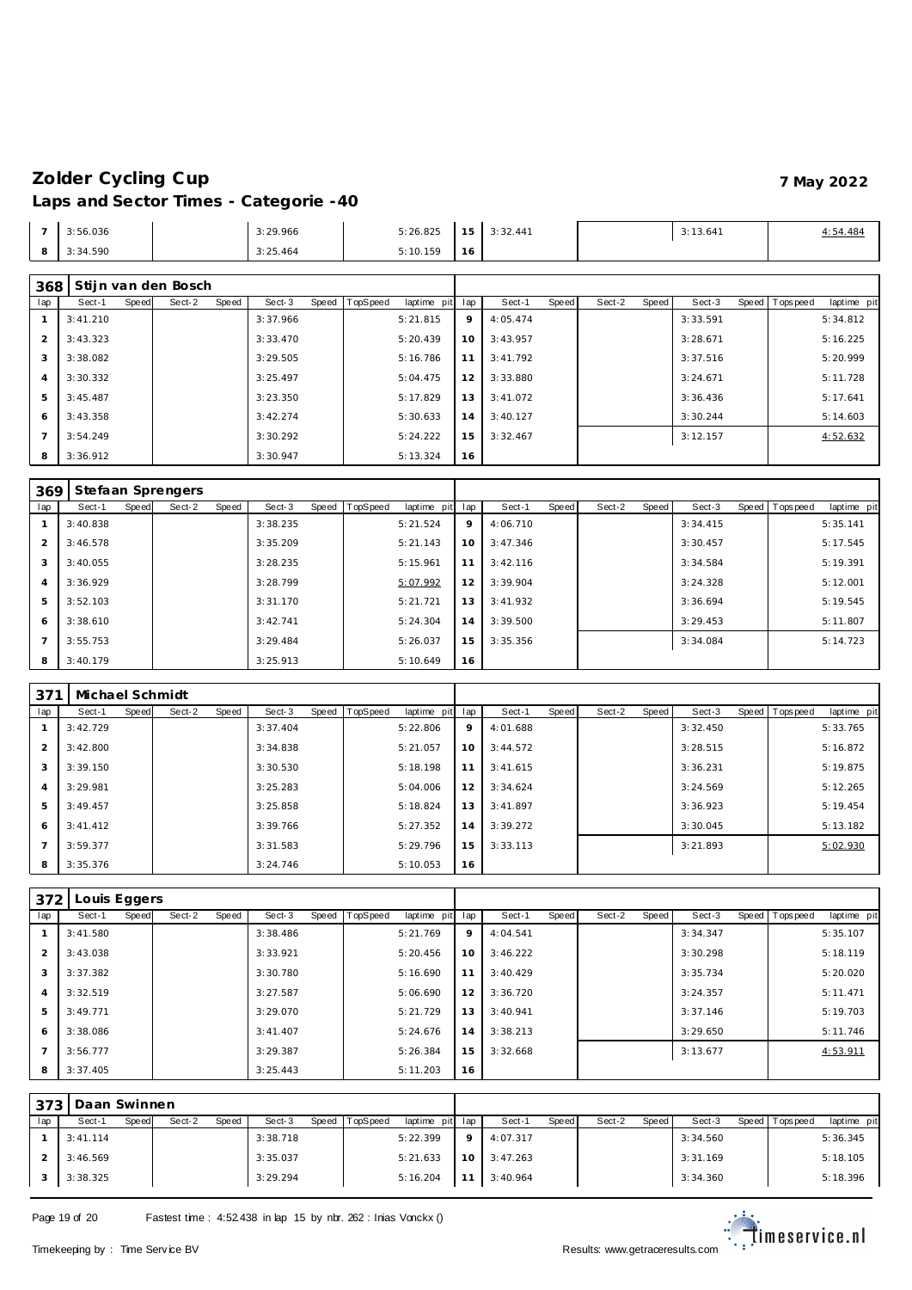| - | 3:56.036 | 3:29.966 | 5:26.825 | 15 <sub>1</sub><br>- - | 3:32.441 | 3:13.641 | 4:54.484 |
|---|----------|----------|----------|------------------------|----------|----------|----------|
| ັ | 3:34.590 | 3:25.464 | 5:10.159 | 16                     |          |          |          |

### **Stijn van den Bosch**

| 300 I |          |       | <b>JULIE VALLUELL DUSCHI</b> |       |          |       |          |                 |    |          |       |        |       |          |                |             |
|-------|----------|-------|------------------------------|-------|----------|-------|----------|-----------------|----|----------|-------|--------|-------|----------|----------------|-------------|
| lap   | Sect-1   | Speed | Sect-2                       | Speed | Sect-3   | Speed | TopSpeed | laptime pit lap |    | Sect-1   | Speed | Sect-2 | Speed | Sect-3   | Speed Topspeed | laptime pit |
|       | 3:41.210 |       |                              |       | 3:37.966 |       |          | 5:21.815        | 9  | 4:05.474 |       |        |       | 3:33.591 |                | 5:34.812    |
|       | 3:43.323 |       |                              |       | 3:33.470 |       |          | 5:20.439        | 10 | 3:43.957 |       |        |       | 3:28.671 |                | 5:16.225    |
| 3     | 3:38.082 |       |                              |       | 3:29.505 |       |          | 5:16.786        | 11 | 3:41.792 |       |        |       | 3:37.516 |                | 5:20.999    |
| 4     | 3:30.332 |       |                              |       | 3:25.497 |       |          | 5:04.475        | 12 | 3:33.880 |       |        |       | 3:24.671 |                | 5:11.728    |
| 5     | 3:45.487 |       |                              |       | 3:23.350 |       |          | 5:17.829        | 13 | 3:41.072 |       |        |       | 3:36.436 |                | 5:17.641    |
| 6     | 3:43.358 |       |                              |       | 3:42.274 |       |          | 5:30.633        | 14 | 3:40.127 |       |        |       | 3:30.244 |                | 5:14.603    |
|       | 3:54.249 |       |                              |       | 3:30.292 |       |          | 5:24.222        | 15 | 3:32.467 |       |        |       | 3:12.157 |                | 4:52.632    |
| 8     | 3:36.912 |       |                              |       | 3:30.947 |       |          | 5:13.324        | 16 |          |       |        |       |          |                |             |

| 369 |          |       | Stefaan Sprengers |       |          |       |          |             |     |          |       |        |       |          |       |          |             |
|-----|----------|-------|-------------------|-------|----------|-------|----------|-------------|-----|----------|-------|--------|-------|----------|-------|----------|-------------|
| lap | Sect-1   | Speed | Sect-2            | Speed | Sect-3   | Speed | TopSpeed | laptime pit | lap | Sect-1   | Speed | Sect-2 | Speed | Sect-3   | Speed | Topspeed | laptime pit |
|     | 3:40.838 |       |                   |       | 3:38.235 |       |          | 5:21.524    | 9   | 4:06.710 |       |        |       | 3:34.415 |       |          | 5:35.141    |
| 2   | 3:46.578 |       |                   |       | 3:35.209 |       |          | 5:21.143    | 10  | 3:47.346 |       |        |       | 3:30.457 |       |          | 5:17.545    |
| 3   | 3:40.055 |       |                   |       | 3:28.235 |       |          | 5:15.961    | 11  | 3:42.116 |       |        |       | 3:34.584 |       |          | 5:19.391    |
| 4   | 3:36.929 |       |                   |       | 3:28.799 |       |          | 5:07.992    | 12  | 3:39.904 |       |        |       | 3:24.328 |       |          | 5:12.001    |
| 5   | 3:52.103 |       |                   |       | 3:31.170 |       |          | 5:21.721    | 13  | 3:41.932 |       |        |       | 3:36.694 |       |          | 5:19.545    |
| 6   | 3:38.610 |       |                   |       | 3:42.741 |       |          | 5:24.304    | 14  | 3:39.500 |       |        |       | 3:29.453 |       |          | 5:11.807    |
|     | 3:55.753 |       |                   |       | 3:29.484 |       |          | 5:26.037    | 15  | 3:35.356 |       |        |       | 3:34.084 |       |          | 5:14.723    |
| 8   | 3:40.179 |       |                   |       | 3:25.913 |       |          | 5:10.649    | 16  |          |       |        |       |          |       |          |             |

| 371 | Michael Schmidt |       |        |       |          |       |                 |             |     |          |       |        |       |          |                  |             |
|-----|-----------------|-------|--------|-------|----------|-------|-----------------|-------------|-----|----------|-------|--------|-------|----------|------------------|-------------|
| lap | Sect-1          | Speed | Sect-2 | Speed | Sect-3   | Speed | <b>TopSpeed</b> | laptime pit | lap | Sect-1   | Speed | Sect-2 | Speed | Sect-3   | Speed   Topspeed | laptime pit |
|     | 3:42.729        |       |        |       | 3:37.404 |       |                 | 5:22.806    | 9   | 4:01.688 |       |        |       | 3:32.450 |                  | 5:33.765    |
|     | 3:42.800        |       |        |       | 3:34.838 |       |                 | 5:21.057    | 10  | 3:44.572 |       |        |       | 3:28.515 |                  | 5:16.872    |
| 3   | 3:39.150        |       |        |       | 3:30.530 |       |                 | 5:18.198    | 11  | 3:41.615 |       |        |       | 3:36.231 |                  | 5:19.875    |
|     | 3:29.981        |       |        |       | 3:25.283 |       |                 | 5:04.006    | 12  | 3:34.624 |       |        |       | 3:24.569 |                  | 5:12.265    |
| 5   | 3:49.457        |       |        |       | 3:25.858 |       |                 | 5:18.824    | 13  | 3:41.897 |       |        |       | 3:36.923 |                  | 5:19.454    |
| 6   | 3: 41.412       |       |        |       | 3:39.766 |       |                 | 5:27.352    | 14  | 3:39.272 |       |        |       | 3:30.045 |                  | 5:13.182    |
|     | 3:59.377        |       |        |       | 3:31.583 |       |                 | 5:29.796    | 15  | 3:33.113 |       |        |       | 3:21.893 |                  | 5:02.930    |
| 8   | 3:35.376        |       |        |       | 3:24.746 |       |                 | 5:10.053    | 16  |          |       |        |       |          |                  |             |

| 372            | Louis Eggers |       |        |       |           |                |             |     |          |       |        |       |          |                |             |
|----------------|--------------|-------|--------|-------|-----------|----------------|-------------|-----|----------|-------|--------|-------|----------|----------------|-------------|
| lap            | Sect-1       | Speed | Sect-2 | Speed | Sect-3    | Speed TopSpeed | laptime pit | lap | Sect-1   | Speed | Sect-2 | Speed | Sect-3   | Speed Topspeed | laptime pit |
|                | 3:41.580     |       |        |       | 3:38.486  |                | 5:21.769    | 9   | 4:04.541 |       |        |       | 3:34.347 |                | 5:35.107    |
| $\overline{2}$ | 3:43.038     |       |        |       | 3:33.921  |                | 5:20.456    | 10  | 3:46.222 |       |        |       | 3:30.298 |                | 5:18.119    |
| 3              | 3:37.382     |       |        |       | 3:30.780  |                | 5:16.690    | 11  | 3:40.429 |       |        |       | 3:35.734 |                | 5:20.020    |
| $\overline{4}$ | 3:32.519     |       |        |       | 3:27.587  |                | 5:06.690    | 12  | 3:36.720 |       |        |       | 3:24.357 |                | 5:11.471    |
| 5              | 3:49.771     |       |        |       | 3:29.070  |                | 5:21.729    | 13  | 3:40.941 |       |        |       | 3:37.146 |                | 5:19.703    |
| 6              | 3:38.086     |       |        |       | 3: 41.407 |                | 5:24.676    | 14  | 3:38.213 |       |        |       | 3:29.650 |                | 5:11.746    |
| $\overline{7}$ | 3:56.777     |       |        |       | 3:29.387  |                | 5:26.384    | 15  | 3:32.668 |       |        |       | 3:13.677 |                | 4:53.911    |
| 8              | 3:37.405     |       |        |       | 3:25.443  |                | 5:11.203    | 16  |          |       |        |       |          |                |             |

| 373' | Daan Swinnen |       |        |       |          |                |                 |         |                     |       |        |       |          |                 |             |
|------|--------------|-------|--------|-------|----------|----------------|-----------------|---------|---------------------|-------|--------|-------|----------|-----------------|-------------|
| lap  | Sect-1       | Speed | Sect-2 | Speed | Sect-3   | Speed TopSpeed | laptime pit lap |         | Sect-1              | Speed | Sect-2 | Speed | Sect-3   | Speed Tops peed | laptime pit |
|      | 3: 41.114    |       |        |       | 3:38.718 |                | 5:22.399        | $\circ$ | 4:07.317            |       |        |       | 3:34.560 |                 | 5:36.345    |
|      | 3:46.569     |       |        |       | 3:35.037 |                | 5:21.633        |         | $10 \quad 3:47.263$ |       |        |       | 3:31.169 |                 | 5:18.105    |
|      | 3:38.325     |       |        |       | 3:29.294 |                | 5:16.204        |         | $11 \quad 3:40.964$ |       |        |       | 3:34.360 |                 | 5:18.396    |

Page 19 of 20 Fastest time : 4:52.438 in lap 15 by nbr. 262 : Inias Vonckx ()

imeservice.nl